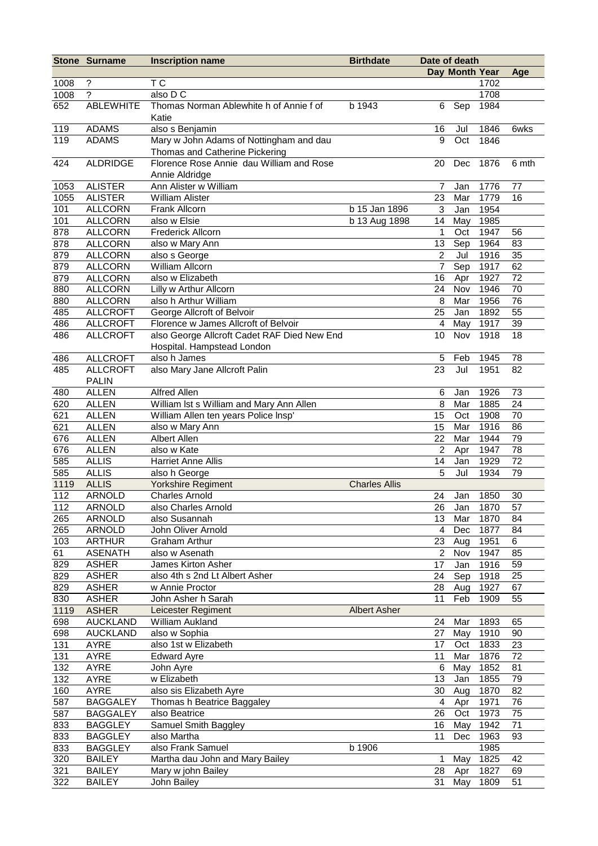|      | <b>Stone Surname</b> | <b>Inscription name</b>                          | <b>Birthdate</b>     | Date of death  |                     |      |       |
|------|----------------------|--------------------------------------------------|----------------------|----------------|---------------------|------|-------|
|      |                      |                                                  |                      |                | Day Month Year      |      | Age   |
| 1008 | ?                    | T C                                              |                      |                |                     | 1702 |       |
| 1008 | $\gamma$             | also D C                                         |                      |                |                     | 1708 |       |
| 652  | <b>ABLEWHITE</b>     | Thomas Norman Ablewhite h of Annie f of<br>Katie | b 1943               | 6              | Sep                 | 1984 |       |
| 119  | <b>ADAMS</b>         | also s Benjamin                                  |                      | 16             | Jul                 | 1846 | 6wks  |
| 119  | <b>ADAMS</b>         | Mary w John Adams of Nottingham and dau          |                      | 9              | Oct                 | 1846 |       |
|      |                      | Thomas and Catherine Pickering                   |                      |                |                     |      |       |
| 424  | <b>ALDRIDGE</b>      | Florence Rose Annie dau William and Rose         |                      | 20             | Dec                 | 1876 | 6 mth |
|      |                      | Annie Aldridge                                   |                      |                |                     |      |       |
| 1053 | <b>ALISTER</b>       | Ann Alister w William                            |                      | $\overline{7}$ | Jan                 | 1776 | 77    |
| 1055 | <b>ALISTER</b>       | <b>William Alister</b>                           |                      | 23             | Mar                 | 1779 | 16    |
| 101  | <b>ALLCORN</b>       | Frank Allcorn                                    | b 15 Jan 1896        | 3              | Jan                 | 1954 |       |
| 101  | <b>ALLCORN</b>       | also w Elsie                                     | b 13 Aug 1898        | 14             | May                 | 1985 |       |
| 878  | <b>ALLCORN</b>       | Frederick Allcorn                                |                      | 1              | Oct                 | 1947 | 56    |
| 878  | <b>ALLCORN</b>       | also w Mary Ann                                  |                      | 13             | Sep                 | 1964 | 83    |
| 879  | <b>ALLCORN</b>       | also s George                                    |                      | $\overline{2}$ | Jul                 | 1916 | 35    |
| 879  | <b>ALLCORN</b>       | <b>William Allcorn</b>                           |                      | 7              | Sep                 | 1917 | 62    |
| 879  | <b>ALLCORN</b>       | also w Elizabeth                                 |                      | 16             | Apr                 | 1927 | 72    |
| 880  | <b>ALLCORN</b>       | Lilly w Arthur Allcorn                           |                      | 24             | Nov                 | 1946 | 70    |
| 880  | <b>ALLCORN</b>       | also h Arthur William                            |                      | 8              | Mar                 | 1956 | 76    |
| 485  | <b>ALLCROFT</b>      | George Allcroft of Belvoir                       |                      | 25             | Jan                 | 1892 | 55    |
| 486  | <b>ALLCROFT</b>      | Florence w James Allcroft of Belvoir             |                      | $\overline{4}$ | May                 | 1917 | 39    |
| 486  | <b>ALLCROFT</b>      | also George Allcroft Cadet RAF Died New End      |                      | 10             | Nov                 | 1918 | 18    |
|      |                      | Hospital. Hampstead London                       |                      |                |                     |      |       |
| 486  | <b>ALLCROFT</b>      | also h James                                     |                      | 5              | Feb                 | 1945 | 78    |
| 485  | <b>ALLCROFT</b>      | also Mary Jane Allcroft Palin                    |                      | 23             | Jul                 | 1951 | 82    |
|      | <b>PALIN</b>         |                                                  |                      |                |                     |      |       |
| 480  | <b>ALLEN</b>         | <b>Alfred Allen</b>                              |                      | 6              | Jan                 | 1926 | 73    |
| 620  | <b>ALLEN</b>         | William Ist s William and Mary Ann Allen         |                      | 8              | Mar                 | 1885 | 24    |
| 621  | <b>ALLEN</b>         | William Allen ten years Police Insp'             |                      | 15             | Oct                 | 1908 | 70    |
| 621  | <b>ALLEN</b>         | also w Mary Ann                                  |                      | 15             | Mar                 | 1916 | 86    |
| 676  | <b>ALLEN</b>         | Albert Allen                                     |                      | 22             | Mar                 | 1944 | 79    |
| 676  | <b>ALLEN</b>         | also w Kate                                      |                      | 2              | Apr                 | 1947 | 78    |
| 585  | <b>ALLIS</b>         | <b>Harriet Anne Allis</b>                        |                      | 14             | Jan                 | 1929 | 72    |
| 585  | <b>ALLIS</b>         | also h George                                    |                      | 5              | Jul                 | 1934 | 79    |
| 1119 | <b>ALLIS</b>         | <b>Yorkshire Regiment</b>                        | <b>Charles Allis</b> |                |                     |      |       |
| 112  | <b>ARNOLD</b>        | <b>Charles Arnold</b>                            |                      | 24             | Jan                 | 1850 | 30    |
| 112  | ARNOLD               | also Charles Arnold                              |                      |                | $\overline{26}$ Jan | 1870 | 57    |
| 265  | <b>ARNOLD</b>        | also Susannah                                    |                      | 13             | Mar                 | 1870 | 84    |
| 265  | <b>ARNOLD</b>        | John Oliver Arnold                               |                      | $\overline{4}$ | Dec                 | 1877 | 84    |
| 103  | <b>ARTHUR</b>        | Graham Arthur                                    |                      | 23             | Aug                 | 1951 | 6     |
| 61   | <b>ASENATH</b>       | also w Asenath                                   |                      | $\overline{2}$ | Nov                 | 1947 | 85    |
| 829  | <b>ASHER</b>         | James Kirton Asher                               |                      | 17             | Jan                 | 1916 | 59    |
| 829  | <b>ASHER</b>         | also 4th s 2nd Lt Albert Asher                   |                      | 24             | Sep                 | 1918 | 25    |
| 829  | <b>ASHER</b>         | w Annie Proctor                                  |                      | 28             | Aug                 | 1927 | 67    |
| 830  | <b>ASHER</b>         | John Asher h Sarah                               |                      | 11             | Feb                 | 1909 | 55    |
| 1119 | <b>ASHER</b>         | Leicester Regiment                               | <b>Albert Asher</b>  |                |                     |      |       |
| 698  | <b>AUCKLAND</b>      | William Aukland                                  |                      | 24             | Mar                 | 1893 | 65    |
| 698  | <b>AUCKLAND</b>      | also w Sophia                                    |                      | 27             | May                 | 1910 | 90    |
| 131  | AYRE                 | also 1st w Elizabeth                             |                      | 17             | Oct                 | 1833 | 23    |
| 131  | AYRE                 | <b>Edward Ayre</b>                               |                      | 11             | Mar                 | 1876 | 72    |
| 132  | AYRE                 | John Ayre                                        |                      | 6              | May                 | 1852 | 81    |
| 132  | AYRE                 | w Elizabeth                                      |                      | 13             | Jan                 | 1855 | 79    |
| 160  | AYRE                 | also sis Elizabeth Ayre                          |                      | 30             | Aug                 | 1870 | 82    |
| 587  | <b>BAGGALEY</b>      | Thomas h Beatrice Baggaley                       |                      | 4              | Apr                 | 1971 | 76    |
| 587  | <b>BAGGALEY</b>      | also Beatrice                                    |                      | 26             | Oct                 | 1973 | 75    |
| 833  | <b>BAGGLEY</b>       | Samuel Smith Baggley                             |                      | 16             | May                 | 1942 | 71    |
| 833  | <b>BAGGLEY</b>       | also Martha                                      |                      | 11             | Dec                 | 1963 | 93    |
| 833  | <b>BAGGLEY</b>       | also Frank Samuel                                | b 1906               |                |                     | 1985 |       |
| 320  | <b>BAILEY</b>        | Martha dau John and Mary Bailey                  |                      | 1              | May                 | 1825 | 42    |
| 321  | <b>BAILEY</b>        | Mary w john Bailey                               |                      | 28             | Apr                 | 1827 | 69    |
| 322  | <b>BAILEY</b>        | John Bailey                                      |                      | 31             | May                 | 1809 | 51    |
|      |                      |                                                  |                      |                |                     |      |       |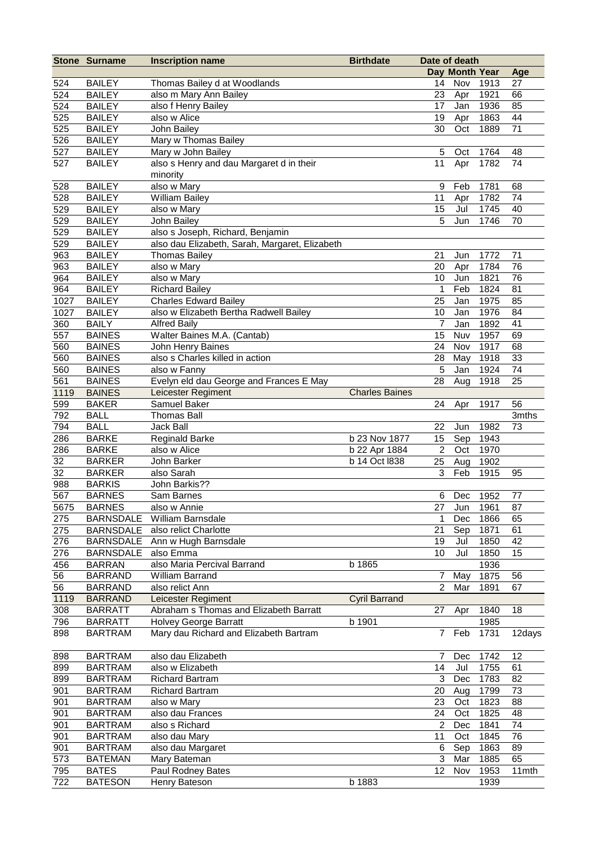|        | <b>Stone Surname</b> | <b>Inscription name</b>                        | <b>Birthdate</b>      | Date of death  |                |      |        |
|--------|----------------------|------------------------------------------------|-----------------------|----------------|----------------|------|--------|
|        |                      |                                                |                       |                | Day Month Year |      | Age    |
| 524    | <b>BAILEY</b>        | Thomas Bailey d at Woodlands                   |                       | 14             | Nov            | 1913 | 27     |
| 524    | <b>BAILEY</b>        | also m Mary Ann Bailey                         |                       | 23             | Apr            | 1921 | 66     |
| 524    | <b>BAILEY</b>        | also f Henry Bailey                            |                       | 17             | Jan            | 1936 | 85     |
| 525    | <b>BAILEY</b>        | also w Alice                                   |                       | 19             | Apr            | 1863 | 44     |
| 525    | <b>BAILEY</b>        | John Bailey                                    |                       | 30             | Oct            | 1889 | 71     |
| 526    | <b>BAILEY</b>        | Mary w Thomas Bailey                           |                       |                |                |      |        |
| 527    | <b>BAILEY</b>        | Mary w John Bailey                             |                       | 5              | Oct            | 1764 | 48     |
| 527    | <b>BAILEY</b>        | also s Henry and dau Margaret d in their       |                       | 11             | Apr            | 1782 | 74     |
|        |                      | minority                                       |                       |                |                |      |        |
| 528    | <b>BAILEY</b>        | also w Mary                                    |                       | 9              | Feb            | 1781 | 68     |
| 528    | <b>BAILEY</b>        | <b>William Bailey</b>                          |                       | 11             | Apr            | 1782 | 74     |
| 529    | <b>BAILEY</b>        | also w Mary                                    |                       | 15             | Jul            | 1745 | 40     |
| 529    | <b>BAILEY</b>        | John Bailey                                    |                       | 5              | Jun            | 1746 | 70     |
| 529    | <b>BAILEY</b>        | also s Joseph, Richard, Benjamin               |                       |                |                |      |        |
| 529    | <b>BAILEY</b>        | also dau Elizabeth, Sarah, Margaret, Elizabeth |                       |                |                |      |        |
| 963    | <b>BAILEY</b>        | <b>Thomas Bailey</b>                           |                       | 21             | Jun            | 1772 | 71     |
| 963    | <b>BAILEY</b>        | also w Mary                                    |                       | 20             | Apr            | 1784 | 76     |
| 964    | <b>BAILEY</b>        | also w Mary                                    |                       | 10             | Jun            | 1821 | 76     |
| 964    | <b>BAILEY</b>        | Richard Bailey                                 |                       | 1              | Feb            | 1824 | 81     |
| 1027   |                      | <b>Charles Edward Bailey</b>                   |                       | 25             | Jan            | 1975 | 85     |
|        | <b>BAILEY</b>        |                                                |                       |                |                |      |        |
| 1027   | <b>BAILEY</b>        | also w Elizabeth Bertha Radwell Bailey         |                       | 10             | Jan            | 1976 | 84     |
| 360    | <b>BAILY</b>         | <b>Alfred Baily</b>                            |                       | 7              | Jan            | 1892 | 41     |
| 557    | <b>BAINES</b>        | Walter Baines M.A. (Cantab)                    |                       | 15             | Nuv            | 1957 | 69     |
| 560    | <b>BAINES</b>        | John Henry Baines                              |                       | 24             | Nov            | 1917 | 68     |
| 560    | <b>BAINES</b>        | also s Charles killed in action                |                       | 28             | May            | 1918 | 33     |
| 560    | <b>BAINES</b>        | also w Fanny                                   |                       | 5              | Jan            | 1924 | 74     |
| 561    | <b>BAINES</b>        | Evelyn eld dau George and Frances E May        |                       | 28             | Aug            | 1918 | 25     |
| 1119   | <b>BAINES</b>        | Leicester Regiment                             | <b>Charles Baines</b> |                |                |      |        |
| 599    | <b>BAKER</b>         | Samuel Baker                                   |                       | 24             | Apr            | 1917 | 56     |
| 792    | <b>BALL</b>          | <b>Thomas Ball</b>                             |                       |                |                |      | 3mths  |
| 794    | <b>BALL</b>          | Jack Ball                                      |                       | 22             | Jun            | 1982 | 73     |
| 286    | <b>BARKE</b>         | Reginald Barke                                 | b 23 Nov 1877         | 15             | Sep            | 1943 |        |
| 286    | <b>BARKE</b>         | also w Alice                                   | b 22 Apr 1884         | $\overline{2}$ | Oct            | 1970 |        |
| 32     | <b>BARKER</b>        | John Barker                                    | b 14 Oct l838         | 25             | Aug            | 1902 |        |
| 32     | <b>BARKER</b>        | also Sarah                                     |                       | 3              | Feb            | 1915 | 95     |
| 988    | <b>BARKIS</b>        | John Barkis??                                  |                       |                |                |      |        |
| 567    | <b>BARNES</b>        | Sam Barnes                                     |                       |                | 6 Dec 1952     |      | 77     |
| 5675   | <b>BARNES</b>        | also w Annie                                   |                       |                | 27 Jun 1961    |      | 87     |
| 275    | <b>BARNSDALE</b>     | William Barnsdale                              |                       | 1              | Dec            | 1866 | 65     |
| 275    | <b>BARNSDALE</b>     | also relict Charlotte                          |                       | 21             | Sep            | 1871 | 61     |
| 276    | <b>BARNSDALE</b>     | Ann w Hugh Barnsdale                           |                       | 19             | Jul            | 1850 | 42     |
| 276    | <b>BARNSDALE</b>     | also Emma                                      |                       | 10             | Jul            | 1850 | 15     |
| 456    | <b>BARRAN</b>        | also Maria Percival Barrand                    | b 1865                |                |                | 1936 |        |
| 56     | <b>BARRAND</b>       | William Barrand                                |                       | 7              | May            | 1875 | 56     |
| 56     | <b>BARRAND</b>       | also relict Ann                                |                       | $\overline{2}$ | Mar            | 1891 | 67     |
| $1119$ | <b>BARRAND</b>       | Leicester Regiment                             | <b>Cyril Barrand</b>  |                |                |      |        |
| 308    | <b>BARRATT</b>       | Abraham s Thomas and Elizabeth Barratt         |                       | 27             | Apr            | 1840 | 18     |
| 796    | <b>BARRATT</b>       | <b>Holvey George Barratt</b>                   | b 1901                |                |                | 1985 |        |
| 898    | <b>BARTRAM</b>       | Mary dau Richard and Elizabeth Bartram         |                       | $\overline{7}$ | Feb            | 1731 | 12days |
|        |                      |                                                |                       |                |                |      |        |
| 898    | <b>BARTRAM</b>       | also dau Elizabeth                             |                       | 7              | Dec            | 1742 | 12     |
| 899    | <b>BARTRAM</b>       | also w Elizabeth                               |                       | 14             | Jul            | 1755 | 61     |
| 899    | <b>BARTRAM</b>       | <b>Richard Bartram</b>                         |                       | 3              | Dec            | 1783 | 82     |
| 901    | <b>BARTRAM</b>       | <b>Richard Bartram</b>                         |                       | 20             | Aug            | 1799 | 73     |
| 901    | <b>BARTRAM</b>       | also w Mary                                    |                       | 23             | Oct            | 1823 | 88     |
| 901    | <b>BARTRAM</b>       | also dau Frances                               |                       | 24             | Oct            | 1825 | 48     |
| 901    | <b>BARTRAM</b>       | also s Richard                                 |                       | $\overline{2}$ | Dec            | 1841 | 74     |
| 901    | <b>BARTRAM</b>       | also dau Mary                                  |                       | 11             | Oct            | 1845 | 76     |
| 901    | <b>BARTRAM</b>       | also dau Margaret                              |                       | 6              | Sep            | 1863 | 89     |
| 573    | <b>BATEMAN</b>       | Mary Bateman                                   |                       | $\mathbf{3}$   | Mar            | 1885 | 65     |
| 795    | <b>BATES</b>         | Paul Rodney Bates                              |                       | 12             | Nov            | 1953 | 11mth  |
| 722    | <b>BATESON</b>       | Henry Bateson                                  | b 1883                |                |                | 1939 |        |
|        |                      |                                                |                       |                |                |      |        |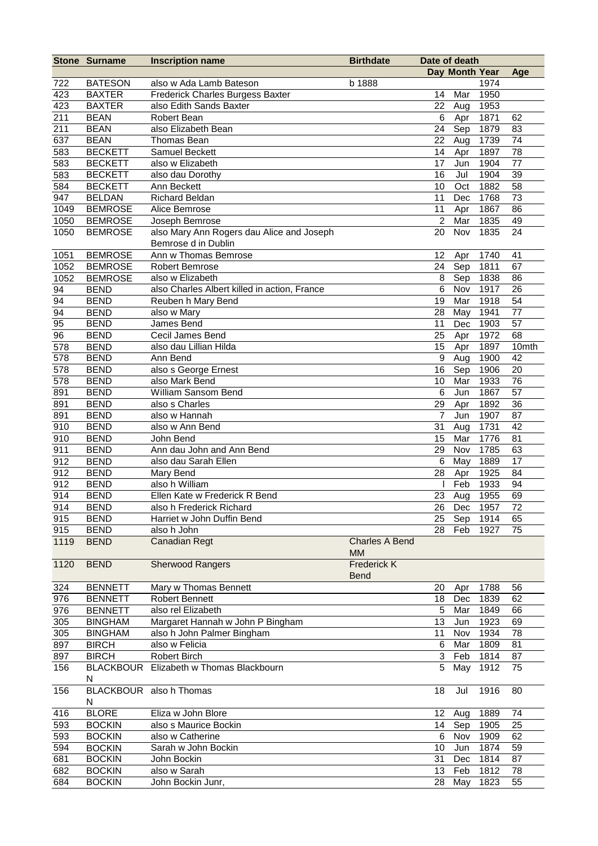|      | <b>Stone Surname</b>       | <b>Inscription name</b>                      | <b>Birthdate</b>      | Date of death  |                |      |       |
|------|----------------------------|----------------------------------------------|-----------------------|----------------|----------------|------|-------|
|      |                            |                                              |                       |                | Day Month Year |      | Age   |
| 722  | <b>BATESON</b>             | also w Ada Lamb Bateson                      | b 1888                |                |                | 1974 |       |
| 423  | <b>BAXTER</b>              | Frederick Charles Burgess Baxter             |                       | 14             | Mar            | 1950 |       |
| 423  | <b>BAXTER</b>              | also Edith Sands Baxter                      |                       | 22             | Aug            | 1953 |       |
| 211  | <b>BEAN</b>                | <b>Robert Bean</b>                           |                       | 6              | Apr            | 1871 | 62    |
| 211  | <b>BEAN</b>                | also Elizabeth Bean                          |                       | 24             | Sep            | 1879 | 83    |
|      |                            |                                              |                       | 22             |                |      | 74    |
| 637  | <b>BEAN</b>                | Thomas Bean                                  |                       |                | Aug            | 1739 |       |
| 583  | <b>BECKETT</b>             | Samuel Beckett                               |                       | 14             | Apr            | 1897 | 78    |
| 583  | <b>BECKETT</b>             | also w Elizabeth                             |                       | 17             | Jun            | 1904 | 77    |
| 583  | <b>BECKETT</b>             | also dau Dorothy                             |                       | 16             | Jul            | 1904 | 39    |
| 584  | <b>BECKETT</b>             | Ann Beckett                                  |                       | 10             | Oct            | 1882 | 58    |
| 947  | <b>BELDAN</b>              | Richard Beldan                               |                       | 11             | Dec            | 1768 | 73    |
| 1049 | <b>BEMROSE</b>             | Alice Bemrose                                |                       | 11             | Apr            | 1867 | 86    |
| 1050 | <b>BEMROSE</b>             | Joseph Bemrose                               |                       | $\overline{2}$ | Mar            | 1835 | 49    |
| 1050 | <b>BEMROSE</b>             | also Mary Ann Rogers dau Alice and Joseph    |                       | 20             | Nov            | 1835 | 24    |
|      |                            | Bemrose d in Dublin                          |                       |                |                |      |       |
| 1051 | <b>BEMROSE</b>             | Ann w Thomas Bemrose                         |                       | 12             | Apr            | 1740 | 41    |
| 1052 | <b>BEMROSE</b>             | Robert Bemrose                               |                       | 24             | Sep            | 1811 | 67    |
| 1052 | <b>BEMROSE</b>             | also w Elizabeth                             |                       | 8              | Sep            | 1838 | 86    |
| 94   | <b>BEND</b>                | also Charles Albert killed in action, France |                       | $6\phantom{1}$ | Nov            | 1917 | 26    |
|      |                            |                                              |                       |                |                | 1918 |       |
| 94   | <b>BEND</b>                | Reuben h Mary Bend                           |                       | 19             | Mar            |      | 54    |
| 94   | <b>BEND</b>                | also w Mary                                  |                       | 28             | May            | 1941 | 77    |
| 95   | <b>BEND</b>                | James Bend                                   |                       | 11             | Dec            | 1903 | 57    |
| 96   | <b>BEND</b>                | Cecil James Bend                             |                       | 25             | Apr            | 1972 | 68    |
| 578  | <b>BEND</b>                | also dau Lillian Hilda                       |                       | 15             | Apr            | 1897 | 10mth |
| 578  | <b>BEND</b>                | Ann Bend                                     |                       | 9              | Aug            | 1900 | 42    |
| 578  | <b>BEND</b>                | also s George Ernest                         |                       | 16             | Sep            | 1906 | 20    |
| 578  | <b>BEND</b>                | also Mark Bend                               |                       | 10             | Mar            | 1933 | 76    |
| 891  | <b>BEND</b>                | William Sansom Bend                          |                       | 6              | Jun            | 1867 | 57    |
| 891  | <b>BEND</b>                | also s Charles                               |                       | 29             | Apr            | 1892 | 36    |
| 891  | <b>BEND</b>                | also w Hannah                                |                       | $\overline{7}$ | Jun            | 1907 | 87    |
| 910  | <b>BEND</b>                | also w Ann Bend                              |                       | 31             | Aug            | 1731 | 42    |
| 910  | <b>BEND</b>                | John Bend                                    |                       | 15             | Mar            | 1776 | 81    |
| 911  | <b>BEND</b>                | Ann dau John and Ann Bend                    |                       | 29             | Nov            | 1785 | 63    |
| 912  | <b>BEND</b>                | also dau Sarah Ellen                         |                       | 6              | May            | 1889 | 17    |
| 912  | <b>BEND</b>                | Mary Bend                                    |                       | 28             | Apr            | 1925 | 84    |
| 912  |                            | also h William                               |                       |                | Feb            | 1933 | 94    |
| 914  | <b>BEND</b><br><b>BEND</b> | Ellen Kate w Frederick R Bend                |                       | 23             |                | 1955 |       |
|      |                            |                                              |                       |                | Aug            |      | 69    |
| 914  | <b>BEND</b>                | also h Frederick Richard                     |                       |                | 26 Dec 1957    |      | 72    |
| 915  | <b>BEND</b>                | Harriet w John Duffin Bend                   |                       | 25             | Sep            | 1914 | 65    |
| 915  | <b>BEND</b>                | also h John                                  |                       | 28             | Feb            | 1927 | 75    |
| 1119 | <b>BEND</b>                | <b>Canadian Regt</b>                         | <b>Charles A Bend</b> |                |                |      |       |
|      |                            |                                              | <b>MM</b>             |                |                |      |       |
| 1120 | <b>BEND</b>                | <b>Sherwood Rangers</b>                      | Frederick K           |                |                |      |       |
|      |                            |                                              | <b>Bend</b>           |                |                |      |       |
| 324  | <b>BENNETT</b>             | Mary w Thomas Bennett                        |                       | 20             | Apr            | 1788 | 56    |
| 976  | <b>BENNETT</b>             | <b>Robert Bennett</b>                        |                       | 18             | Dec            | 1839 | 62    |
| 976  | <b>BENNETT</b>             | also rel Elizabeth                           |                       | 5              | Mar            | 1849 | 66    |
| 305  | <b>BINGHAM</b>             | Margaret Hannah w John P Bingham             |                       | 13             | Jun            | 1923 | 69    |
| 305  | <b>BINGHAM</b>             | also h John Palmer Bingham                   |                       | 11             | Nov            | 1934 | 78    |
| 897  | <b>BIRCH</b>               | also w Felicia                               |                       | 6              | Mar            | 1809 | 81    |
| 897  | <b>BIRCH</b>               | Robert Birch                                 |                       | 3              | Feb            | 1814 | 87    |
| 156  |                            | BLACKBOUR Elizabeth w Thomas Blackbourn      |                       | 5              | May            | 1912 | 75    |
|      | N                          |                                              |                       |                |                |      |       |
|      |                            |                                              |                       |                |                |      |       |
| 156  |                            | BLACKBOUR also h Thomas                      |                       | 18             | Jul            | 1916 | 80    |
|      | N                          |                                              |                       |                |                |      |       |
| 416  | <b>BLORE</b>               | Eliza w John Blore                           |                       | 12             | Aug            | 1889 | 74    |
| 593  | <b>BOCKIN</b>              | also s Maurice Bockin                        |                       | 14             | Sep            | 1905 | 25    |
| 593  | <b>BOCKIN</b>              | also w Catherine                             |                       | 6              | Nov            | 1909 | 62    |
| 594  | <b>BOCKIN</b>              | Sarah w John Bockin                          |                       | 10             | Jun            | 1874 | 59    |
| 681  | <b>BOCKIN</b>              | John Bockin                                  |                       | 31             | Dec            | 1814 | 87    |
| 682  | <b>BOCKIN</b>              | also w Sarah                                 |                       | 13             | Feb            | 1812 | 78    |
| 684  | <b>BOCKIN</b>              | John Bockin Junr,                            |                       | 28             | May            | 1823 | 55    |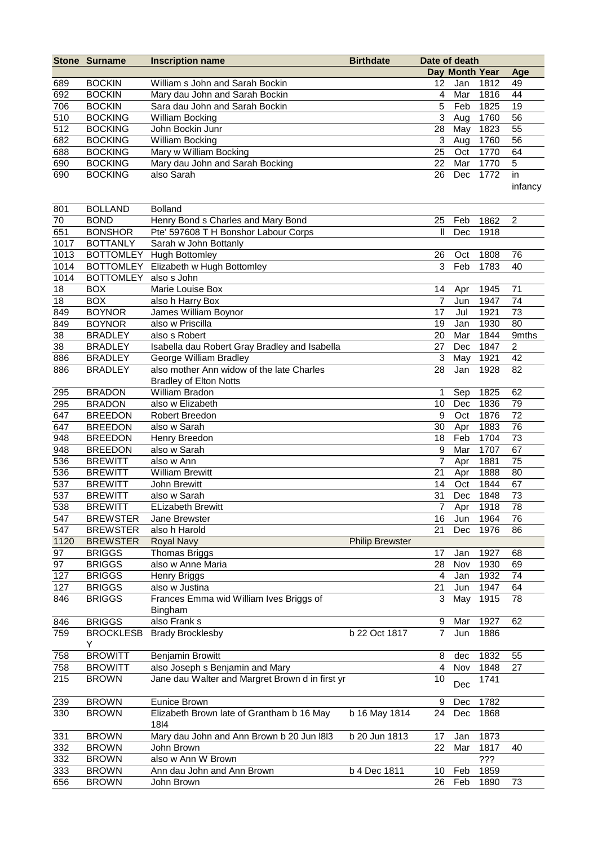|            | <b>Stone Surname</b> | <b>Inscription name</b>                         | <b>Birthdate</b>       | Date of death       |                |              |                          |
|------------|----------------------|-------------------------------------------------|------------------------|---------------------|----------------|--------------|--------------------------|
|            |                      |                                                 |                        |                     | Day Month Year |              | Age                      |
| 689        | <b>BOCKIN</b>        | William s John and Sarah Bockin                 |                        | 12                  | Jan            | 1812         | 49                       |
| 692        | <b>BOCKIN</b>        | Mary dau John and Sarah Bockin                  |                        | $\overline{4}$      | Mar            | 1816         | 44                       |
| 706        | <b>BOCKIN</b>        | Sara dau John and Sarah Bockin                  |                        | 5                   | Feb            | 1825         | 19                       |
| 510        | <b>BOCKING</b>       | <b>William Bocking</b>                          |                        | 3                   | Aug            | 1760         | 56                       |
| 512        | <b>BOCKING</b>       | John Bockin Junr                                |                        | 28                  | May            | 1823         | 55                       |
| 682        | <b>BOCKING</b>       | <b>William Bocking</b>                          |                        | $\mathbf 3$         | Aug            | 1760         | 56                       |
| 688        | <b>BOCKING</b>       | Mary w William Bocking                          |                        | 25                  | Oct            | 1770         | 64                       |
| 690        | <b>BOCKING</b>       | Mary dau John and Sarah Bocking                 |                        | 22                  | Mar            | 1770         | $\overline{5}$           |
| 690        | <b>BOCKING</b>       | also Sarah                                      |                        | 26                  | Dec            | 1772         | $\overline{\mathsf{in}}$ |
|            |                      |                                                 |                        |                     |                |              | infancy                  |
|            |                      |                                                 |                        |                     |                |              |                          |
| 801        | <b>BOLLAND</b>       | <b>Bolland</b>                                  |                        |                     |                |              |                          |
| 70         | <b>BOND</b>          | Henry Bond s Charles and Mary Bond              |                        | 25                  | Feb            | 1862         | $\overline{2}$           |
| 651        | <b>BONSHOR</b>       | Pte' 597608 T H Bonshor Labour Corps            |                        | Ш                   | Dec            | 1918         |                          |
| 1017       | <b>BOTTANLY</b>      | Sarah w John Bottanly                           |                        |                     |                |              |                          |
| 1013       | <b>BOTTOMLEY</b>     | <b>Hugh Bottomley</b>                           |                        | 26                  | Oct            | 1808         | 76                       |
| 1014       | <b>BOTTOMLEY</b>     | Elizabeth w Hugh Bottomley                      |                        | 3                   | Feb            | 1783         | 40                       |
| 1014       | <b>BOTTOMLEY</b>     | also s John                                     |                        |                     |                |              |                          |
| 18         | <b>BOX</b>           | Marie Louise Box                                |                        | 14                  | Apr            | 1945         | 71                       |
| 18         | <b>BOX</b>           | also h Harry Box                                |                        | $\overline{7}$      | Jun            | 1947         | 74                       |
| 849        | <b>BOYNOR</b>        | James William Boynor                            |                        | 17                  | Jul            | 1921         | 73                       |
| 849        | <b>BOYNOR</b>        | also w Priscilla                                |                        | 19                  | Jan            | 1930         | 80                       |
| 38         | <b>BRADLEY</b>       | also s Robert                                   |                        | 20                  | Mar            | 1844         | 9mths                    |
| 38         | <b>BRADLEY</b>       | Isabella dau Robert Gray Bradley and Isabella   |                        | 27                  | Dec            | 1847         | $\overline{c}$           |
| 886        | <b>BRADLEY</b>       | George William Bradley                          |                        | 3                   | May            | 1921         | 42                       |
| 886        | <b>BRADLEY</b>       | also mother Ann widow of the late Charles       |                        | 28                  | Jan            | 1928         | 82                       |
|            |                      | <b>Bradley of Elton Notts</b>                   |                        |                     |                |              |                          |
| 295        | <b>BRADON</b>        | William Bradon                                  |                        | 1                   | Sep            | 1825         | 62                       |
| 295        | <b>BRADON</b>        | also w Elizabeth                                |                        | 10                  | Dec            | 1836         | 79                       |
| 647        | <b>BREEDON</b>       | Robert Breedon                                  |                        | 9                   | Oct            | 1876         | 72                       |
| 647        | <b>BREEDON</b>       | also w Sarah                                    |                        | 30                  | Apr            | 1883         | 76                       |
| 948        | <b>BREEDON</b>       | Henry Breedon                                   |                        | 18                  | Feb            | 1704         | 73                       |
| 948        | <b>BREEDON</b>       | also w Sarah                                    |                        | 9                   | Mar            | 1707         | 67                       |
| 536        | <b>BREWITT</b>       | also w Ann                                      |                        | 7                   | Apr            | 1881         | 75                       |
| 536        | <b>BREWITT</b>       | <b>William Brewitt</b>                          |                        | 21                  | Apr            | 1888         | 80                       |
| 537        | <b>BREWITT</b>       | John Brewitt                                    |                        | 14                  | Oct            | 1844         | 67                       |
| 537        | <b>BREWITT</b>       | also w Sarah                                    |                        | 31                  | Dec            | 1848         | 73                       |
| 538        | <b>BREWITT</b>       | <b>ELizabeth Brewitt</b>                        |                        |                     | 7 Apr 1918     |              | $\overline{78}$          |
| 547        | <b>BREWSTER</b>      | Jane Brewster                                   |                        | 16                  | Jun            | 1964         | 76                       |
| 547        | <b>BREWSTER</b>      | also h Harold                                   |                        | 21                  | Dec            | 1976         | 86                       |
| 1120       | <b>BREWSTER</b>      | <b>Royal Navy</b>                               | <b>Philip Brewster</b> |                     |                |              |                          |
| 97         | <b>BRIGGS</b>        | <b>Thomas Briggs</b>                            |                        | 17                  | Jan            | 1927         | 68                       |
| 97         | <b>BRIGGS</b>        | also w Anne Maria                               |                        | 28                  | Nov            | 1930         | 69                       |
| 127        | <b>BRIGGS</b>        | Henry Briggs                                    |                        | $\overline{4}$      | Jan            | 1932         | 74                       |
| 127<br>846 | <b>BRIGGS</b>        | also w Justina                                  |                        | 21<br>3             | Jun<br>May     | 1947<br>1915 | 64<br>78                 |
|            | <b>BRIGGS</b>        | Frances Emma wid William Ives Briggs of         |                        |                     |                |              |                          |
|            | <b>BRIGGS</b>        | Bingham<br>also Frank s                         |                        |                     | Mar            | 1927         | 62                       |
| 846<br>759 | <b>BROCKLESB</b>     | <b>Brady Brocklesby</b>                         | b 22 Oct 1817          | 9<br>$\overline{7}$ | Jun            | 1886         |                          |
|            | Υ                    |                                                 |                        |                     |                |              |                          |
| 758        | <b>BROWITT</b>       | Benjamin Browitt                                |                        | 8                   | dec            | 1832         | 55                       |
| 758        | <b>BROWITT</b>       | also Joseph s Benjamin and Mary                 |                        | $\overline{4}$      | Nov            | 1848         | 27                       |
| 215        | <b>BROWN</b>         | Jane dau Walter and Margret Brown d in first yr |                        | 10                  |                |              |                          |
|            |                      |                                                 |                        |                     | Dec            | 1741         |                          |
|            | <b>BROWN</b>         | Eunice Brown                                    |                        | 9                   |                | 1782         |                          |
| 239        | <b>BROWN</b>         | Elizabeth Brown late of Grantham b 16 May       | b 16 May 1814          |                     | Dec            |              |                          |
| 330        |                      | 1814                                            |                        | 24                  | Dec            | 1868         |                          |
| 331        | <b>BROWN</b>         | Mary dau John and Ann Brown b 20 Jun I8I3       | b 20 Jun 1813          |                     |                | 1873         |                          |
|            | <b>BROWN</b>         | John Brown                                      |                        | 17<br>22            | Jan<br>Mar     | 1817         | 40                       |
| 332<br>332 | <b>BROWN</b>         | also w Ann W Brown                              |                        |                     |                | ???          |                          |
| 333        | <b>BROWN</b>         | Ann dau John and Ann Brown                      | b 4 Dec 1811           |                     |                | 1859         |                          |
| 656        | <b>BROWN</b>         | John Brown                                      |                        | 10<br>26            | Feb<br>Feb     | 1890         | 73                       |
|            |                      |                                                 |                        |                     |                |              |                          |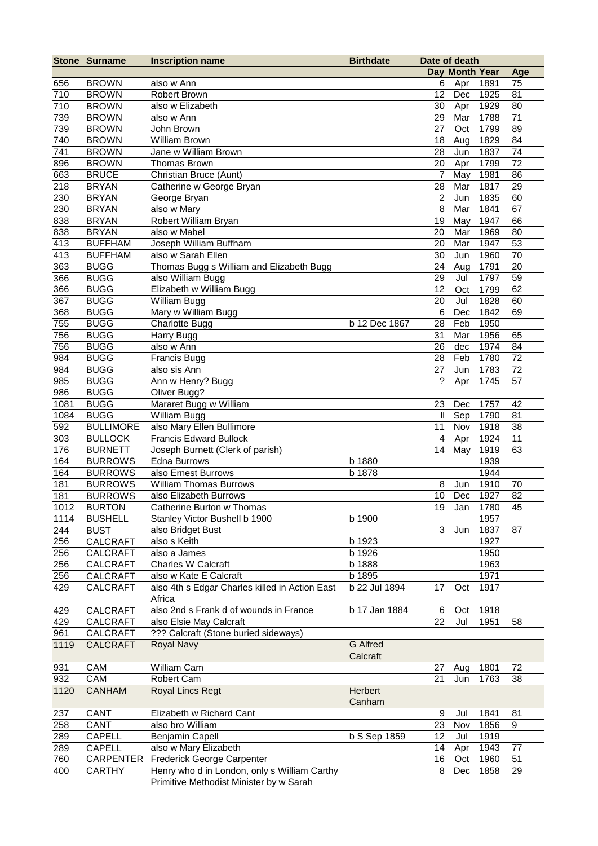|             | <b>Stone Surname</b> | <b>Inscription name</b>                        | <b>Birthdate</b> | Date of death  |                |             |     |
|-------------|----------------------|------------------------------------------------|------------------|----------------|----------------|-------------|-----|
|             |                      |                                                |                  |                | Day Month Year |             | Age |
| 656         | <b>BROWN</b>         | also w Ann                                     |                  | 6              | Apr            | 1891        | 75  |
| 710         | <b>BROWN</b>         | Robert Brown                                   |                  | 12             | Dec            | 1925        | 81  |
| 710         | <b>BROWN</b>         | also w Elizabeth                               |                  | 30             | Apr            | 1929        | 80  |
| 739         | <b>BROWN</b>         | also w Ann                                     |                  | 29             | Mar            | 1788        | 71  |
| 739         | <b>BROWN</b>         | John Brown                                     |                  | 27             | Oct            | 1799        | 89  |
| 740         | <b>BROWN</b>         | William Brown                                  |                  | 18             | Aug            | 1829        | 84  |
| 741         | <b>BROWN</b>         | Jane w William Brown                           |                  | 28             | Jun            | 1837        | 74  |
| 896         | <b>BROWN</b>         | Thomas Brown                                   |                  | 20             | Apr            | 1799        | 72  |
| 663         | <b>BRUCE</b>         | Christian Bruce (Aunt)                         |                  | $\overline{7}$ | May            | 1981        | 86  |
| 218         | <b>BRYAN</b>         | Catherine w George Bryan                       |                  | 28             | Mar            | 1817        | 29  |
| 230         | <b>BRYAN</b>         | George Bryan                                   |                  | $\overline{2}$ | Jun            | 1835        | 60  |
| 230         | <b>BRYAN</b>         | also w Mary                                    |                  | 8              | Mar            | 1841        | 67  |
| 838         | <b>BRYAN</b>         | Robert William Bryan                           |                  | 19             | May            | 1947        | 66  |
| 838         | <b>BRYAN</b>         | also w Mabel                                   |                  | 20             | Mar            | 1969        | 80  |
| 413         | <b>BUFFHAM</b>       | Joseph William Buffham                         |                  | 20             | Mar            | 1947        | 53  |
| 413         | <b>BUFFHAM</b>       | also w Sarah Ellen                             |                  | 30             | Jun            | 1960        | 70  |
| 363         | <b>BUGG</b>          | Thomas Bugg s William and Elizabeth Bugg       |                  | 24             | Aug            | 1791        | 20  |
| 366         | <b>BUGG</b>          | also William Bugg                              |                  | 29             | Jul            | 1797        | 59  |
| 366         | <b>BUGG</b>          | Elizabeth w William Bugg                       |                  | 12             | Oct            | 1799        | 62  |
| 367         | <b>BUGG</b>          | William Bugg                                   |                  | 20             | Jul            | 1828        | 60  |
| 368         | <b>BUGG</b>          | Mary w William Bugg                            |                  | $\,6$          | Dec            | 1842        | 69  |
| 755         | <b>BUGG</b>          | <b>Charlotte Bugg</b>                          | b 12 Dec 1867    | 28             | Feb            | 1950        |     |
| 756         | <b>BUGG</b>          | Harry Bugg                                     |                  | 31             | Mar            | 1956        | 65  |
| 756         | <b>BUGG</b>          | also w Ann                                     |                  | 26             | dec            | 1974        | 84  |
| 984         | <b>BUGG</b>          | Francis Bugg                                   |                  | 28             | Feb            | 1780        | 72  |
| 984         | <b>BUGG</b>          | also sis Ann                                   |                  | 27             | Jun            | 1783        | 72  |
| 985         | <b>BUGG</b>          | Ann w Henry? Bugg                              |                  | ?              | Apr            | 1745        | 57  |
| 986         | <b>BUGG</b>          | Oliver Bugg?                                   |                  |                |                |             |     |
| 1081        | <b>BUGG</b>          | Mararet Bugg w William                         |                  | 23             | Dec            | 1757        | 42  |
| 1084        | <b>BUGG</b>          | William Bugg                                   |                  | Ш              | Sep            | 1790        | 81  |
| 592         | <b>BULLIMORE</b>     | also Mary Ellen Bullimore                      |                  | 11             | Nov            | 1918        | 38  |
| 303         | <b>BULLOCK</b>       | <b>Francis Edward Bullock</b>                  |                  | 4              | Apr            | 1924        | 11  |
| 176         | <b>BURNETT</b>       | Joseph Burnett (Clerk of parish)               |                  | 14             | May            | 1919        | 63  |
| 164         | <b>BURROWS</b>       | <b>Edna Burrows</b>                            | b 1880           |                |                | 1939        |     |
| 164         | <b>BURROWS</b>       | also Ernest Burrows                            | b 1878           |                |                | 1944        |     |
| 181         | <b>BURROWS</b>       | <b>William Thomas Burrows</b>                  |                  | 8              | Jun            | 1910        | 70  |
| 181         | <b>BURROWS</b>       | also Elizabeth Burrows                         |                  | 10             | Dec            | 1927        | 82  |
| 1012        | <b>BURTON</b>        | Catherine Burton w Thomas                      |                  |                |                | 19 Jan 1780 | 45  |
| 1114        | <b>BUSHELL</b>       | Stanley Victor Bushell b 1900                  | b 1900           |                |                | 1957        |     |
| 244         | <b>BUST</b>          | also Bridget Bust                              |                  | 3              | Jun            | 1837        | 87  |
| 256         | CALCRAFT             | also s Keith                                   | b 1923           |                |                | 1927        |     |
| 256         | <b>CALCRAFT</b>      | also a James                                   | b 1926           |                |                | 1950        |     |
| 256         | <b>CALCRAFT</b>      | <b>Charles W Calcraft</b>                      | b 1888           |                |                | 1963        |     |
| 256         | CALCRAFT             | also w Kate E Calcraft                         | b 1895           |                |                | 1971        |     |
| 429         | <b>CALCRAFT</b>      | also 4th s Edgar Charles killed in Action East | b 22 Jul 1894    | 17             | Oct            | 1917        |     |
|             |                      | Africa                                         |                  |                |                |             |     |
| 429         | CALCRAFT             | also 2nd s Frank d of wounds in France         | b 17 Jan 1884    | 6              | Oct            | 1918        |     |
| 429         | CALCRAFT             | also Elsie May Calcraft                        |                  | 22             | Jul            | 1951        | 58  |
| 961         | CALCRAFT             | ??? Calcraft (Stone buried sideways)           |                  |                |                |             |     |
| 1119        | <b>CALCRAFT</b>      | <b>Royal Navy</b>                              | <b>G</b> Alfred  |                |                |             |     |
|             | CAM                  | William Cam                                    | Calcraft         | 27             |                | 1801        | 72  |
| 931         | CAM                  | Robert Cam                                     |                  |                | Aug            |             |     |
| 932<br>1120 | <b>CANHAM</b>        |                                                | Herbert          | 21             | Jun            | 1763        | 38  |
|             |                      | <b>Royal Lincs Regt</b>                        | Canham           |                |                |             |     |
| 237         | CANT                 | Elizabeth w Richard Cant                       |                  | 9              | Jul            | 1841        | 81  |
| 258         | CANT                 | also bro William                               |                  | 23             | Nov            | 1856        | 9   |
| 289         | <b>CAPELL</b>        | Benjamin Capell                                | b S Sep 1859     | 12             | Jul            | 1919        |     |
| 289         | <b>CAPELL</b>        | also w Mary Elizabeth                          |                  | 14             | Apr            | 1943        | 77  |
| 760         | <b>CARPENTER</b>     | Frederick George Carpenter                     |                  | 16             | Oct            | 1960        | 51  |
| 400         | <b>CARTHY</b>        | Henry who d in London, only s William Carthy   |                  | 8              | Dec            | 1858        | 29  |
|             |                      | Primitive Methodist Minister by w Sarah        |                  |                |                |             |     |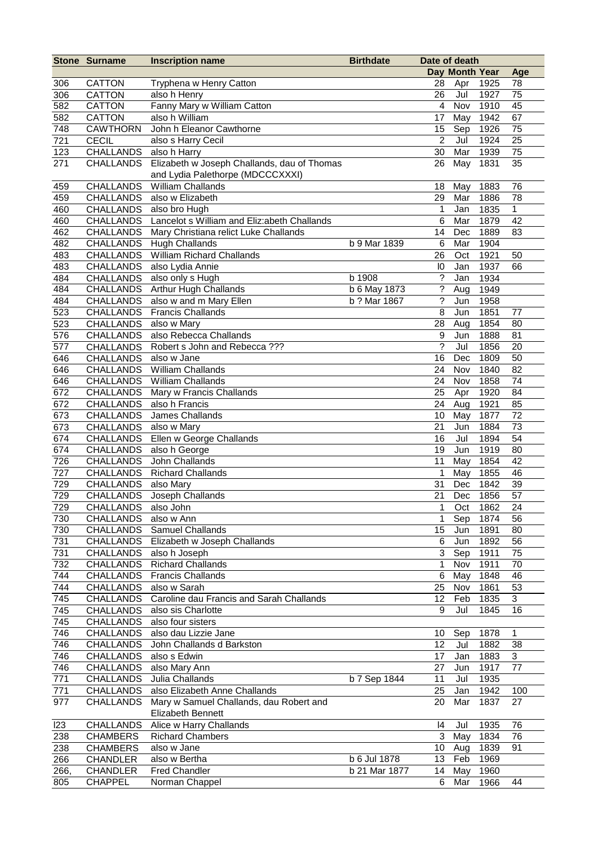|            | <b>Stone Surname</b>   | <b>Inscription name</b>                               | <b>Birthdate</b> |                 | Date of death  |      |              |
|------------|------------------------|-------------------------------------------------------|------------------|-----------------|----------------|------|--------------|
|            |                        |                                                       |                  |                 | Day Month Year |      | Age          |
| 306        | <b>CATTON</b>          | Tryphena w Henry Catton                               |                  | 28              | Apr            | 1925 | 78           |
| 306        | <b>CATTON</b>          | also h Henry                                          |                  | 26              | Jul            | 1927 | 75           |
| 582        | <b>CATTON</b>          | Fanny Mary w William Catton                           |                  | 4               | Nov            | 1910 | 45           |
| 582        | <b>CATTON</b>          | also h William                                        |                  | 17              | May            | 1942 | 67           |
| 748        | <b>CAWTHORN</b>        | John h Eleanor Cawthorne                              |                  | 15              | Sep            | 1926 | 75           |
| 721        | <b>CECIL</b>           | also s Harry Cecil                                    |                  | $\overline{2}$  | Jul            | 1924 | 25           |
| 123        | <b>CHALLANDS</b>       | also h Harry                                          |                  | 30              | Mar            | 1939 | 75           |
| 271        | <b>CHALLANDS</b>       | Elizabeth w Joseph Challands, dau of Thomas           |                  | 26              | May            | 1831 | 35           |
|            |                        | and Lydia Palethorpe (MDCCCXXXI)                      |                  |                 |                |      |              |
| 459        | <b>CHALLANDS</b>       | <b>William Challands</b>                              |                  | 18              |                |      | 76           |
|            |                        |                                                       |                  |                 | May            | 1883 |              |
| 459        | <b>CHALLANDS</b>       | also w Elizabeth                                      |                  | 29              | Mar            | 1886 | 78           |
| 460        | CHALLANDS              | also bro Hugh                                         |                  | 1               | Jan            | 1835 | $\mathbf{1}$ |
| 460        |                        | CHALLANDS Lancelot s William and Eliz:abeth Challands |                  | 6               | Mar            | 1879 | 42           |
| 462        |                        | CHALLANDS Mary Christiana relict Luke Challands       |                  | 14              | Dec            | 1889 | 83           |
| 482        |                        | CHALLANDS Hugh Challands                              | b 9 Mar 1839     | 6               | Mar            | 1904 |              |
| 483        |                        | CHALLANDS William Richard Challands                   |                  | 26              | Oct            | 1921 | 50           |
| 483        | <b>CHALLANDS</b>       | also Lydia Annie                                      |                  | 10              | Jan            | 1937 | 66           |
| 484        | CHALLANDS              | also only s Hugh                                      | b 1908           | ?               | Jan            | 1934 |              |
| 484        | <b>CHALLANDS</b>       | <b>Arthur Hugh Challands</b>                          | b 6 May 1873     | ?               | Aug            | 1949 |              |
| 484        | <b>CHALLANDS</b>       | also w and m Mary Ellen                               | b ? Mar 1867     | ?               | Jun            | 1958 |              |
| 523        | <b>CHALLANDS</b>       | <b>Francis Challands</b>                              |                  | 8               | Jun            | 1851 | 77           |
| 523        | CHALLANDS              | also w Mary                                           |                  | 28              | Aug            | 1854 | 80           |
| 576        | CHALLANDS              | also Rebecca Challands                                |                  | 9               | Jun            | 1888 | 81           |
| 577        | <b>CHALLANDS</b>       | Robert s John and Rebecca ???                         |                  | ?               | Jul            | 1856 | 20           |
| 646        | CHALLANDS also w Jane  |                                                       |                  | 16              | Dec            | 1809 | 50           |
| 646        | CHALLANDS              | <b>William Challands</b>                              |                  | 24              | Nov            | 1840 | 82           |
| 646        | <b>CHALLANDS</b>       | William Challands                                     |                  | 24              | Nov            | 1858 | 74           |
| 672        | <b>CHALLANDS</b>       | Mary w Francis Challands                              |                  | 25              | Apr            | 1920 | 84           |
|            | <b>CHALLANDS</b>       | also h Francis                                        |                  | 24              | Aug            | 1921 | 85           |
| 672<br>673 | <b>CHALLANDS</b>       | James Challands                                       |                  |                 |                | 1877 | 72           |
|            |                        |                                                       |                  | 10              | May            |      |              |
| 673        | CHALLANDS              | also w Mary                                           |                  | 21              | Jun            | 1884 | 73           |
| 674        |                        | CHALLANDS Ellen w George Challands                    |                  | 16              | Jul            | 1894 | 54           |
| 674        | CHALLANDS              | also h George                                         |                  | 19              | Jun            | 1919 | 80           |
| 726        | <b>CHALLANDS</b>       | John Challands                                        |                  | 11              | May            | 1854 | 42           |
| 727        |                        | CHALLANDS Richard Challands                           |                  | $\mathbf 1$     | May            | 1855 | 46           |
| 729        | CHALLANDS also Mary    |                                                       |                  | 31              | Dec            | 1842 | 39           |
| 729        | <b>CHALLANDS</b>       | Joseph Challands                                      |                  | 21              | Dec            | 1856 | 57           |
| 729        | CHALLANDS also John    |                                                       |                  |                 | 1 Oct 1862     |      | 24           |
| 730        | CHALLANDS also w Ann   |                                                       |                  | 1               | Sep            | 1874 | 56           |
| 730        |                        | CHALLANDS Samuel Challands                            |                  | 15              | Jun            | 1891 | 80           |
| 731        |                        | CHALLANDS Elizabeth w Joseph Challands                |                  | 6               | Jun            | 1892 | 56           |
| 731        |                        | CHALLANDS also h Joseph                               |                  | 3               | Sep            | 1911 | 75           |
| 732        |                        | CHALLANDS Richard Challands                           |                  | 1               | Nov            | 1911 | 70           |
| 744        |                        | CHALLANDS Francis Challands                           |                  | 6               | May            | 1848 | 46           |
| 744        | CHALLANDS also w Sarah |                                                       |                  | 25              | Nov            | 1861 | 53           |
| 745        |                        | CHALLANDS Caroline dau Francis and Sarah Challands    |                  | 12              | Feb            | 1835 | 3            |
| 745        | <b>CHALLANDS</b>       | also sis Charlotte                                    |                  | 9               | Jul            | 1845 | 16           |
| 745        | CHALLANDS              | also four sisters                                     |                  |                 |                |      |              |
| 746        | <b>CHALLANDS</b>       | also dau Lizzie Jane                                  |                  | 10              | Sep            | 1878 | 1            |
| 746        | CHALLANDS              | John Challands d Barkston                             |                  | 12              | Jul            | 1882 | 38           |
| 746        | CHALLANDS              | also s Edwin                                          |                  | 17              | Jan            | 1883 | 3            |
| 746        | CHALLANDS              | also Mary Ann                                         |                  | 27              | Jun            | 1917 | 77           |
| 771        | CHALLANDS              | Julia Challands                                       | b 7 Sep 1844     | 11              | Jul            | 1935 |              |
| 771        | <b>CHALLANDS</b>       | also Elizabeth Anne Challands                         |                  | 25              | Jan            | 1942 | 100          |
| 977        |                        |                                                       |                  |                 | Mar            |      |              |
|            | <b>CHALLANDS</b>       | Mary w Samuel Challands, dau Robert and               |                  | 20              |                | 1837 | 27           |
|            |                        | <b>Elizabeth Bennett</b>                              |                  |                 |                |      |              |
| 123        | CHALLANDS              | Alice w Harry Challands                               |                  | 14              | Jul            | 1935 | 76           |
| 238        | <b>CHAMBERS</b>        | <b>Richard Chambers</b>                               |                  | 3               | May            | 1834 | 76           |
| 238        | <b>CHAMBERS</b>        | also w Jane                                           |                  | 10              | Aug            | 1839 | 91           |
| 266        | <b>CHANDLER</b>        | also w Bertha                                         | b 6 Jul 1878     | 13 <sup>7</sup> | Feb            | 1969 |              |
| 266,       | <b>CHANDLER</b>        | <b>Fred Chandler</b>                                  | b 21 Mar 1877    | 14              | May            | 1960 |              |
| 805        | <b>CHAPPEL</b>         | Norman Chappel                                        |                  | 6               | Mar            | 1966 | 44           |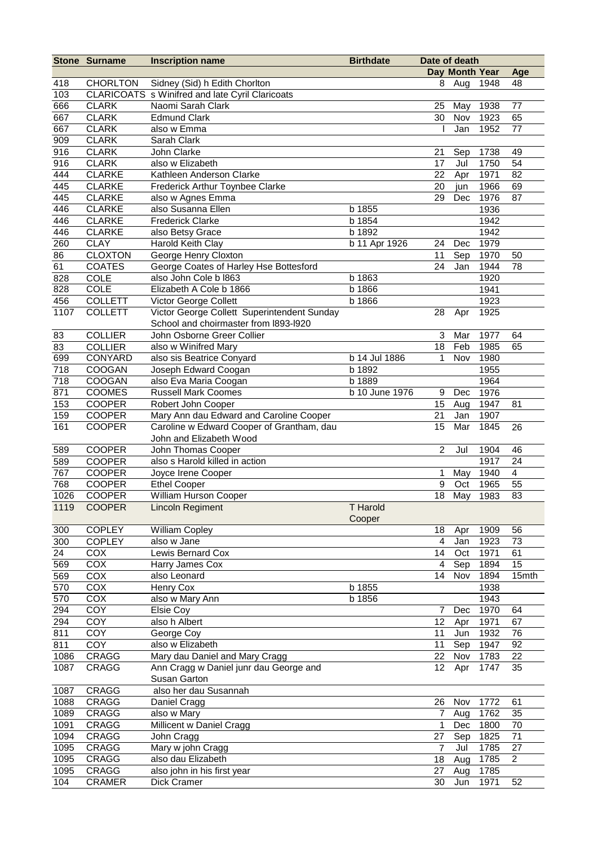|      | <b>Stone Surname</b> | <b>Inscription name</b>                                | <b>Birthdate</b>   | Date of death  |                |      |                |
|------|----------------------|--------------------------------------------------------|--------------------|----------------|----------------|------|----------------|
|      |                      |                                                        |                    |                | Day Month Year |      | Age            |
| 418  | <b>CHORLTON</b>      | Sidney (Sid) h Edith Chorlton                          |                    | 8              | Aug            | 1948 | 48             |
| 103  |                      | <b>CLARICOATS</b> s Winifred and late Cyril Claricoats |                    |                |                |      |                |
| 666  | <b>CLARK</b>         | Naomi Sarah Clark                                      |                    | 25             | May            | 1938 | 77             |
| 667  | <b>CLARK</b>         | <b>Edmund Clark</b>                                    |                    | 30             | Nov            | 1923 | 65             |
| 667  | <b>CLARK</b>         | also w Emma                                            |                    |                | Jan            | 1952 | 77             |
| 909  | <b>CLARK</b>         | Sarah Clark                                            |                    |                |                |      |                |
| 916  | <b>CLARK</b>         | John Clarke                                            |                    | 21             | Sep            | 1738 | 49             |
| 916  | <b>CLARK</b>         | also w Elizabeth                                       |                    | 17             | Jul            | 1750 | 54             |
| 444  | <b>CLARKE</b>        | Kathleen Anderson Clarke                               |                    | 22             | Apr            | 1971 | 82             |
| 445  | <b>CLARKE</b>        | Frederick Arthur Toynbee Clarke                        |                    | 20             | jun            | 1966 | 69             |
| 445  | <b>CLARKE</b>        | also w Agnes Emma                                      |                    | 29             | Dec            | 1976 | 87             |
| 446  | <b>CLARKE</b>        | also Susanna Ellen                                     | b 1855             |                |                | 1936 |                |
| 446  | <b>CLARKE</b>        | <b>Frederick Clarke</b>                                | b 1854             |                |                | 1942 |                |
| 446  | <b>CLARKE</b>        | also Betsy Grace                                       | b 1892             |                |                | 1942 |                |
| 260  | <b>CLAY</b>          | Harold Keith Clay                                      | b 11 Apr 1926      | 24             | Dec            | 1979 |                |
| 86   | <b>CLOXTON</b>       | George Henry Cloxton                                   |                    | 11             | Sep            | 1970 | 50             |
| 61   | <b>COATES</b>        | George Coates of Harley Hse Bottesford                 |                    | 24             | Jan            | 1944 | 78             |
| 828  | COLE                 | also John Cole b I863                                  | b 1863             |                |                | 1920 |                |
| 828  | <b>COLE</b>          | Elizabeth A Cole b 1866                                | b 1866             |                |                | 1941 |                |
| 456  | <b>COLLETT</b>       | Victor George Collett                                  | b 1866             |                |                | 1923 |                |
| 1107 | <b>COLLETT</b>       | Victor George Collett Superintendent Sunday            |                    | 28             | Apr            | 1925 |                |
|      |                      | School and choirmaster from I893-I920                  |                    |                |                |      |                |
| 83   | <b>COLLIER</b>       | John Osborne Greer Collier                             |                    | 3              | Mar            | 1977 | 64             |
| 83   | <b>COLLIER</b>       | also w Winifred Mary                                   |                    | 18             | Feb            | 1985 | 65             |
| 699  | CONYARD              | also sis Beatrice Conyard                              | b 14 Jul 1886      | 1              | Nov            | 1980 |                |
| 718  | COOGAN               | Joseph Edward Coogan                                   | b 1892             |                |                | 1955 |                |
| 718  | COOGAN               | also Eva Maria Coogan                                  | b 1889             |                |                | 1964 |                |
| 871  | COOMES               | <b>Russell Mark Coomes</b>                             | b 10 June 1976     | 9              | Dec            | 1976 |                |
| 153  | <b>COOPER</b>        | Robert John Cooper                                     |                    | 15             | Aug            | 1947 | 81             |
| 159  | COOPER               | Mary Ann dau Edward and Caroline Cooper                |                    | 21             | Jan            | 1907 |                |
| 161  | <b>COOPER</b>        | Caroline w Edward Cooper of Grantham, dau              |                    | 15             | Mar            | 1845 | 26             |
|      |                      | John and Elizabeth Wood                                |                    |                |                |      |                |
| 589  | <b>COOPER</b>        | John Thomas Cooper                                     |                    | $\overline{2}$ | Jul            | 1904 | 46             |
| 589  | <b>COOPER</b>        | also s Harold killed in action                         |                    |                |                | 1917 | 24             |
| 767  | COOPER               | Joyce Irene Cooper                                     |                    | 1              | May            | 1940 | $\overline{4}$ |
| 768  | <b>COOPER</b>        | <b>Ethel Cooper</b>                                    |                    | 9              | Oct            | 1965 | 55             |
| 1026 | <b>COOPER</b>        | William Hurson Cooper                                  |                    | 18             | May            | 1983 | 83             |
| 1119 | <b>COOPER</b>        | Lincoln Regiment                                       | T Harold<br>Cooper |                |                |      |                |
| 300  | <b>COPLEY</b>        | <b>William Copley</b>                                  |                    | 18             | Apr            | 1909 | 56             |
| 300  | <b>COPLEY</b>        | also w Jane                                            |                    | $\overline{4}$ | Jan            | 1923 | 73             |
| 24   | COX                  | Lewis Bernard Cox                                      |                    | 14             | Oct            | 1971 | 61             |
| 569  | COX                  | Harry James Cox                                        |                    | 4              | Sep            | 1894 | 15             |
| 569  | COX                  | also Leonard                                           |                    | 14             | Nov            | 1894 | 15mth          |
| 570  | COX                  | Henry Cox                                              | b 1855             |                |                | 1938 |                |
| 570  | COX                  | also w Mary Ann                                        | b 1856             |                |                | 1943 |                |
| 294  | COY                  | Elsie Coy                                              |                    | 7              | Dec            | 1970 | 64             |
| 294  | COY                  | also h Albert                                          |                    | 12             | Apr            | 1971 | 67             |
| 811  | COY                  | George Coy                                             |                    | 11             | Jun            | 1932 | 76             |
| 811  | COY                  | also w Elizabeth                                       |                    | 11             | Sep            | 1947 | 92             |
| 1086 | CRAGG                | Mary dau Daniel and Mary Cragg                         |                    | 22             | Nov            | 1783 | 22             |
| 1087 | CRAGG                | Ann Cragg w Daniel junr dau George and                 |                    | 12             | Apr            | 1747 | 35             |
|      |                      | Susan Garton                                           |                    |                |                |      |                |
| 1087 | CRAGG                | also her dau Susannah                                  |                    |                |                |      |                |
| 1088 | CRAGG                | Daniel Cragg                                           |                    | 26             | Nov            | 1772 | 61             |
| 1089 | CRAGG                | also w Mary                                            |                    | 7              | Aug            | 1762 | 35             |
| 1091 | CRAGG                | Millicent w Daniel Cragg                               |                    | 1              | Dec            | 1800 | 70             |
| 1094 | CRAGG                | John Cragg                                             |                    | 27             | Sep            | 1825 | 71             |
| 1095 | CRAGG                | Mary w john Cragg                                      |                    | $\overline{7}$ | Jul            | 1785 | 27             |
| 1095 | CRAGG                | also dau Elizabeth                                     |                    | 18             | Aug            | 1785 | $\overline{c}$ |
| 1095 | CRAGG                | also john in his first year                            |                    | 27             | Aug            | 1785 |                |
| 104  | <b>CRAMER</b>        | Dick Cramer                                            |                    | 30             | Jun            | 1971 | 52             |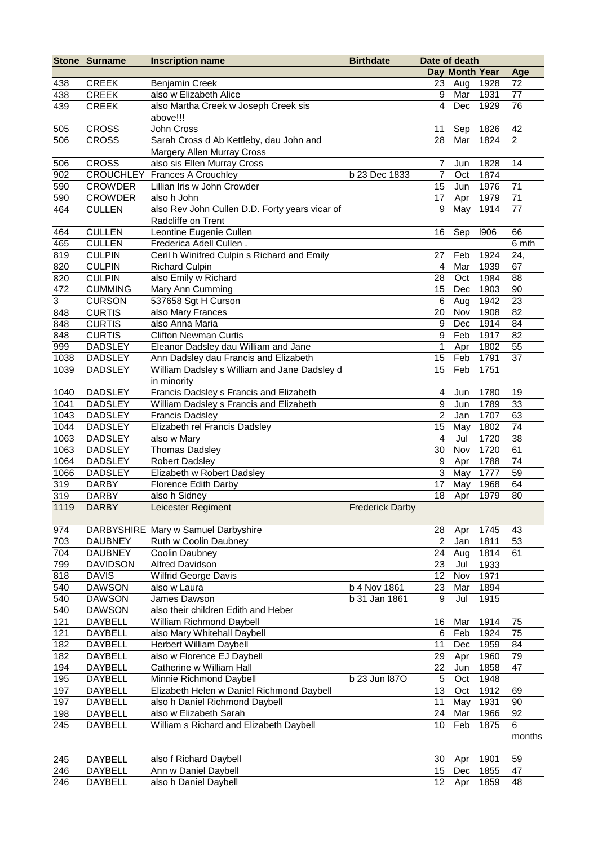|              | <b>Stone Surname</b> | <b>Inscription name</b>                                              | <b>Birthdate</b>       | Date of death            |                |      |                |
|--------------|----------------------|----------------------------------------------------------------------|------------------------|--------------------------|----------------|------|----------------|
|              |                      |                                                                      |                        |                          | Day Month Year |      | Age            |
| 438          | <b>CREEK</b>         | Benjamin Creek                                                       |                        | 23                       | Aug            | 1928 | 72             |
| 438          | <b>CREEK</b>         | also w Elizabeth Alice                                               |                        | 9                        | Mar            | 1931 | 77             |
| 439          | <b>CREEK</b>         | also Martha Creek w Joseph Creek sis                                 |                        | 4                        | <b>Dec</b>     | 1929 | 76             |
| 505          | <b>CROSS</b>         | above!!!<br>John Cross                                               |                        | 11                       | Sep            | 1826 | 42             |
| 506          | <b>CROSS</b>         | Sarah Cross d Ab Kettleby, dau John and                              |                        | 28                       | Mar            | 1824 | $\overline{2}$ |
|              |                      | Margery Allen Murray Cross                                           |                        |                          |                |      |                |
| 506          | <b>CROSS</b>         | also sis Ellen Murray Cross                                          |                        | 7                        | Jun            | 1828 | 14             |
| 902          |                      | <b>CROUCHLEY Frances A Crouchley</b>                                 | b 23 Dec 1833          | 7                        | Oct            | 1874 |                |
| 590          | <b>CROWDER</b>       | Lillian Iris w John Crowder                                          |                        | 15                       | Jun            | 1976 | 71             |
| 590          | <b>CROWDER</b>       | also h John                                                          |                        | 17                       | Apr            | 1979 | 71             |
| 464          | <b>CULLEN</b>        | also Rev John Cullen D.D. Forty years vicar of<br>Radcliffe on Trent |                        | 9                        | May            | 1914 | 77             |
| 464          | <b>CULLEN</b>        | Leontine Eugenie Cullen                                              |                        | 16                       | Sep            | 1906 | 66             |
| 465          | <b>CULLEN</b>        | Frederica Adell Cullen.                                              |                        |                          |                |      | 6 mth          |
| 819          | <b>CULPIN</b>        | Ceril h Winifred Culpin s Richard and Emily                          |                        | 27                       | Feb            | 1924 | 24,            |
| 820          | <b>CULPIN</b>        | <b>Richard Culpin</b>                                                |                        | $\overline{\mathcal{A}}$ | Mar            | 1939 | 67             |
| 820          | <b>CULPIN</b>        | also Emily w Richard                                                 |                        | 28                       | Oct            | 1984 | 88             |
| 472          | <b>CUMMING</b>       | Mary Ann Cumming                                                     |                        | 15                       | Dec            | 1903 | 90             |
| $\mathbf{3}$ | <b>CURSON</b>        | 537658 Sgt H Curson                                                  |                        | $6\phantom{1}6$          | Aug            | 1942 | 23             |
| 848          | <b>CURTIS</b>        | also Mary Frances                                                    |                        | 20                       | Nov            | 1908 | 82             |
| 848          | <b>CURTIS</b>        | also Anna Maria                                                      |                        | $\boldsymbol{9}$         | Dec            | 1914 | 84             |
| 848          | <b>CURTIS</b>        | <b>Clifton Newman Curtis</b>                                         |                        | 9                        |                | 1917 |                |
|              |                      |                                                                      |                        |                          | Feb            |      | 82             |
| 999          | <b>DADSLEY</b>       | Eleanor Dadsley dau William and Jane                                 |                        | 1                        | Apr            | 1802 | 55             |
| 1038         | <b>DADSLEY</b>       | Ann Dadsley dau Francis and Elizabeth                                |                        | 15                       | Feb            | 1791 | 37             |
| 1039         | <b>DADSLEY</b>       | William Dadsley s William and Jane Dadsley d<br>in minority          |                        | 15                       | Feb            | 1751 |                |
| 1040         | <b>DADSLEY</b>       | Francis Dadsley s Francis and Elizabeth                              |                        | 4                        | Jun            | 1780 | 19             |
| 1041         | <b>DADSLEY</b>       | William Dadsley s Francis and Elizabeth                              |                        | 9                        | Jun            | 1789 | 33             |
| 1043         | <b>DADSLEY</b>       | <b>Francis Dadsley</b>                                               |                        | $\overline{2}$           | Jan            | 1707 | 63             |
| 1044         | <b>DADSLEY</b>       | Elizabeth rel Francis Dadsley                                        |                        | 15                       | May            | 1802 | 74             |
| 1063         | <b>DADSLEY</b>       | also w Mary                                                          |                        | 4                        | Jul            | 1720 | 38             |
| 1063         | <b>DADSLEY</b>       | <b>Thomas Dadsley</b>                                                |                        | 30                       | Nov            | 1720 | 61             |
| 1064         | <b>DADSLEY</b>       | <b>Robert Dadsley</b>                                                |                        | 9                        | Apr            | 1788 | 74             |
| 1066         | <b>DADSLEY</b>       | Elizabeth w Robert Dadsley                                           |                        | 3                        | May            | 1777 | 59             |
| 319          | <b>DARBY</b>         | Florence Edith Darby                                                 |                        | 17                       | May            | 1968 | 64             |
| 319          | <b>DARBY</b>         | also h Sidney                                                        |                        | 18                       | Apr            | 1979 | 80             |
| 1119         | <b>DARBY</b>         | Leicester Regiment                                                   | <b>Frederick Darby</b> |                          |                |      |                |
| 974          |                      | DARBYSHIRE Mary w Samuel Darbyshire                                  |                        | 28                       | Apr            | 1745 | 43             |
| 703          | <b>DAUBNEY</b>       | Ruth w Coolin Daubney                                                |                        | $\overline{2}$           | Jan            | 1811 | 53             |
| 704          | <b>DAUBNEY</b>       | Coolin Daubney                                                       |                        | 24                       | Aug            | 1814 | 61             |
| 799          | <b>DAVIDSON</b>      | Alfred Davidson                                                      |                        | 23                       | Jul            | 1933 |                |
| 818          | <b>DAVIS</b>         | <b>Wilfrid George Davis</b>                                          |                        | 12 <sub>2</sub>          | Nov            | 1971 |                |
|              |                      | also w Laura                                                         | b 4 Nov 1861           |                          | Mar            | 1894 |                |
| 540          | <b>DAWSON</b>        |                                                                      |                        | 23                       |                |      |                |
| 540          | <b>DAWSON</b>        | James Dawson                                                         | b 31 Jan 1861          | 9                        | Jul            | 1915 |                |
| 540          | <b>DAWSON</b>        | also their children Edith and Heber                                  |                        |                          |                |      |                |
| 121          | DAYBELL              | William Richmond Daybell                                             |                        | 16                       | Mar            | 1914 | 75             |
| 121          | <b>DAYBELL</b>       | also Mary Whitehall Daybell                                          |                        | 6                        | Feb            | 1924 | 75             |
| 182          | <b>DAYBELL</b>       | Herbert William Daybell                                              |                        | 11                       | Dec            | 1959 | 84             |
| 182          | <b>DAYBELL</b>       | also w Florence EJ Daybell                                           |                        | 29                       | Apr            | 1960 | 79             |
| 194          | <b>DAYBELL</b>       | Catherine w William Hall                                             |                        | 22                       | Jun            | 1858 | 47             |
| 195          | <b>DAYBELL</b>       | Minnie Richmond Daybell                                              | b 23 Jun 1870          | 5                        | Oct            | 1948 |                |
| 197          | <b>DAYBELL</b>       | Elizabeth Helen w Daniel Richmond Daybell                            |                        | 13                       | Oct            | 1912 | 69             |
| 197          | <b>DAYBELL</b>       | also h Daniel Richmond Daybell                                       |                        | 11                       | May            | 1931 | 90             |
| 198          | <b>DAYBELL</b>       | also w Elizabeth Sarah                                               |                        | 24                       | Mar            | 1966 | 92             |
| 245          | <b>DAYBELL</b>       | William s Richard and Elizabeth Daybell                              |                        | 10                       | Feb            | 1875 | 6              |
|              |                      |                                                                      |                        |                          |                |      | months         |
| 245          | <b>DAYBELL</b>       | also f Richard Daybell                                               |                        | 30                       | Apr            | 1901 | 59             |
| 246          | DAYBELL              | Ann w Daniel Daybell                                                 |                        | 15                       | Dec            | 1855 | 47             |

246 DAYBELL also h Daniel Daybell 12 Apr 1859 48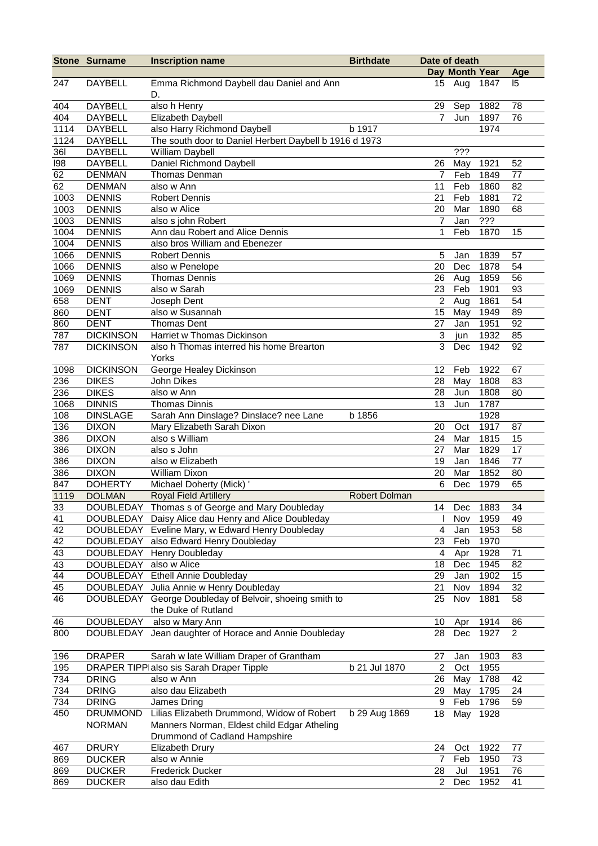|              | <b>Stone Surname</b>           | <b>Inscription name</b>                                              | <b>Birthdate</b>     | Date of death             |                |      |                |
|--------------|--------------------------------|----------------------------------------------------------------------|----------------------|---------------------------|----------------|------|----------------|
|              |                                |                                                                      |                      |                           | Day Month Year |      | Age            |
| 247          | <b>DAYBELL</b>                 | Emma Richmond Daybell dau Daniel and Ann<br>D.                       |                      |                           | 15 Aug         | 1847 | $\overline{5}$ |
| 404          | <b>DAYBELL</b>                 | also h Henry                                                         |                      | 29                        | Sep            | 1882 | 78             |
| 404          | <b>DAYBELL</b>                 | Elizabeth Daybell                                                    |                      | 7                         | Jun            | 1897 | 76             |
| 1114         | <b>DAYBELL</b>                 | also Harry Richmond Daybell                                          | b 1917               |                           |                | 1974 |                |
| 1124         | <b>DAYBELL</b>                 | The south door to Daniel Herbert Daybell b 1916 d 1973               |                      |                           |                |      |                |
| 361          | <b>DAYBELL</b>                 | William Daybell                                                      |                      |                           | ???            |      |                |
| 198          | <b>DAYBELL</b>                 | Daniel Richmond Daybell                                              |                      | 26                        | May            | 1921 | 52             |
| 62           | <b>DENMAN</b>                  | Thomas Denman                                                        |                      | $\overline{7}$            | Feb            | 1849 | 77             |
| 62           | <b>DENMAN</b>                  | also w Ann                                                           |                      | 11                        | Feb            | 1860 | 82             |
| 1003         | <b>DENNIS</b>                  | <b>Robert Dennis</b>                                                 |                      | 21                        | Feb            | 1881 | 72             |
|              |                                |                                                                      |                      | 20                        | Mar            | 1890 | 68             |
| 1003<br>1003 | <b>DENNIS</b><br><b>DENNIS</b> | also w Alice                                                         |                      | 7                         |                | ???  |                |
|              |                                | also s john Robert                                                   |                      |                           | Jan            |      |                |
| 1004         | <b>DENNIS</b>                  | Ann dau Robert and Alice Dennis                                      |                      | 1                         | Feb            | 1870 | 15             |
| 1004         | <b>DENNIS</b>                  | also bros William and Ebenezer                                       |                      |                           |                |      |                |
| 1066         | <b>DENNIS</b>                  | <b>Robert Dennis</b>                                                 |                      | 5                         | Jan            | 1839 | 57             |
| 1066         | <b>DENNIS</b>                  | also w Penelope                                                      |                      | 20                        | Dec            | 1878 | 54             |
| 1069         | <b>DENNIS</b>                  | <b>Thomas Dennis</b>                                                 |                      | 26                        | Aug            | 1859 | 56             |
| 1069         | <b>DENNIS</b>                  | also w Sarah                                                         |                      | 23                        | Feb            | 1901 | 93             |
| 658          | <b>DENT</b>                    | Joseph Dent                                                          |                      | $\overline{c}$            | Aug            | 1861 | 54             |
| 860          | <b>DENT</b>                    | also w Susannah                                                      |                      | 15                        | May            | 1949 | 89             |
| 860          | <b>DENT</b>                    | <b>Thomas Dent</b>                                                   |                      | 27                        | Jan            | 1951 | 92             |
| 787          | <b>DICKINSON</b>               | Harriet w Thomas Dickinson                                           |                      | $\ensuremath{\mathsf{3}}$ | jun            | 1932 | 85             |
| 787          | <b>DICKINSON</b>               | also h Thomas interred his home Brearton<br>Yorks                    |                      | 3                         | Dec            | 1942 | 92             |
| 1098         | <b>DICKINSON</b>               | George Healey Dickinson                                              |                      | 12                        | Feb            | 1922 | 67             |
| 236          | <b>DIKES</b>                   | John Dikes                                                           |                      | 28                        | May            | 1808 | 83             |
| 236          | <b>DIKES</b>                   | also w Ann                                                           |                      | 28                        | Jun            | 1808 | 80             |
| 1068         | <b>DINNIS</b>                  | <b>Thomas Dinnis</b>                                                 |                      | 13                        | Jun            | 1787 |                |
| 108          | <b>DINSLAGE</b>                | Sarah Ann Dinslage? Dinslace? nee Lane                               | b 1856               |                           |                | 1928 |                |
| 136          | <b>DIXON</b>                   | Mary Elizabeth Sarah Dixon                                           |                      | 20                        | Oct            | 1917 | 87             |
| 386          | <b>DIXON</b>                   | also s William                                                       |                      | 24                        | Mar            | 1815 | 15             |
| 386          | <b>DIXON</b>                   | also s John                                                          |                      | 27                        | Mar            | 1829 | 17             |
| 386          | <b>DIXON</b>                   | also w Elizabeth                                                     |                      | 19                        | Jan            | 1846 | 77             |
|              |                                | William Dixon                                                        |                      |                           |                | 1852 |                |
| 386          | <b>DIXON</b>                   |                                                                      |                      | 20                        | Mar            |      | 80             |
| 847          | <b>DOHERTY</b>                 | Michael Doherty (Mick) '                                             |                      | 6                         | Dec            | 1979 | 65             |
| 1119         | <b>DOLMAN</b>                  | <b>Royal Field Artillery</b>                                         | <b>Robert Dolman</b> |                           |                |      |                |
| 33           | DOUBLEDAY                      | Thomas s of George and Mary Doubleday                                |                      |                           | 14 Dec         | 1883 | 34             |
| 41           | <b>DOUBLEDAY</b>               | Daisy Alice dau Henry and Alice Doubleday                            |                      |                           | Nov            | 1959 | 49             |
| 42           | <b>DOUBLEDAY</b>               | Eveline Mary, w Edward Henry Doubleday                               |                      | $\overline{4}$            | Jan            | 1953 | 58             |
| 42           | <b>DOUBLEDAY</b>               | also Edward Henry Doubleday                                          |                      | 23                        | Feb            | 1970 |                |
| 43           | <b>DOUBLEDAY</b>               | Henry Doubleday                                                      |                      | $\overline{4}$            | Apr            | 1928 | 71             |
| 43           | <b>DOUBLEDAY</b>               | also w Alice                                                         |                      | 18                        | Dec            | 1945 | 82             |
| 44           | <b>DOUBLEDAY</b>               | <b>Ethell Annie Doubleday</b>                                        |                      | 29                        | Jan            | 1902 | 15             |
| 45           | DOUBLEDAY                      | Julia Annie w Henry Doubleday                                        |                      | 21                        | Nov            | 1894 | 32             |
| 46           | <b>DOUBLEDAY</b>               | George Doubleday of Belvoir, shoeing smith to<br>the Duke of Rutland |                      | 25                        | Nov            | 1881 | 58             |
| 46           | <b>DOUBLEDAY</b>               | also w Mary Ann                                                      |                      | 10                        | Apr            | 1914 | 86             |
| 800          | <b>DOUBLEDAY</b>               | Jean daughter of Horace and Annie Doubleday                          |                      | 28                        | Dec            | 1927 | $\overline{2}$ |
| 196          | <b>DRAPER</b>                  | Sarah w late William Draper of Grantham                              |                      | 27                        | Jan            | 1903 | 83             |
| 195          |                                | DRAPER TIPP also sis Sarah Draper Tipple                             | b 21 Jul 1870        | 2                         | Oct            | 1955 |                |
| 734          | <b>DRING</b>                   | also w Ann                                                           |                      | 26                        | May            | 1788 | 42             |
| 734          | <b>DRING</b>                   | also dau Elizabeth                                                   |                      | 29                        | May            | 1795 | 24             |
| 734          | <b>DRING</b>                   | James Dring                                                          |                      | 9                         | Feb            | 1796 | 59             |
| 450          | <b>DRUMMOND</b>                | Lilias Elizabeth Drummond, Widow of Robert                           | b 29 Aug 1869        | 18                        | May            | 1928 |                |
|              | <b>NORMAN</b>                  | Manners Norman, Eldest child Edgar Atheling                          |                      |                           |                |      |                |
|              |                                | Drummond of Cadland Hampshire                                        |                      |                           |                |      |                |
| 467          | <b>DRURY</b>                   | Elizabeth Drury                                                      |                      | 24                        | Oct            | 1922 | 77             |
| 869          | <b>DUCKER</b>                  | also w Annie                                                         |                      | $\overline{7}$            | Feb            | 1950 | 73             |
| 869          | <b>DUCKER</b>                  | <b>Frederick Ducker</b>                                              |                      | 28                        | Jul            | 1951 | 76             |
| 869          | <b>DUCKER</b>                  | also dau Edith                                                       |                      | $\overline{2}$            | Dec            | 1952 | 41             |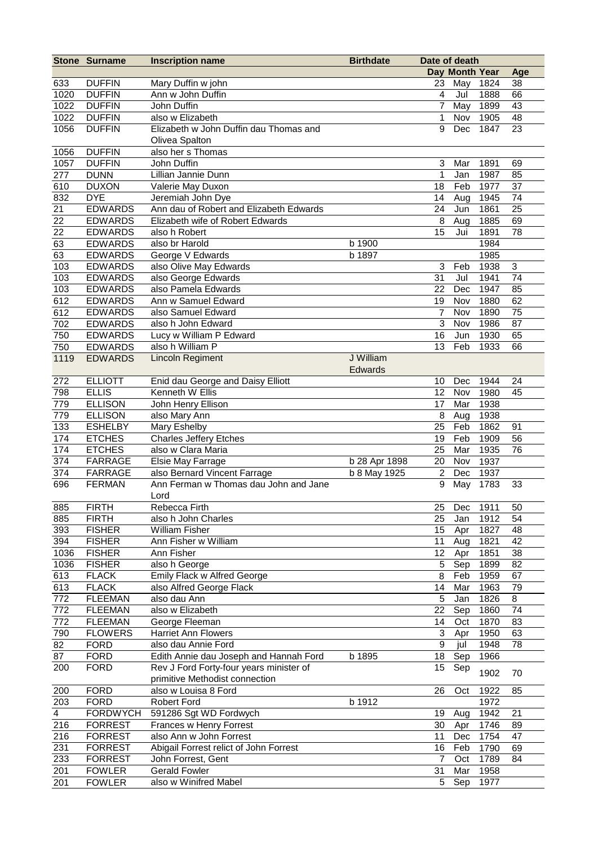|            | <b>Stone Surname</b>             | <b>Inscription name</b>                                      | <b>Birthdate</b> |                | Date of death  |              |          |
|------------|----------------------------------|--------------------------------------------------------------|------------------|----------------|----------------|--------------|----------|
|            |                                  |                                                              |                  |                | Day Month Year |              | Age      |
| 633        | <b>DUFFIN</b>                    | Mary Duffin w john                                           |                  | 23             | May            | 1824         | 38       |
| 1020       | <b>DUFFIN</b>                    | Ann w John Duffin                                            |                  | 4              | Jul            | 1888         | 66       |
| 1022       | <b>DUFFIN</b>                    | John Duffin                                                  |                  | $\overline{7}$ | May            | 1899         | 43       |
| 1022       | <b>DUFFIN</b>                    | also w Elizabeth                                             |                  | 1              | Nov            | 1905         | 48       |
| 1056       | <b>DUFFIN</b>                    | Elizabeth w John Duffin dau Thomas and                       |                  | 9              | Dec            | 1847         | 23       |
|            |                                  | Olivea Spalton                                               |                  |                |                |              |          |
| 1056       | <b>DUFFIN</b>                    | also her s Thomas                                            |                  |                |                |              |          |
| 1057       | <b>DUFFIN</b>                    | John Duffin                                                  |                  | 3              | Mar            | 1891         | 69       |
| 277        | <b>DUNN</b>                      | Lillian Jannie Dunn                                          |                  | 1              | Jan            | 1987         | 85       |
| 610        | <b>DUXON</b><br><b>DYE</b>       | Valerie May Duxon                                            |                  | 18             | Feb            | 1977         | 37       |
| 832<br>21  |                                  | Jeremiah John Dye<br>Ann dau of Robert and Elizabeth Edwards |                  | 14             | Aug            | 1945<br>1861 | 74<br>25 |
| 22         | <b>EDWARDS</b><br><b>EDWARDS</b> | Elizabeth wife of Robert Edwards                             |                  | 24<br>8        | Jun<br>Aug     | 1885         | 69       |
| 22         | <b>EDWARDS</b>                   | also h Robert                                                |                  | 15             | Jui            | 1891         | 78       |
| 63         | <b>EDWARDS</b>                   | also br Harold                                               | b 1900           |                |                | 1984         |          |
| 63         | <b>EDWARDS</b>                   | George V Edwards                                             | b 1897           |                |                | 1985         |          |
| 103        | <b>EDWARDS</b>                   | also Olive May Edwards                                       |                  | 3              | Feb            | 1938         | 3        |
| 103        | <b>EDWARDS</b>                   | also George Edwards                                          |                  | 31             | Jul            | 1941         | 74       |
| 103        | <b>EDWARDS</b>                   | also Pamela Edwards                                          |                  | 22             | Dec            | 1947         | 85       |
| 612        | <b>EDWARDS</b>                   | Ann w Samuel Edward                                          |                  | 19             | Nov            | 1880         | 62       |
| 612        | <b>EDWARDS</b>                   | also Samuel Edward                                           |                  | $\overline{7}$ | Nov            | 1890         | 75       |
| 702        | <b>EDWARDS</b>                   | also h John Edward                                           |                  | 3              | Nov            | 1986         | 87       |
| 750        | <b>EDWARDS</b>                   | Lucy w William P Edward                                      |                  | 16             | Jun            | 1930         | 65       |
| 750        | <b>EDWARDS</b>                   | also h William P                                             |                  | 13             | Feb            | 1933         | 66       |
| 1119       | <b>EDWARDS</b>                   | <b>Lincoln Regiment</b>                                      | J William        |                |                |              |          |
|            |                                  |                                                              | Edwards          |                |                |              |          |
| 272        | <b>ELLIOTT</b>                   | Enid dau George and Daisy Elliott                            |                  | 10             | Dec            | 1944         | 24       |
| 798        | <b>ELLIS</b>                     | Kenneth W Ellis                                              |                  | 12             | Nov            | 1980         | 45       |
| 779        | <b>ELLISON</b>                   | John Henry Ellison                                           |                  | 17             | Mar            | 1938         |          |
| 779        | <b>ELLISON</b>                   | also Mary Ann                                                |                  | 8              | Aug            | 1938         |          |
| 133        | <b>ESHELBY</b>                   | Mary Eshelby                                                 |                  | 25             | Feb            | 1862         | 91       |
| 174        | <b>ETCHES</b>                    | <b>Charles Jeffery Etches</b>                                |                  | 19             | Feb            | 1909         | 56       |
| 174        | <b>ETCHES</b>                    | also w Clara Maria                                           |                  | 25             | Mar            | 1935         | 76       |
| 374        | <b>FARRAGE</b>                   | Elsie May Farrage                                            | b 28 Apr 1898    | 20             | Nov            | 1937         |          |
| 374        | <b>FARRAGE</b>                   | also Bernard Vincent Farrage                                 | b 8 May 1925     | $\overline{2}$ | Dec            | 1937         |          |
| 696        | <b>FERMAN</b>                    | Ann Ferman w Thomas dau John and Jane<br>Lord                |                  | 9              | May            | 1783         | 33       |
| 885        | <b>FIRTH</b>                     | Rebecca Firth                                                |                  | 25             | Dec            | 1911         | 50       |
| 885        | <b>FIRTH</b>                     | also h John Charles                                          |                  | 25             | Jan            | 1912         | 54       |
| 393        | <b>FISHER</b>                    | <b>William Fisher</b>                                        |                  | 15             | Apr            | 1827         | 48       |
| 394        | <b>FISHER</b>                    | Ann Fisher w William                                         |                  | 11             | Aug            | 1821         | 42       |
| 1036       | <b>FISHER</b>                    | Ann Fisher                                                   |                  | 12             | Apr            | 1851         | 38       |
| 1036       | <b>FISHER</b>                    | also h George                                                |                  | 5              | Sep            | 1899         | 82       |
| 613        | <b>FLACK</b>                     | <b>Emily Flack w Alfred George</b>                           |                  | 8              | Feb            | 1959         | 67       |
| 613        | <b>FLACK</b>                     | also Alfred George Flack                                     |                  | 14             | Mar            | 1963         | 79       |
| 772        | <b>FLEEMAN</b>                   | also dau Ann                                                 |                  | 5              | Jan            | 1826         | 8        |
| 772        | <b>FLEEMAN</b>                   | also w Elizabeth                                             |                  | 22             | Sep            | 1860         | 74       |
| 772        | <b>FLEEMAN</b>                   | George Fleeman                                               |                  | 14             | Oct            | 1870         | 83       |
| 790        | <b>FLOWERS</b>                   | <b>Harriet Ann Flowers</b>                                   |                  | 3              | Apr            | 1950         | 63       |
| 82         | <b>FORD</b>                      | also dau Annie Ford                                          |                  | 9              | jul            | 1948         | 78       |
| 87         | <b>FORD</b>                      | Edith Annie dau Joseph and Hannah Ford                       | b 1895           | 18             | Sep            | 1966         |          |
| 200        | <b>FORD</b>                      | Rev J Ford Forty-four years minister of                      |                  | 15             | Sep            | 1902         | 70       |
|            |                                  | primitive Methodist connection                               |                  |                |                |              |          |
| 200        | <b>FORD</b>                      | also w Louisa 8 Ford                                         |                  | 26             | Oct            | 1922<br>1972 | 85       |
| 203<br>4   | <b>FORD</b><br><b>FORDWYCH</b>   | <b>Robert Ford</b>                                           | b 1912           |                |                |              |          |
|            |                                  | 591286 Sgt WD Fordwych                                       |                  | 19<br>30       | Aug            | 1942<br>1746 | 21<br>89 |
| 216<br>216 | <b>FORREST</b><br><b>FORREST</b> | Frances w Henry Forrest<br>also Ann w John Forrest           |                  | 11             | Apr<br>Dec     | 1754         | 47       |
| 231        | <b>FORREST</b>                   | Abigail Forrest relict of John Forrest                       |                  | 16             | Feb            | 1790         | 69       |
| 233        | <b>FORREST</b>                   | John Forrest, Gent                                           |                  | $\overline{7}$ | Oct            | 1789         | 84       |
| 201        | <b>FOWLER</b>                    | <b>Gerald Fowler</b>                                         |                  | 31             | Mar            | 1958         |          |
| 201        | <b>FOWLER</b>                    | also w Winifred Mabel                                        |                  | 5              | Sep            | 1977         |          |
|            |                                  |                                                              |                  |                |                |              |          |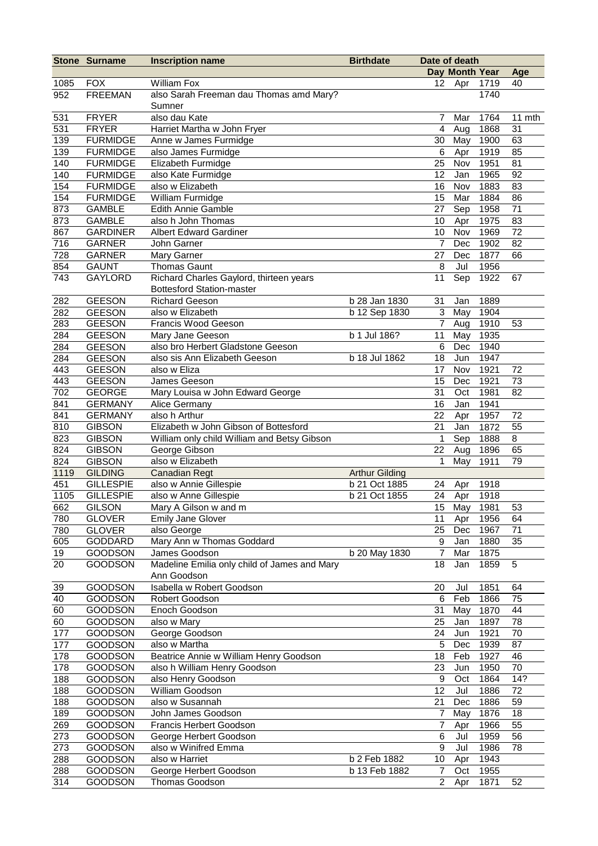|            | <b>Stone Surname</b> | <b>Inscription name</b>                                     | <b>Birthdate</b>      |                         | Date of death  |      |                       |
|------------|----------------------|-------------------------------------------------------------|-----------------------|-------------------------|----------------|------|-----------------------|
|            |                      |                                                             |                       |                         | Day Month Year |      | Age                   |
| 1085       | <b>FOX</b>           | <b>William Fox</b>                                          |                       | 12 <sub>2</sub>         | Apr            | 1719 | 40                    |
| 952        | <b>FREEMAN</b>       | also Sarah Freeman dau Thomas amd Mary?<br>Sumner           |                       |                         |                | 1740 |                       |
| 531        | <b>FRYER</b>         | also dau Kate                                               |                       | 7                       | Mar            | 1764 | $11$ mth              |
| 531        | <b>FRYER</b>         | Harriet Martha w John Fryer                                 |                       | $\overline{\mathbf{4}}$ | Aug            | 1868 | 31                    |
| 139        | <b>FURMIDGE</b>      | Anne w James Furmidge                                       |                       | 30                      | May            | 1900 | 63                    |
| 139        | <b>FURMIDGE</b>      | also James Furmidge                                         |                       | $\,6$                   | Apr            | 1919 | 85                    |
| 140        | <b>FURMIDGE</b>      | Elizabeth Furmidge                                          |                       | 25                      | Nov            | 1951 | 81                    |
| 140        | <b>FURMIDGE</b>      | also Kate Furmidge                                          |                       | 12                      | Jan            | 1965 | 92                    |
| 154        | <b>FURMIDGE</b>      | also w Elizabeth                                            |                       | 16                      | Nov            | 1883 | 83                    |
| 154        | <b>FURMIDGE</b>      | William Furmidge                                            |                       | 15                      | Mar            | 1884 | 86                    |
| 873        | <b>GAMBLE</b>        | <b>Edith Annie Gamble</b>                                   |                       | 27                      | Sep            | 1958 | 71                    |
| 873        | <b>GAMBLE</b>        | also h John Thomas                                          |                       | 10                      | Apr            | 1975 | 83                    |
| 867        | <b>GARDINER</b>      | <b>Albert Edward Gardiner</b>                               |                       | 10                      | Nov            | 1969 | 72                    |
| 716        | <b>GARNER</b>        | John Garner                                                 |                       | $\overline{7}$          | Dec            | 1902 | 82                    |
| 728        | <b>GARNER</b>        | Mary Garner                                                 |                       | 27                      | Dec            | 1877 | 66                    |
| 854        | <b>GAUNT</b>         | <b>Thomas Gaunt</b>                                         |                       | 8                       | Jul            | 1956 |                       |
| 743        | <b>GAYLORD</b>       | Richard Charles Gaylord, thirteen years                     |                       | 11                      | Sep            | 1922 | 67                    |
|            |                      | <b>Bottesford Station-master</b>                            |                       |                         |                |      |                       |
| 282        | <b>GEESON</b>        | <b>Richard Geeson</b>                                       | b 28 Jan 1830         | 31                      | Jan            | 1889 |                       |
| 282        | <b>GEESON</b>        | also w Elizabeth                                            | b 12 Sep 1830         | 3                       | May            | 1904 |                       |
| 283        | <b>GEESON</b>        | Francis Wood Geeson                                         |                       | 7                       |                | 1910 |                       |
|            | <b>GEESON</b>        |                                                             | b 1 Jul 186?          |                         | Aug            |      | 53                    |
| 284        |                      | Mary Jane Geeson<br>also bro Herbert Gladstone Geeson       |                       | 11                      | May            | 1935 |                       |
| 284        | <b>GEESON</b>        |                                                             |                       | 6                       | Dec            | 1940 |                       |
| 284        | <b>GEESON</b>        | also sis Ann Elizabeth Geeson                               | b 18 Jul 1862         | 18                      | Jun            | 1947 |                       |
| 443<br>443 | <b>GEESON</b>        | also w Eliza                                                |                       | 17                      | Nov            | 1921 | 72<br>$\overline{73}$ |
|            | <b>GEESON</b>        | James Geeson                                                |                       | 15                      | Dec            | 1921 |                       |
| 702        | <b>GEORGE</b>        | Mary Louisa w John Edward George                            |                       | 31                      | Oct            | 1981 | 82                    |
| 841        | <b>GERMANY</b>       | Alice Germany                                               |                       | 16                      | Jan            | 1941 |                       |
| 841        | <b>GERMANY</b>       | also h Arthur                                               |                       | 22                      | Apr            | 1957 | 72                    |
| 810        | <b>GIBSON</b>        | Elizabeth w John Gibson of Bottesford                       |                       | 21                      | Jan            | 1872 | 55                    |
| 823        | <b>GIBSON</b>        | William only child William and Betsy Gibson                 |                       | 1                       | Sep            | 1888 | 8                     |
| 824        | <b>GIBSON</b>        | George Gibson                                               |                       | 22                      | Aug            | 1896 | 65                    |
| 824        | <b>GIBSON</b>        | also w Elizabeth                                            |                       | 1                       | May            | 1911 | 79                    |
| 1119       | <b>GILDING</b>       | <b>Canadian Regt</b>                                        | <b>Arthur Gilding</b> |                         |                |      |                       |
| 451        | <b>GILLESPIE</b>     | also w Annie Gillespie                                      | b 21 Oct 1885         | 24                      | Apr            | 1918 |                       |
| 1105       | <b>GILLESPIE</b>     | also w Anne Gillespie                                       | b 21 Oct 1855         |                         | 24 Apr         | 1918 |                       |
| 662        | <b>GILSON</b>        | Mary A Gilson w and m                                       |                       |                         | 15 May 1981    |      | 53                    |
| 780        | <b>GLOVER</b>        | <b>Emily Jane Glover</b>                                    |                       | 11                      | Apr            | 1956 | 64                    |
| 780        | <b>GLOVER</b>        | also George                                                 |                       | 25                      | Dec            | 1967 | 71                    |
| 605        | GODDARD              | Mary Ann w Thomas Goddard                                   |                       | 9                       | Jan            | 1880 | 35                    |
| 19         | <b>GOODSON</b>       | James Goodson                                               | b 20 May 1830         | $\overline{7}$          | Mar            | 1875 |                       |
| 20         | <b>GOODSON</b>       | Madeline Emilia only child of James and Mary<br>Ann Goodson |                       | 18                      | Jan            | 1859 | 5                     |
| 39         | <b>GOODSON</b>       | Isabella w Robert Goodson                                   |                       | 20                      | Jul            | 1851 | 64                    |
| 40         | <b>GOODSON</b>       | Robert Goodson                                              |                       | 6                       | Feb            | 1866 | 75                    |
| 60         | <b>GOODSON</b>       | Enoch Goodson                                               |                       | 31                      | May            | 1870 | 44                    |
| 60         | <b>GOODSON</b>       | also w Mary                                                 |                       | 25                      | Jan            | 1897 | 78                    |
| 177        | <b>GOODSON</b>       | George Goodson                                              |                       | 24                      | Jun            | 1921 | 70                    |
| 177        | <b>GOODSON</b>       | also w Martha                                               |                       | $\mathbf 5$             | Dec            | 1939 | 87                    |
| 178        | <b>GOODSON</b>       | Beatrice Annie w William Henry Goodson                      |                       | 18                      | Feb            | 1927 | 46                    |
| 178        | <b>GOODSON</b>       | also h William Henry Goodson                                |                       | 23                      | Jun            | 1950 | 70                    |
| 188        | <b>GOODSON</b>       | also Henry Goodson                                          |                       | 9                       | Oct            | 1864 | 14?                   |
| 188        | <b>GOODSON</b>       | William Goodson                                             |                       | 12                      | Jul            | 1886 | 72                    |
| 188        | <b>GOODSON</b>       | also w Susannah                                             |                       | 21                      | Dec            | 1886 | 59                    |
| 189        | <b>GOODSON</b>       | John James Goodson                                          |                       | 7                       | May            | 1876 | 18                    |
| 269        | <b>GOODSON</b>       | Francis Herbert Goodson                                     |                       | 7                       | Apr            | 1966 | 55                    |
| 273        | <b>GOODSON</b>       | George Herbert Goodson                                      |                       | 6                       | Jul            | 1959 | 56                    |
| 273        | <b>GOODSON</b>       | also w Winifred Emma                                        |                       | $\boldsymbol{9}$        | Jul            | 1986 | 78                    |
| 288        | <b>GOODSON</b>       | also w Harriet                                              | b 2 Feb 1882          | 10                      | Apr            | 1943 |                       |
| 288        | <b>GOODSON</b>       | George Herbert Goodson                                      | b 13 Feb 1882         | $\overline{7}$          | Oct            | 1955 |                       |
| 314        | <b>GOODSON</b>       | Thomas Goodson                                              |                       | $\overline{2}$          | Apr            | 1871 | 52                    |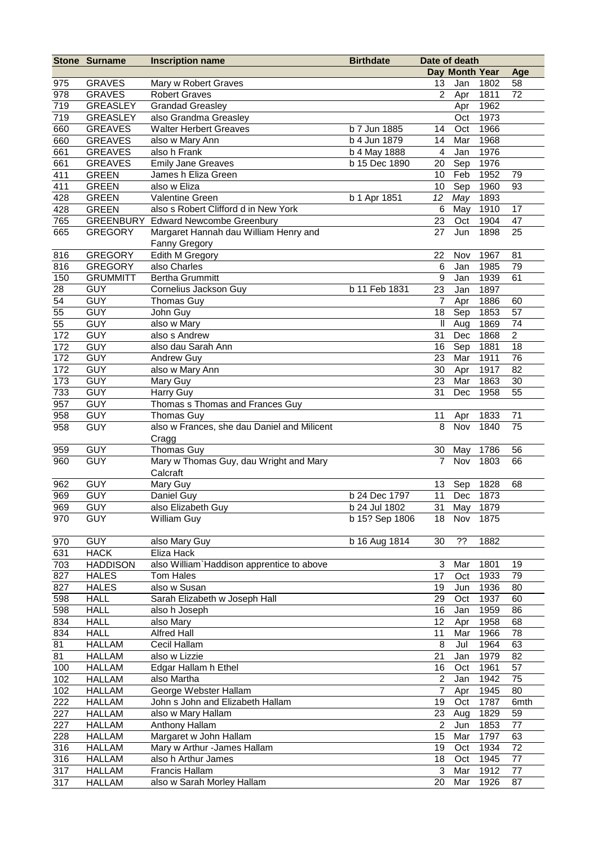|     | <b>Stone Surname</b> | <b>Inscription name</b>                     | <b>Birthdate</b> | Date of death    |                |      |                |
|-----|----------------------|---------------------------------------------|------------------|------------------|----------------|------|----------------|
|     |                      |                                             |                  |                  | Day Month Year |      | Age            |
| 975 | <b>GRAVES</b>        | Mary w Robert Graves                        |                  | 13               | Jan            | 1802 | 58             |
| 978 | <b>GRAVES</b>        | <b>Robert Graves</b>                        |                  | $\overline{2}$   | Apr            | 1811 | 72             |
| 719 | <b>GREASLEY</b>      | <b>Grandad Greasley</b>                     |                  |                  | Apr            | 1962 |                |
| 719 | <b>GREASLEY</b>      | also Grandma Greasley                       |                  |                  | Oct            | 1973 |                |
| 660 | <b>GREAVES</b>       | <b>Walter Herbert Greaves</b>               | b 7 Jun 1885     | 14               | Oct            | 1966 |                |
| 660 | <b>GREAVES</b>       | also w Mary Ann                             | b 4 Jun 1879     | 14               | Mar            | 1968 |                |
| 661 | <b>GREAVES</b>       | also h Frank                                | b 4 May 1888     | $\overline{4}$   | Jan            | 1976 |                |
| 661 | <b>GREAVES</b>       | <b>Emily Jane Greaves</b>                   | b 15 Dec 1890    | 20               |                | 1976 |                |
|     |                      |                                             |                  |                  | Sep            |      |                |
| 411 | <b>GREEN</b>         | James h Eliza Green                         |                  | 10               | Feb            | 1952 | 79             |
| 411 | <b>GREEN</b>         | also w Eliza                                |                  | 10               | Sep            | 1960 | 93             |
| 428 | <b>GREEN</b>         | Valentine Green                             | b 1 Apr 1851     | 12               | May            | 1893 |                |
| 428 | <b>GREEN</b>         | also s Robert Clifford d in New York        |                  | $\,6$            | May            | 1910 | 17             |
| 765 |                      | <b>GREENBURY Edward Newcombe Greenbury</b>  |                  | 23               | Oct            | 1904 | 47             |
| 665 | <b>GREGORY</b>       | Margaret Hannah dau William Henry and       |                  | 27               | Jun            | 1898 | 25             |
|     |                      | Fanny Gregory                               |                  |                  |                |      |                |
| 816 | <b>GREGORY</b>       | Edith M Gregory                             |                  | 22               | Nov            | 1967 | 81             |
| 816 | <b>GREGORY</b>       | also Charles                                |                  | 6                | Jan            | 1985 | 79             |
| 150 | <b>GRUMMITT</b>      | <b>Bertha Grummitt</b>                      |                  | $\boldsymbol{9}$ | Jan            | 1939 | 61             |
| 28  | <b>GUY</b>           | Cornelius Jackson Guy                       | b 11 Feb 1831    | 23               | Jan            | 1897 |                |
| 54  | <b>GUY</b>           | Thomas Guy                                  |                  | $\overline{7}$   | Apr            | 1886 | 60             |
| 55  | <b>GUY</b>           | John Guy                                    |                  | 18               | Sep            | 1853 | 57             |
| 55  | <b>GUY</b>           | also w Mary                                 |                  | Ш                | Aug            | 1869 | 74             |
|     | <b>GUY</b>           | also s Andrew                               |                  | 31               | Dec            | 1868 | $\overline{2}$ |
| 172 |                      |                                             |                  |                  |                |      |                |
| 172 | <b>GUY</b>           | also dau Sarah Ann                          |                  | 16               | Sep            | 1881 | 18             |
| 172 | <b>GUY</b>           | <b>Andrew Guy</b>                           |                  | 23               | Mar            | 1911 | 76             |
| 172 | <b>GUY</b>           | also w Mary Ann                             |                  | 30               | Apr            | 1917 | 82             |
| 173 | <b>GUY</b>           | Mary Guy                                    |                  | 23               | Mar            | 1863 | 30             |
| 733 | <b>GUY</b>           | Harry Guy                                   |                  | 31               | Dec            | 1958 | 55             |
| 957 | <b>GUY</b>           | Thomas s Thomas and Frances Guy             |                  |                  |                |      |                |
| 958 | <b>GUY</b>           | Thomas Guy                                  |                  | 11               | Apr            | 1833 | 71             |
| 958 | <b>GUY</b>           | also w Frances, she dau Daniel and Milicent |                  | 8                | Nov            | 1840 | 75             |
|     |                      | Cragg                                       |                  |                  |                |      |                |
| 959 | <b>GUY</b>           | <b>Thomas Guy</b>                           |                  | 30               | May            | 1786 | 56             |
| 960 | <b>GUY</b>           | Mary w Thomas Guy, dau Wright and Mary      |                  | $\overline{7}$   | Nov            | 1803 | 66             |
|     |                      | Calcraft                                    |                  |                  |                |      |                |
| 962 | <b>GUY</b>           | Mary Guy                                    |                  | 13               | Sep            | 1828 | 68             |
| 969 | <b>GUY</b>           | Daniel Guy                                  | b 24 Dec 1797    | 11               | Dec            | 1873 |                |
| 969 | <b>GUY</b>           | also Elizabeth Guy                          | b 24 Jul 1802    |                  | 31 May 1879    |      |                |
| 970 | <b>GUY</b>           | William Guy                                 | b 15? Sep 1806   | 18               | Nov            | 1875 |                |
|     |                      |                                             |                  |                  |                |      |                |
|     |                      |                                             |                  |                  | ??             |      |                |
| 970 | <b>GUY</b>           | also Mary Guy                               | b 16 Aug 1814    | 30               |                | 1882 |                |
| 631 | <b>HACK</b>          | Eliza Hack                                  |                  |                  |                |      |                |
| 703 | <b>HADDISON</b>      | also William' Haddison apprentice to above  |                  | 3                | Mar            | 1801 | 19             |
| 827 | <b>HALES</b>         | Tom Hales                                   |                  | 17               | Oct            | 1933 | 79             |
| 827 | <b>HALES</b>         | also w Susan                                |                  | 19               | Jun            | 1936 | 80             |
| 598 | <b>HALL</b>          | Sarah Elizabeth w Joseph Hall               |                  | 29               | Oct            | 1937 | 60             |
| 598 | <b>HALL</b>          | also h Joseph                               |                  | 16               | Jan            | 1959 | 86             |
| 834 | <b>HALL</b>          | also Mary                                   |                  | 12               | Apr            | 1958 | 68             |
| 834 | <b>HALL</b>          | <b>Alfred Hall</b>                          |                  | 11               | Mar            | 1966 | 78             |
| 81  | <b>HALLAM</b>        | Cecil Hallam                                |                  | 8                | Jul            | 1964 | 63             |
| 81  | <b>HALLAM</b>        | also w Lizzie                               |                  | 21               | Jan            | 1979 | 82             |
| 100 | <b>HALLAM</b>        | Edgar Hallam h Ethel                        |                  | 16               | Oct            | 1961 | 57             |
| 102 | <b>HALLAM</b>        | also Martha                                 |                  | $\overline{2}$   | Jan            | 1942 | 75             |
| 102 | <b>HALLAM</b>        | George Webster Hallam                       |                  | 7                | Apr            | 1945 | 80             |
| 222 | <b>HALLAM</b>        | John s John and Elizabeth Hallam            |                  | 19               | Oct            | 1787 | 6mth           |
|     |                      |                                             |                  |                  |                |      |                |
| 227 | <b>HALLAM</b>        | also w Mary Hallam                          |                  | 23               | Aug            | 1829 | 59             |
| 227 | <b>HALLAM</b>        | Anthony Hallam                              |                  | $\overline{c}$   | Jun            | 1853 | 77             |
| 228 | <b>HALLAM</b>        | Margaret w John Hallam                      |                  | 15               | Mar            | 1797 | 63             |
| 316 | <b>HALLAM</b>        | Mary w Arthur -James Hallam                 |                  | 19               | Oct            | 1934 | 72             |
| 316 | <b>HALLAM</b>        | also h Arthur James                         |                  | 18               | Oct            | 1945 | 77             |
| 317 | <b>HALLAM</b>        | Francis Hallam                              |                  | 3                | Mar            | 1912 | 77             |
| 317 | <b>HALLAM</b>        | also w Sarah Morley Hallam                  |                  | 20               | Mar            | 1926 | 87             |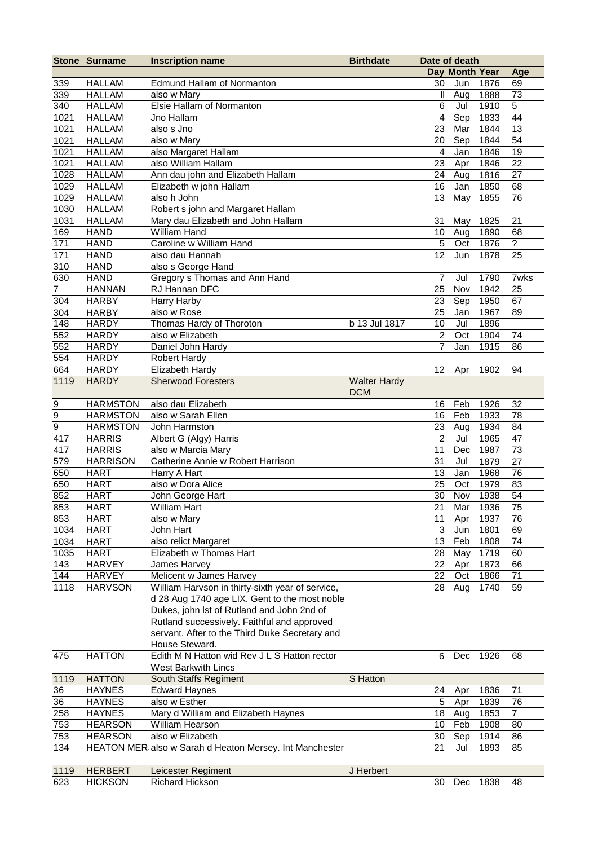|                  | <b>Stone Surname</b> | <b>Inscription name</b>                                 | <b>Birthdate</b>                  | Date of death  |                |          |                |
|------------------|----------------------|---------------------------------------------------------|-----------------------------------|----------------|----------------|----------|----------------|
|                  |                      |                                                         |                                   |                | Day Month Year |          | Age            |
| 339              | <b>HALLAM</b>        | <b>Edmund Hallam of Normanton</b>                       |                                   | 30             | Jun            | 1876     | 69             |
| 339              | <b>HALLAM</b>        | also w Mary                                             |                                   | Ш              | Aug            | 1888     | 73             |
| 340              | <b>HALLAM</b>        | Elsie Hallam of Normanton                               |                                   | 6              | Jul            | 1910     | 5              |
| 1021             | <b>HALLAM</b>        | Jno Hallam                                              |                                   | 4              | Sep            | 1833     | 44             |
| 1021             | <b>HALLAM</b>        | also s Jno                                              |                                   | 23             | Mar            | 1844     | 13             |
| 1021             | <b>HALLAM</b>        | also w Mary                                             |                                   | 20             | Sep            | 1844     | 54             |
| 1021             | <b>HALLAM</b>        | also Margaret Hallam                                    |                                   | $\overline{4}$ | Jan            | 1846     | 19             |
| 1021             | <b>HALLAM</b>        | also William Hallam                                     |                                   | 23             | Apr            | 1846     | 22             |
| 1028             | <b>HALLAM</b>        | Ann dau john and Elizabeth Hallam                       |                                   | 24             | Aug            | 1816     | 27             |
| 1029             | <b>HALLAM</b>        | Elizabeth w john Hallam                                 |                                   | 16             | Jan            | 1850     | 68             |
| 1029             | <b>HALLAM</b>        | also h John                                             |                                   | 13             | May            | 1855     | 76             |
| 1030             | <b>HALLAM</b>        | Robert s john and Margaret Hallam                       |                                   |                |                |          |                |
| 1031             | <b>HALLAM</b>        | Mary dau Elizabeth and John Hallam                      |                                   | 31             | May            | 1825     | 21             |
| 169              | <b>HAND</b>          | William Hand                                            |                                   | 10             | Aug            | 1890     | 68             |
| 171              | <b>HAND</b>          | Caroline w William Hand                                 |                                   | 5              | Oct            | 1876     | $\overline{?}$ |
| 171              | <b>HAND</b>          | also dau Hannah                                         |                                   | 12             | Jun            | 1878     | 25             |
| 310              | <b>HAND</b>          | also s George Hand                                      |                                   |                |                |          |                |
| 630              | <b>HAND</b>          | Gregory s Thomas and Ann Hand                           |                                   | 7              | Jul            | 1790     | 7wks           |
| $\overline{7}$   | <b>HANNAN</b>        | RJ Hannan DFC                                           |                                   | 25             | Nov            | 1942     | 25             |
| 304              | <b>HARBY</b>         | <b>Harry Harby</b>                                      |                                   | 23             | Sep            | 1950     | 67             |
| 304              | <b>HARBY</b>         | also w Rose                                             |                                   | 25             | Jan            | 1967     | 89             |
| 148              | <b>HARDY</b>         | Thomas Hardy of Thoroton                                | b 13 Jul 1817                     | 10             | Jul            | 1896     |                |
| 552              | <b>HARDY</b>         | also w Elizabeth                                        |                                   | $\overline{2}$ | Oct            | 1904     | 74             |
| 552              | <b>HARDY</b>         | Daniel John Hardy                                       |                                   | 7              | Jan            | 1915     | 86             |
| 554              | <b>HARDY</b>         | <b>Robert Hardy</b>                                     |                                   |                |                |          |                |
| 664              | <b>HARDY</b>         | Elizabeth Hardy                                         |                                   | 12             | Apr            | 1902     | 94             |
| 1119             | <b>HARDY</b>         | <b>Sherwood Foresters</b>                               | <b>Walter Hardy</b><br><b>DCM</b> |                |                |          |                |
| 9                | <b>HARMSTON</b>      | also dau Elizabeth                                      |                                   | 16             | Feb            | 1926     | 32             |
| $\boldsymbol{9}$ | <b>HARMSTON</b>      | also w Sarah Ellen                                      |                                   | 16             | Feb            | 1933     | 78             |
| $9$              | <b>HARMSTON</b>      | John Harmston                                           |                                   | 23             | Aug            | 1934     | 84             |
| 417              | <b>HARRIS</b>        | Albert G (Algy) Harris                                  |                                   | $\overline{2}$ | Jul            | 1965     | 47             |
| 417              | <b>HARRIS</b>        | also w Marcia Mary                                      |                                   | 11             | Dec            | 1987     | 73             |
| 579              | <b>HARRISON</b>      | Catherine Annie w Robert Harrison                       |                                   | 31             | Jul            | 1879     | 27             |
| 650              | <b>HART</b>          | Harry A Hart                                            |                                   | 13             | Jan            | 1968     | 76             |
| 650              | <b>HART</b>          | also w Dora Alice                                       |                                   | 25             | Oct            | 1979     | 83             |
| 852              | <b>HART</b>          | John George Hart                                        |                                   | 30             | Nov            | 1938     | 54             |
| 853              | <b>HART</b>          | William Hart                                            |                                   | 21             |                | Mar 1936 | 75             |
| 853              | <b>HART</b>          | also w Mary                                             |                                   | 11             | Apr            | 1937     | 76             |
| 1034             | <b>HART</b>          | John Hart                                               |                                   | 3              | Jun            | 1801     | 69             |
| 1034             | <b>HART</b>          | also relict Margaret                                    |                                   | 13             | Feb            | 1808     | 74             |
| 1035             | <b>HART</b>          | Elizabeth w Thomas Hart                                 |                                   | 28             | May            | 1719     | 60             |
| 143              | <b>HARVEY</b>        | James Harvey                                            |                                   | 22             | Apr            | 1873     | 66             |
| 144              | <b>HARVEY</b>        | Melicent w James Harvey                                 |                                   | 22             | Oct            | 1866     | 71             |
| 1118             | <b>HARVSON</b>       | William Harvson in thirty-sixth year of service,        |                                   | 28             | Aug            | 1740     | 59             |
|                  |                      | d 28 Aug 1740 age LIX. Gent to the most noble           |                                   |                |                |          |                |
|                  |                      | Dukes, john Ist of Rutland and John 2nd of              |                                   |                |                |          |                |
|                  |                      | Rutland successively. Faithful and approved             |                                   |                |                |          |                |
|                  |                      | servant. After to the Third Duke Secretary and          |                                   |                |                |          |                |
|                  |                      | House Steward.                                          |                                   |                |                |          |                |
| 475              | <b>HATTON</b>        | Edith M N Hatton wid Rev J L S Hatton rector            |                                   | 6              | Dec            | 1926     | 68             |
|                  |                      | <b>West Barkwith Lincs</b>                              |                                   |                |                |          |                |
| 1119             | <b>HATTON</b>        | South Staffs Regiment                                   | S Hatton                          |                |                |          |                |
| 36               | <b>HAYNES</b>        | <b>Edward Haynes</b>                                    |                                   | 24             | Apr            | 1836     | 71             |
| 36               | <b>HAYNES</b>        | also w Esther                                           |                                   | 5              | Apr            | 1839     | 76             |
| 258              | <b>HAYNES</b>        | Mary d William and Elizabeth Haynes                     |                                   | 18             | Aug            | 1853     | $\overline{7}$ |
| 753              | <b>HEARSON</b>       | William Hearson<br>also w Elizabeth                     |                                   | 10             | Feb            | 1908     | 80             |
| 753              | <b>HEARSON</b>       |                                                         |                                   | 30             | Sep            | 1914     | 86             |
| 134              |                      | HEATON MER also w Sarah d Heaton Mersey. Int Manchester |                                   | 21             | Jul            | 1893     | 85             |
| 1119             | <b>HERBERT</b>       | Leicester Regiment                                      | J Herbert                         |                |                |          |                |
| 623              | <b>HICKSON</b>       | Richard Hickson                                         |                                   | 30             | Dec            | 1838     | 48             |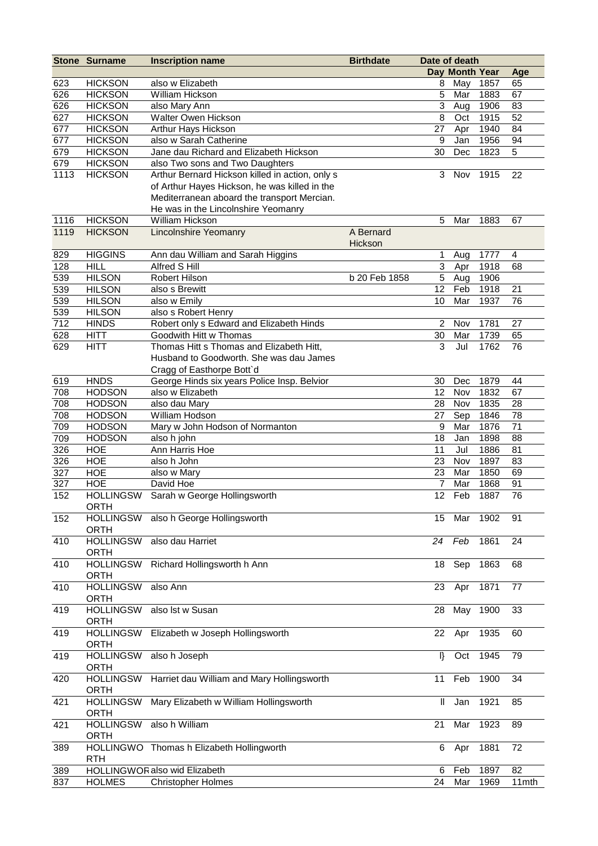|      | <b>Stone Surname</b>     | <b>Inscription name</b>                         | <b>Birthdate</b> | Date of death             |                |      |         |
|------|--------------------------|-------------------------------------------------|------------------|---------------------------|----------------|------|---------|
|      |                          |                                                 |                  |                           | Day Month Year |      | Age     |
| 623  | <b>HICKSON</b>           | also w Elizabeth                                |                  | 8                         | May            | 1857 | 65      |
| 626  | <b>HICKSON</b>           | William Hickson                                 |                  | $\overline{5}$            | Mar            | 1883 | 67      |
| 626  | <b>HICKSON</b>           | also Mary Ann                                   |                  | 3                         | Aug            | 1906 | 83      |
| 627  | <b>HICKSON</b>           | <b>Walter Owen Hickson</b>                      |                  | 8                         | Oct            | 1915 | 52      |
| 677  | <b>HICKSON</b>           | Arthur Hays Hickson                             |                  | 27                        | Apr            | 1940 | 84      |
| 677  | <b>HICKSON</b>           | also w Sarah Catherine                          |                  | $\boldsymbol{9}$          | Jan            | 1956 | 94      |
| 679  | <b>HICKSON</b>           | Jane dau Richard and Elizabeth Hickson          |                  | 30                        | Dec            | 1823 | 5       |
| 679  | <b>HICKSON</b>           | also Two sons and Two Daughters                 |                  |                           |                |      |         |
| 1113 | <b>HICKSON</b>           | Arthur Bernard Hickson killed in action, only s |                  | 3                         | Nov            | 1915 | 22      |
|      |                          | of Arthur Hayes Hickson, he was killed in the   |                  |                           |                |      |         |
|      |                          | Mediterranean aboard the transport Mercian.     |                  |                           |                |      |         |
|      |                          | He was in the Lincolnshire Yeomanry             |                  |                           |                |      |         |
| 1116 | <b>HICKSON</b>           | William Hickson                                 |                  | 5                         | Mar            | 1883 | 67      |
| 1119 | <b>HICKSON</b>           | <b>Lincolnshire Yeomanry</b>                    | A Bernard        |                           |                |      |         |
|      |                          |                                                 | Hickson          |                           |                |      |         |
| 829  | <b>HIGGINS</b>           | Ann dau William and Sarah Higgins               |                  | 1                         | Aug            | 1777 | 4       |
| 128  | <b>HILL</b>              | Alfred S Hill                                   |                  | $\ensuremath{\mathsf{3}}$ | Apr            | 1918 | 68      |
| 539  | <b>HILSON</b>            | Robert Hilson                                   | b 20 Feb 1858    | $\overline{5}$            | Aug            | 1906 |         |
| 539  | <b>HILSON</b>            | also s Brewitt                                  |                  | 12                        | Feb            | 1918 | 21      |
| 539  | <b>HILSON</b>            |                                                 |                  | 10                        | Mar            | 1937 | 76      |
|      |                          | also w Emily<br>also s Robert Henry             |                  |                           |                |      |         |
| 539  | <b>HILSON</b>            |                                                 |                  |                           |                |      |         |
| 712  | <b>HINDS</b>             | Robert only s Edward and Elizabeth Hinds        |                  | $\overline{2}$            | Nov            | 1781 | 27      |
| 628  | <b>HITT</b>              | Goodwith Hitt w Thomas                          |                  | 30                        | Mar            | 1739 | 65      |
| 629  | <b>HITT</b>              | Thomas Hitt s Thomas and Elizabeth Hitt,        |                  | 3                         | Jul            | 1762 | 76      |
|      |                          | Husband to Goodworth. She was dau James         |                  |                           |                |      |         |
|      |                          | Cragg of Easthorpe Bott'd                       |                  |                           |                |      |         |
| 619  | <b>HNDS</b>              | George Hinds six years Police Insp. Belvior     |                  | 30                        | Dec            | 1879 | 44      |
| 708  | <b>HODSON</b>            | also w Elizabeth                                |                  | 12                        | Nov            | 1832 | 67      |
| 708  | <b>HODSON</b>            | also dau Mary                                   |                  | 28                        | Nov            | 1835 | 28      |
| 708  | <b>HODSON</b>            | William Hodson                                  |                  | 27                        | Sep            | 1846 | 78      |
| 709  | <b>HODSON</b>            | Mary w John Hodson of Normanton                 |                  | $\boldsymbol{9}$          | Mar            | 1876 | 71      |
| 709  | <b>HODSON</b>            | also h john                                     |                  | 18                        | Jan            | 1898 | 88      |
| 326  | <b>HOE</b>               | Ann Harris Hoe                                  |                  | 11                        | Jul            | 1886 | 81      |
| 326  | <b>HOE</b>               | also h John                                     |                  | 23                        | Nov            | 1897 | 83      |
| 327  | <b>HOE</b>               | also w Mary                                     |                  | 23                        | Mar            | 1850 | 69      |
| 327  | <b>HOE</b>               | David Hoe                                       |                  | 7                         | Mar            | 1868 | 91      |
| 152  | <b>HOLLINGSW</b>         | Sarah w George Hollingsworth                    |                  | 12                        | Feb            | 1887 | 76      |
|      | ORTH                     |                                                 |                  |                           |                |      |         |
| 152  | <b>HOLLINGSW</b>         | also h George Hollingsworth                     |                  | 15                        | Mar            | 1902 | 91      |
|      | ORTH                     |                                                 |                  |                           |                |      |         |
| 410  | <b>HOLLINGSW</b>         | also dau Harriet                                |                  | 24                        | Feb            | 1861 | 24      |
|      | <b>ORTH</b>              |                                                 |                  |                           |                |      |         |
| 410  | <b>HOLLINGSW</b><br>ORTH | Richard Hollingsworth h Ann                     |                  | 18                        | Sep            | 1863 | 68      |
| 410  | <b>HOLLINGSW</b>         | also Ann                                        |                  | 23                        |                | 1871 | $77 \,$ |
|      |                          |                                                 |                  |                           | Apr            |      |         |
|      | ORTH                     |                                                 |                  |                           |                |      |         |
| 419  | <b>HOLLINGSW</b>         | also Ist w Susan                                |                  | 28                        | May            | 1900 | 33      |
|      | <b>ORTH</b>              |                                                 |                  |                           |                |      |         |
| 419  | <b>HOLLINGSW</b>         | Elizabeth w Joseph Hollingsworth                |                  | 22                        | Apr            | 1935 | 60      |
|      | <b>ORTH</b>              |                                                 |                  |                           |                |      |         |
| 419  | <b>HOLLINGSW</b>         | also h Joseph                                   |                  | $  \}$                    | Oct            | 1945 | 79      |
|      | ORTH                     |                                                 |                  |                           |                |      |         |
| 420  | <b>HOLLINGSW</b>         | Harriet dau William and Mary Hollingsworth      |                  | 11                        | Feb            | 1900 | 34      |
|      | <b>ORTH</b>              |                                                 |                  |                           |                |      |         |
| 421  | <b>HOLLINGSW</b>         | Mary Elizabeth w William Hollingsworth          |                  | Ш                         | Jan            | 1921 | 85      |
|      | ORTH                     |                                                 |                  |                           |                |      |         |
| 421  | <b>HOLLINGSW</b>         | also h William                                  |                  | 21                        | Mar            | 1923 | 89      |
|      | ORTH                     |                                                 |                  |                           |                |      |         |
| 389  |                          | HOLLINGWO Thomas h Elizabeth Hollingworth       |                  | 6                         | Apr            | 1881 | 72      |
|      | <b>RTH</b>               |                                                 |                  |                           |                |      |         |
| 389  |                          | HOLLINGWOR also wid Elizabeth                   |                  | 6                         | Feb            | 1897 | 82      |
| 837  | <b>HOLMES</b>            | <b>Christopher Holmes</b>                       |                  | 24                        | Mar            | 1969 | 11mth   |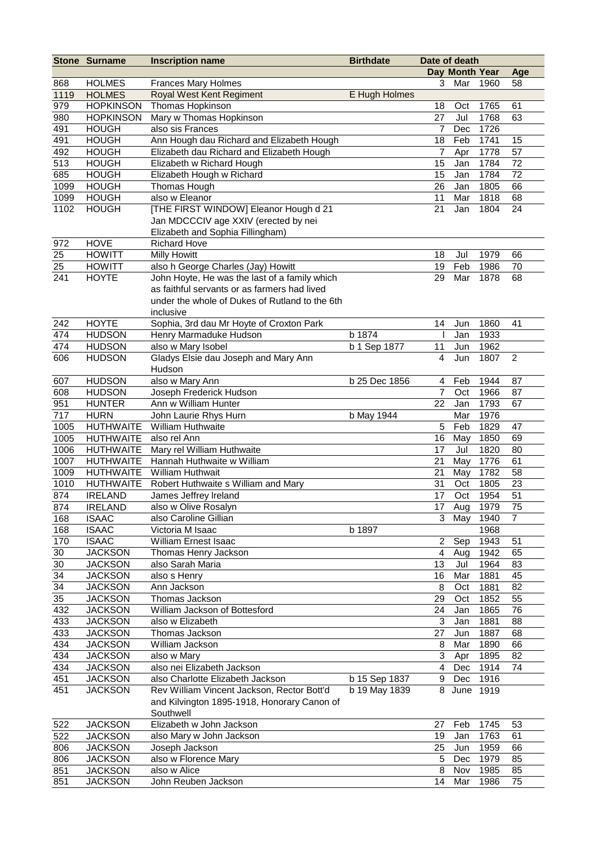|      | <b>Stone Surname</b> | <b>Inscription name</b>                               | <b>Birthdate</b> |                | Date of death  |      |                |
|------|----------------------|-------------------------------------------------------|------------------|----------------|----------------|------|----------------|
|      |                      |                                                       |                  |                | Day Month Year |      | Age            |
| 868  | <b>HOLMES</b>        | <b>Frances Mary Holmes</b>                            |                  | 3              | Mar            | 1960 | 58             |
| 1119 | <b>HOLMES</b>        | Royal West Kent Regiment                              | E Hugh Holmes    |                |                |      |                |
| 979  | <b>HOPKINSON</b>     | Thomas Hopkinson                                      |                  | 18             | Oct            | 1765 | 61             |
| 980  | <b>HOPKINSON</b>     | Mary w Thomas Hopkinson                               |                  | 27             | Jul            | 1768 | 63             |
| 491  | <b>HOUGH</b>         | also sis Frances                                      |                  | 7              | Dec            | 1726 |                |
| 491  | <b>HOUGH</b>         | Ann Hough dau Richard and Elizabeth Hough             |                  | 18             | Feb            | 1741 | 15             |
| 492  | <b>HOUGH</b>         | Elizabeth dau Richard and Elizabeth Hough             |                  | 7              | Apr            | 1778 | 57             |
| 513  | <b>HOUGH</b>         | Elizabeth w Richard Hough                             |                  | 15             | Jan            | 1784 | 72             |
| 685  | <b>HOUGH</b>         | Elizabeth Hough w Richard                             |                  | 15             | Jan            | 1784 | 72             |
| 1099 | <b>HOUGH</b>         | Thomas Hough                                          |                  | 26             | Jan            | 1805 | 66             |
| 1099 | <b>HOUGH</b>         | also w Eleanor                                        |                  | 11             | Mar            | 1818 | 68             |
| 1102 | <b>HOUGH</b>         | [THE FIRST WINDOW] Eleanor Hough d 21                 |                  | 21             | Jan            | 1804 | 24             |
|      |                      | Jan MDCCCIV age XXIV (erected by nei                  |                  |                |                |      |                |
|      |                      | Elizabeth and Sophia Fillingham)                      |                  |                |                |      |                |
| 972  | <b>HOVE</b>          | <b>Richard Hove</b>                                   |                  |                |                |      |                |
| 25   | <b>HOWITT</b>        | <b>Milly Howitt</b>                                   |                  | 18             | Jul            | 1979 | 66             |
| 25   | <b>HOWITT</b>        | also h George Charles (Jay) Howitt                    |                  | 19             | Feb            | 1986 | 70             |
| 241  | <b>HOYTE</b>         | John Hoyte, He was the last of a family which         |                  | 29             | Mar            | 1878 | 68             |
|      |                      | as faithful servants or as farmers had lived          |                  |                |                |      |                |
|      |                      | under the whole of Dukes of Rutland to the 6th        |                  |                |                |      |                |
| 242  | <b>HOYTE</b>         | inclusive<br>Sophia, 3rd dau Mr Hoyte of Croxton Park |                  | 14             | Jun            | 1860 | 41             |
| 474  | <b>HUDSON</b>        | Henry Marmaduke Hudson                                | b 1874           |                | Jan            | 1933 |                |
| 474  | <b>HUDSON</b>        | also w Mary Isobel                                    | b 1 Sep 1877     | 11             | Jun            | 1962 |                |
| 606  | <b>HUDSON</b>        | Gladys Elsie dau Joseph and Mary Ann                  |                  | 4              | Jun            | 1807 | $\overline{2}$ |
|      |                      | Hudson                                                |                  |                |                |      |                |
| 607  | <b>HUDSON</b>        | also w Mary Ann                                       | b 25 Dec 1856    | 4              | Feb            | 1944 | 87             |
| 608  | <b>HUDSON</b>        | Joseph Frederick Hudson                               |                  | 7              | Oct            | 1966 | 87             |
| 951  | <b>HUNTER</b>        | Ann w William Hunter                                  |                  | 22             | Jan            | 1793 | 67             |
| 717  | <b>HURN</b>          | John Laurie Rhys Hurn                                 | b May 1944       |                | Mar            | 1976 |                |
| 1005 | <b>HUTHWAITE</b>     | William Huthwaite                                     |                  | 5              | Feb            | 1829 | 47             |
| 1005 | <b>HUTHWAITE</b>     | also rel Ann                                          |                  | 16             | May            | 1850 | 69             |
| 1006 | <b>HUTHWAITE</b>     | Mary rel William Huthwaite                            |                  | 17             | Jul            | 1820 | 80             |
| 1007 | <b>HUTHWAITE</b>     | Hannah Huthwaite w William                            |                  | 21             | May            | 1776 | 61             |
| 1009 | <b>HUTHWAITE</b>     | <b>William Huthwait</b>                               |                  | 21             | May            | 1782 | 58             |
| 1010 | <b>HUTHWAITE</b>     | Robert Huthwaite s William and Mary                   |                  | 31             | Oct            | 1805 | 23             |
| 874  | <b>IRELAND</b>       | James Jeffrey Ireland                                 |                  | 17             | Oct            | 1954 | 51             |
| 874  | <b>IRELAND</b>       | also w Olive Rosalyn                                  |                  |                | 17 Aug 1979    |      | 75             |
| 168  | <b>ISAAC</b>         | also Caroline Gillian                                 |                  | 3              | May            | 1940 | $\overline{7}$ |
| 168  | <b>ISAAC</b>         | Victoria M Isaac                                      | b 1897           |                |                | 1968 |                |
| 170  | <b>ISAAC</b>         | William Ernest Isaac                                  |                  | $2^{\circ}$    | Sep            | 1943 | 51             |
| 30   | <b>JACKSON</b>       | Thomas Henry Jackson                                  |                  | $\overline{4}$ | Aug            | 1942 | 65             |
| 30   | <b>JACKSON</b>       | also Sarah Maria                                      |                  | 13             | Jul            | 1964 | 83             |
| 34   | <b>JACKSON</b>       | also s Henry                                          |                  | 16             | Mar            | 1881 | 45             |
| 34   | <b>JACKSON</b>       | Ann Jackson                                           |                  | 8              | Oct            | 1881 | 82             |
| 35   | <b>JACKSON</b>       | Thomas Jackson                                        |                  | 29             | Oct            | 1852 | 55             |
| 432  | <b>JACKSON</b>       | William Jackson of Bottesford                         |                  | 24             | Jan            | 1865 | 76             |
| 433  | <b>JACKSON</b>       | also w Elizabeth                                      |                  | $\mathsf 3$    | Jan            | 1881 | 88             |
| 433  | <b>JACKSON</b>       | Thomas Jackson                                        |                  | 27             | Jun            | 1887 | 68             |
| 434  | <b>JACKSON</b>       | William Jackson                                       |                  | 8              | Mar            | 1890 | 66             |
| 434  | <b>JACKSON</b>       | also w Mary                                           |                  | 3              | Apr            | 1895 | 82             |
| 434  | <b>JACKSON</b>       | also nei Elizabeth Jackson                            |                  | $\overline{4}$ | Dec            | 1914 | 74             |
| 451  | <b>JACKSON</b>       | also Charlotte Elizabeth Jackson                      | b 15 Sep 1837    | 9              | Dec            | 1916 |                |
| 451  | <b>JACKSON</b>       | Rev William Vincent Jackson, Rector Bott'd            | b 19 May 1839    | 8              | June 1919      |      |                |
|      |                      | and Kilvington 1895-1918, Honorary Canon of           |                  |                |                |      |                |
|      |                      | Southwell                                             |                  |                |                |      |                |
| 522  | <b>JACKSON</b>       | Elizabeth w John Jackson                              |                  | 27             | Feb            | 1745 | 53             |
| 522  | <b>JACKSON</b>       | also Mary w John Jackson                              |                  | 19             | Jan            | 1763 | 61             |
| 806  | <b>JACKSON</b>       | Joseph Jackson                                        |                  | 25             | Jun            | 1959 | 66             |
| 806  | <b>JACKSON</b>       | also w Florence Mary                                  |                  | 5              | Dec            | 1979 | 85             |
| 851  | <b>JACKSON</b>       | also w Alice                                          |                  | 8              | Nov            | 1985 | 85             |
| 851  | <b>JACKSON</b>       | John Reuben Jackson                                   |                  | 14             | Mar            | 1986 | 75             |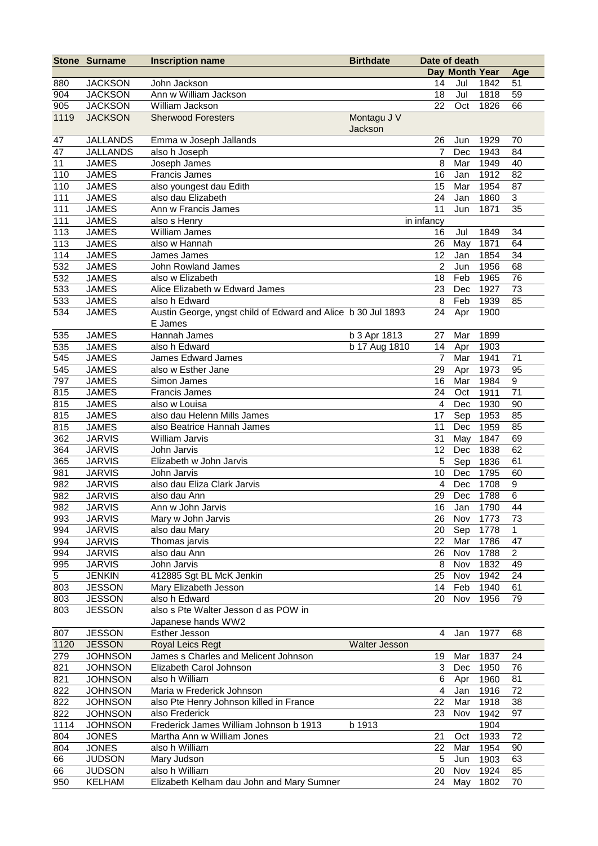|      | <b>Stone Surname</b> | <b>Inscription name</b>                                      | <b>Birthdate</b> |                          | Date of death  |      |                |
|------|----------------------|--------------------------------------------------------------|------------------|--------------------------|----------------|------|----------------|
|      |                      |                                                              |                  |                          | Day Month Year |      | Age            |
| 880  | <b>JACKSON</b>       | John Jackson                                                 |                  | 14                       | Jul            | 1842 | 51             |
| 904  | <b>JACKSON</b>       | Ann w William Jackson                                        |                  | 18                       | Jul            | 1818 | 59             |
| 905  | <b>JACKSON</b>       | William Jackson                                              |                  | 22                       | Oct            | 1826 | 66             |
| 1119 | <b>JACKSON</b>       | <b>Sherwood Foresters</b>                                    | Montagu J V      |                          |                |      |                |
|      |                      |                                                              | Jackson          |                          |                |      |                |
| 47   | <b>JALLANDS</b>      | Emma w Joseph Jallands                                       |                  | 26                       | Jun            | 1929 | 70             |
| 47   | <b>JALLANDS</b>      | also h Joseph                                                |                  | $\overline{7}$           | Dec            | 1943 | 84             |
| 11   | <b>JAMES</b>         | Joseph James                                                 |                  | 8                        | Mar            | 1949 | 40             |
| 110  | <b>JAMES</b>         | <b>Francis James</b>                                         |                  | 16                       | Jan            | 1912 | 82             |
|      |                      |                                                              |                  | 15                       | Mar            | 1954 | 87             |
| 110  | <b>JAMES</b>         | also youngest dau Edith                                      |                  |                          |                |      |                |
| 111  | <b>JAMES</b>         | also dau Elizabeth                                           |                  | 24                       | Jan            | 1860 | 3              |
| 111  | <b>JAMES</b>         | Ann w Francis James                                          |                  | 11                       | Jun            | 1871 | 35             |
| 111  | <b>JAMES</b>         | also s Henry                                                 |                  | in infancy               |                |      |                |
| 113  | <b>JAMES</b>         | William James                                                |                  | 16                       | Jul            | 1849 | 34             |
| 113  | <b>JAMES</b>         | also w Hannah                                                |                  | 26                       | May            | 1871 | 64             |
| 114  | <b>JAMES</b>         | James James                                                  |                  | 12                       | Jan            | 1854 | 34             |
| 532  | <b>JAMES</b>         | John Rowland James                                           |                  | $\overline{2}$           | Jun            | 1956 | 68             |
| 532  | <b>JAMES</b>         | also w Elizabeth                                             |                  | 18                       | Feb            | 1965 | 76             |
| 533  | <b>JAMES</b>         | Alice Elizabeth w Edward James                               |                  | 23                       | Dec            | 1927 | 73             |
| 533  | <b>JAMES</b>         | also h Edward                                                |                  | 8                        | Feb            | 1939 | 85             |
| 534  | <b>JAMES</b>         | Austin George, yngst child of Edward and Alice b 30 Jul 1893 |                  | 24                       | Apr            | 1900 |                |
|      |                      | E James                                                      |                  |                          |                |      |                |
| 535  | <b>JAMES</b>         | Hannah James                                                 | b 3 Apr 1813     | 27                       | Mar            | 1899 |                |
| 535  | <b>JAMES</b>         | also h Edward                                                | b 17 Aug 1810    | 14                       | Apr            | 1903 |                |
| 545  | <b>JAMES</b>         | <b>James Edward James</b>                                    |                  | $\overline{7}$           | Mar            | 1941 | 71             |
| 545  | <b>JAMES</b>         | also w Esther Jane                                           |                  | 29                       | Apr            | 1973 | 95             |
| 797  | <b>JAMES</b>         |                                                              |                  | 16                       |                | 1984 | 9              |
|      |                      | Simon James                                                  |                  |                          | Mar            |      | 71             |
| 815  | <b>JAMES</b>         | <b>Francis James</b>                                         |                  | 24                       | Oct            | 1911 |                |
| 815  | <b>JAMES</b>         | also w Louisa                                                |                  | $\overline{\mathcal{A}}$ | Dec            | 1930 | 90             |
| 815  | <b>JAMES</b>         | also dau Helenn Mills James                                  |                  | 17                       | Sep            | 1953 | 85             |
| 815  | <b>JAMES</b>         | also Beatrice Hannah James                                   |                  | 11                       | Dec            | 1959 | 85             |
| 362  | <b>JARVIS</b>        | <b>William Jarvis</b>                                        |                  | 31                       | May            | 1847 | 69             |
| 364  | <b>JARVIS</b>        | John Jarvis                                                  |                  | 12                       | Dec            | 1838 | 62             |
| 365  | <b>JARVIS</b>        | Elizabeth w John Jarvis                                      |                  | 5                        | Sep            | 1836 | 61             |
| 981  | <b>JARVIS</b>        | John Jarvis                                                  |                  | 10                       | Dec            | 1795 | 60             |
| 982  | <b>JARVIS</b>        | also dau Eliza Clark Jarvis                                  |                  | $\overline{\mathcal{A}}$ | Dec            | 1708 | 9              |
| 982  | <b>JARVIS</b>        | also dau Ann                                                 |                  | 29                       | Dec            | 1788 | $\overline{6}$ |
| 982  | <b>JARVIS</b>        | Ann w John Jarvis                                            |                  |                          | $16$ Jan       | 1790 | 44             |
| 993  | <b>JARVIS</b>        | Mary w John Jarvis                                           |                  | 26                       | Nov            | 1773 | 73             |
| 994  | <b>JARVIS</b>        | also dau Mary                                                |                  | 20                       | Sep            | 1778 | 1              |
| 994  | <b>JARVIS</b>        | Thomas jarvis                                                |                  | 22                       | Mar            | 1786 | 47             |
| 994  | <b>JARVIS</b>        | also dau Ann                                                 |                  | 26                       | Nov            | 1788 | $\overline{a}$ |
| 995  | <b>JARVIS</b>        | John Jarvis                                                  |                  | 8                        | Nov            | 1832 | 49             |
| 5    | <b>JENKIN</b>        | 412885 Sgt BL McK Jenkin                                     |                  | 25                       | Nov            | 1942 | 24             |
| 803  | <b>JESSON</b>        | Mary Elizabeth Jesson                                        |                  | 14                       | Feb            | 1940 | 61             |
| 803  | <b>JESSON</b>        | also h Edward                                                |                  | 20                       | Nov            | 1956 | 79             |
|      |                      |                                                              |                  |                          |                |      |                |
| 803  | <b>JESSON</b>        | also s Pte Walter Jesson d as POW in                         |                  |                          |                |      |                |
|      |                      | Japanese hands WW2                                           |                  |                          |                |      |                |
| 807  | <b>JESSON</b>        | <b>Esther Jesson</b>                                         |                  | 4                        | Jan            | 1977 | 68             |
| 1120 | <b>JESSON</b>        | Royal Leics Regt                                             | Walter Jesson    |                          |                |      |                |
| 279  | <b>JOHNSON</b>       | James s Charles and Melicent Johnson                         |                  | 19                       | Mar            | 1837 | 24             |
| 821  | <b>JOHNSON</b>       | Elizabeth Carol Johnson                                      |                  | $\mathsf 3$              | Dec            | 1950 | 76             |
| 821  | <b>JOHNSON</b>       | also h William                                               |                  | 6                        | Apr            | 1960 | 81             |
| 822  | <b>JOHNSON</b>       | Maria w Frederick Johnson                                    |                  | $\overline{\mathcal{A}}$ | Jan            | 1916 | 72             |
| 822  | <b>JOHNSON</b>       | also Pte Henry Johnson killed in France                      |                  | 22                       | Mar            | 1918 | 38             |
| 822  | <b>JOHNSON</b>       | also Frederick                                               |                  | 23                       | Nov            | 1942 | 97             |
| 1114 | <b>JOHNSON</b>       | Frederick James William Johnson b 1913                       | b 1913           |                          |                | 1904 |                |
| 804  | <b>JONES</b>         | Martha Ann w William Jones                                   |                  | 21                       | Oct            | 1933 | 72             |
| 804  | <b>JONES</b>         | also h William                                               |                  | 22                       | Mar            | 1954 | 90             |
| 66   | <b>JUDSON</b>        | Mary Judson                                                  |                  | 5                        | Jun            | 1903 | 63             |
| 66   | <b>JUDSON</b>        | also h William                                               |                  | 20                       | Nov            | 1924 | 85             |
| 950  |                      |                                                              |                  | 24                       |                |      | 70             |
|      | <b>KELHAM</b>        | Elizabeth Kelham dau John and Mary Sumner                    |                  |                          | May            | 1802 |                |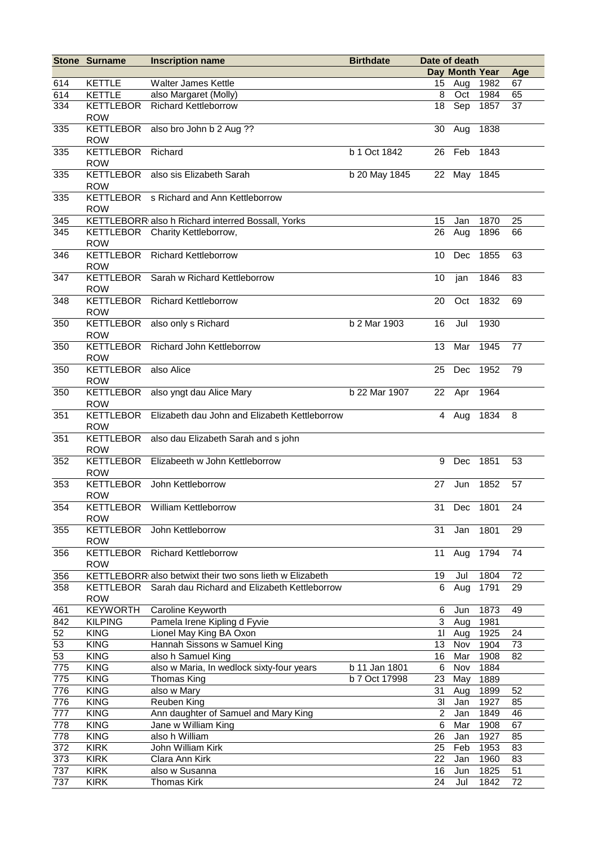|     | <b>Stone Surname</b>           | <b>Inscription name</b>                                  | <b>Birthdate</b> | Date of death  |                |      |     |
|-----|--------------------------------|----------------------------------------------------------|------------------|----------------|----------------|------|-----|
|     |                                |                                                          |                  |                | Day Month Year |      | Age |
| 614 | <b>KETTLE</b>                  | <b>Walter James Kettle</b>                               |                  | 15             | Aug            | 1982 | 67  |
| 614 | <b>KETTLE</b>                  | also Margaret (Molly)                                    |                  | 8              | Oct            | 1984 | 65  |
| 334 | <b>KETTLEBOR</b><br><b>ROW</b> | <b>Richard Kettleborrow</b>                              |                  | 18             | Sep            | 1857 | 37  |
| 335 | <b>KETTLEBOR</b><br><b>ROW</b> | also bro John b 2 Aug ??                                 |                  | 30             | Aug            | 1838 |     |
| 335 | <b>KETTLEBOR</b><br><b>ROW</b> | Richard                                                  | b 1 Oct 1842     | 26             | Feb            | 1843 |     |
| 335 | <b>KETTLEBOR</b><br><b>ROW</b> | also sis Elizabeth Sarah                                 | b 20 May 1845    | 22             | May            | 1845 |     |
| 335 | KETTLEBOR<br><b>ROW</b>        | s Richard and Ann Kettleborrow                           |                  |                |                |      |     |
| 345 |                                | KETTLEBORR also h Richard interred Bossall, Yorks        |                  | 15             | Jan            | 1870 | 25  |
| 345 | KETTLEBOR                      | Charity Kettleborrow,                                    |                  | 26             | Aug            | 1896 | 66  |
|     | <b>ROW</b>                     |                                                          |                  |                |                |      |     |
| 346 | <b>KETTLEBOR</b><br><b>ROW</b> | <b>Richard Kettleborrow</b>                              |                  | 10             | Dec            | 1855 | 63  |
| 347 | <b>KETTLEBOR</b><br><b>ROW</b> | Sarah w Richard Kettleborrow                             |                  | 10             | jan            | 1846 | 83  |
| 348 | <b>KETTLEBOR</b><br><b>ROW</b> | <b>Richard Kettleborrow</b>                              |                  | 20             | Oct            | 1832 | 69  |
| 350 | <b>KETTLEBOR</b><br><b>ROW</b> | also only s Richard                                      | b 2 Mar 1903     | 16             | Jul            | 1930 |     |
| 350 | <b>KETTLEBOR</b><br><b>ROW</b> | <b>Richard John Kettleborrow</b>                         |                  | 13             | Mar            | 1945 | 77  |
| 350 | <b>KETTLEBOR</b><br><b>ROW</b> | also Alice                                               |                  | 25             | Dec            | 1952 | 79  |
| 350 | <b>KETTLEBOR</b><br><b>ROW</b> | also yngt dau Alice Mary                                 | b 22 Mar 1907    | 22             | Apr            | 1964 |     |
| 351 | <b>KETTLEBOR</b><br><b>ROW</b> | Elizabeth dau John and Elizabeth Kettleborrow            |                  | 4              | Aug            | 1834 | 8   |
| 351 | KETTLEBOR<br><b>ROW</b>        | also dau Elizabeth Sarah and s john                      |                  |                |                |      |     |
| 352 | <b>KETTLEBOR</b><br><b>ROW</b> | Elizabeeth w John Kettleborrow                           |                  | 9              | Dec            | 1851 | 53  |
| 353 | <b>KETTLEBOR</b><br><b>ROW</b> | John Kettleborrow                                        |                  | 27             | Jun            | 1852 | 57  |
| 354 | <b>ROW</b>                     | KETTLEBOR William Kettleborrow                           |                  | 31             | Dec            | 1801 | 24  |
| 355 | <b>KETTLEBOR</b><br><b>ROW</b> | John Kettleborrow                                        |                  | 31             | Jan            | 1801 | 29  |
| 356 | <b>KETTLEBOR</b><br><b>ROW</b> | Richard Kettleborrow                                     |                  | 11             | Aug            | 1794 | 74  |
| 356 |                                | KETTLEBORR also betwixt their two sons lieth w Elizabeth |                  | 19             | Jul            | 1804 | 72  |
| 358 | <b>KETTLEBOR</b><br><b>ROW</b> | Sarah dau Richard and Elizabeth Kettleborrow             |                  | 6              | Aug            | 1791 | 29  |
| 461 | <b>KEYWORTH</b>                | Caroline Keyworth                                        |                  | 6              | Jun            | 1873 | 49  |
| 842 | <b>KILPING</b>                 | Pamela Irene Kipling d Fyvie                             |                  | 3              | Aug            | 1981 |     |
| 52  | <b>KING</b>                    | Lionel May King BA Oxon                                  |                  | 11             | Aug            | 1925 | 24  |
| 53  | <b>KING</b>                    | Hannah Sissons w Samuel King                             |                  | 13             | Nov            | 1904 | 73  |
| 53  | <b>KING</b>                    | also h Samuel King                                       |                  | 16             | Mar            | 1908 | 82  |
| 775 | <b>KING</b>                    | also w Maria, In wedlock sixty-four years                | b 11 Jan 1801    | 6              | Nov            | 1884 |     |
| 775 | <b>KING</b>                    | Thomas King                                              | b 7 Oct 17998    | 23             | May            | 1889 |     |
| 776 | <b>KING</b>                    | also w Mary                                              |                  | 31             | Aug            | 1899 | 52  |
| 776 | <b>KING</b>                    | Reuben King                                              |                  | 3I             | Jan            | 1927 | 85  |
| 777 | <b>KING</b>                    | Ann daughter of Samuel and Mary King                     |                  | $\overline{2}$ | Jan            | 1849 | 46  |
| 778 | <b>KING</b>                    | Jane w William King                                      |                  | 6              | Mar            | 1908 | 67  |
| 778 | <b>KING</b>                    | also h William                                           |                  | 26             | Jan            | 1927 | 85  |
| 372 | <b>KIRK</b>                    | John William Kirk                                        |                  | 25             | Feb            | 1953 | 83  |
| 373 | <b>KIRK</b>                    | Clara Ann Kirk                                           |                  | 22             | Jan            | 1960 | 83  |
| 737 | <b>KIRK</b>                    | also w Susanna                                           |                  | 16             | Jun            | 1825 | 51  |
| 737 | <b>KIRK</b>                    | Thomas Kirk                                              |                  | 24             | Jul            | 1842 | 72  |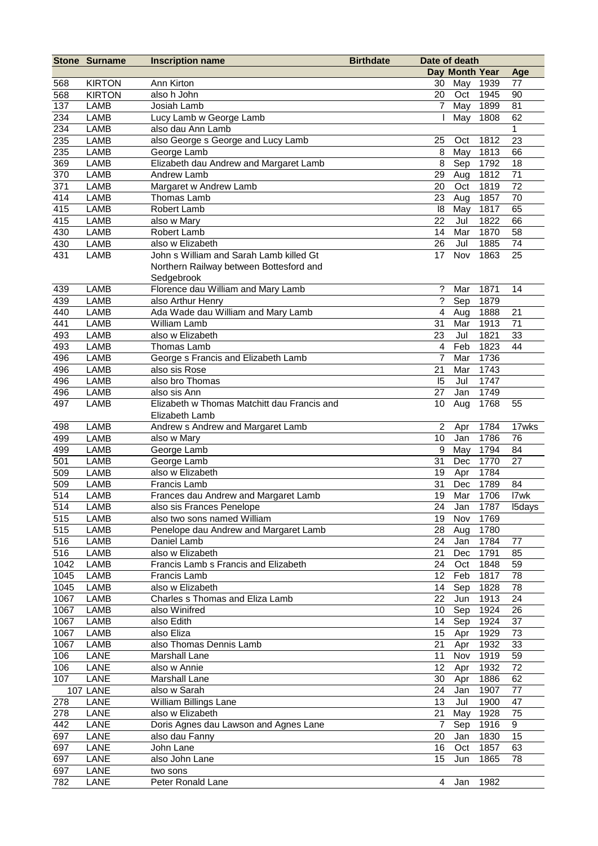|      | <b>Stone Surname</b> | <b>Inscription name</b>                     | <b>Birthdate</b> |                  | Date of death  |          |               |
|------|----------------------|---------------------------------------------|------------------|------------------|----------------|----------|---------------|
|      |                      |                                             |                  |                  | Day Month Year |          | Age           |
| 568  | <b>KIRTON</b>        | Ann Kirton                                  |                  | 30               | May            | 1939     | 77            |
| 568  | <b>KIRTON</b>        | also h John                                 |                  | 20               | Oct            | 1945     | 90            |
| 137  | <b>LAMB</b>          | Josiah Lamb                                 |                  | 7                | May            | 1899     | 81            |
| 234  | <b>LAMB</b>          | Lucy Lamb w George Lamb                     |                  |                  | May            | 1808     | 62            |
| 234  | <b>LAMB</b>          | also dau Ann Lamb                           |                  |                  |                |          | $\mathbf{1}$  |
| 235  | LAMB                 | also George s George and Lucy Lamb          |                  | 25               | Oct            | 1812     | 23            |
| 235  | <b>LAMB</b>          | George Lamb                                 |                  | 8                | May            | 1813     | 66            |
| 369  | LAMB                 | Elizabeth dau Andrew and Margaret Lamb      |                  | 8                | Sep            | 1792     | 18            |
| 370  | <b>LAMB</b>          | Andrew Lamb                                 |                  | 29               | Aug            | 1812     | 71            |
| 371  | LAMB                 | Margaret w Andrew Lamb                      |                  | 20               | Oct            | 1819     | 72            |
| 414  | LAMB                 | Thomas Lamb                                 |                  | 23               | Aug            | 1857     | 70            |
| 415  | <b>LAMB</b>          |                                             |                  | 8                |                | 1817     | 65            |
|      |                      | Robert Lamb                                 |                  |                  | May            |          |               |
| 415  | LAMB                 | also w Mary                                 |                  | 22               | Jul            | 1822     | 66            |
| 430  | <b>LAMB</b>          | Robert Lamb                                 |                  | 14               | Mar            | 1870     | 58            |
| 430  | LAMB                 | also w Elizabeth                            |                  | 26               | Jul            | 1885     | 74            |
| 431  | LAMB                 | John s William and Sarah Lamb killed Gt     |                  | 17               | Nov            | 1863     | 25            |
|      |                      | Northern Railway between Bottesford and     |                  |                  |                |          |               |
|      |                      | Sedgebrook                                  |                  |                  |                |          |               |
| 439  | <b>LAMB</b>          | Florence dau William and Mary Lamb          |                  | ?                | Mar            | 1871     | 14            |
| 439  | <b>LAMB</b>          | also Arthur Henry                           |                  | ?                | Sep            | 1879     |               |
| 440  | <b>LAMB</b>          | Ada Wade dau William and Mary Lamb          |                  | 4                | Aug            | 1888     | 21            |
| 441  | <b>LAMB</b>          | <b>William Lamb</b>                         |                  | 31               | Mar            | 1913     | 71            |
| 493  | <b>LAMB</b>          | also w Elizabeth                            |                  | 23               | Jul            | 1821     | 33            |
| 493  | <b>LAMB</b>          | Thomas Lamb                                 |                  | 4                | Feb            | 1823     | 44            |
| 496  | LAMB                 | George s Francis and Elizabeth Lamb         |                  | 7                | Mar            | 1736     |               |
| 496  | <b>LAMB</b>          | also sis Rose                               |                  | 21               | Mar            | 1743     |               |
| 496  | LAMB                 | also bro Thomas                             |                  | 15               | Jul            | 1747     |               |
| 496  | <b>LAMB</b>          | also sis Ann                                |                  | 27               | Jan            | 1749     |               |
| 497  | <b>LAMB</b>          | Elizabeth w Thomas Matchitt dau Francis and |                  | 10               | Aug            | 1768     | 55            |
|      |                      | Elizabeth Lamb                              |                  |                  |                |          |               |
| 498  | <b>LAMB</b>          | Andrew s Andrew and Margaret Lamb           |                  | 2                | Apr            | 1784     | 17wks         |
| 499  | LAMB                 | also w Mary                                 |                  | 10               | Jan            | 1786     | 76            |
|      |                      |                                             |                  | 9                |                | 1794     |               |
| 499  | LAMB                 | George Lamb                                 |                  |                  | May            |          | 84            |
| 501  | LAMB                 | George Lamb                                 |                  | 31               | Dec            | 1770     | 27            |
| 509  | LAMB                 | also w Elizabeth                            |                  | 19               | Apr            | 1784     |               |
| 509  | LAMB                 | Francis Lamb                                |                  | 31               | Dec            | 1789     | 84            |
| 514  | LAMB                 | Frances dau Andrew and Margaret Lamb        |                  | 19               | Mar            | 1706     | I7wk          |
| 514  | $LA\overline{MB}$    | also sis Frances Penelope                   |                  | 24               |                | Jan 1787 | <b>I5days</b> |
| 515  | LAMB                 | also two sons named William                 |                  |                  | 19 Nov         | 1769     |               |
| 515  | LAMB                 | Penelope dau Andrew and Margaret Lamb       |                  | 28               | Aug            | 1780     |               |
| 516  | LAMB                 | Daniel Lamb                                 |                  | 24               | Jan            | 1784     | 77            |
| 516  | LAMB                 | also w Elizabeth                            |                  | 21               | <b>Dec</b>     | 1791     | 85            |
| 1042 | LAMB                 | Francis Lamb s Francis and Elizabeth        |                  | 24               | Oct            | 1848     | 59            |
| 1045 | LAMB                 | Francis Lamb                                |                  | 12               | Feb            | 1817     | 78            |
| 1045 | LAMB                 | also w Elizabeth                            |                  | 14               | Sep            | 1828     | 78            |
| 1067 | LAMB                 | Charles s Thomas and Eliza Lamb             |                  | 22               | Jun            | 1913     | 24            |
| 1067 | LAMB                 | also Winifred                               |                  | 10 <sup>°</sup>  | Sep            | 1924     | 26            |
| 1067 | LAMB                 | also Edith                                  |                  | 14               | Sep            | 1924     | 37            |
| 1067 | LAMB                 | also Eliza                                  |                  | 15 <sub>15</sub> | Apr            | 1929     | 73            |
| 1067 | LAMB                 | also Thomas Dennis Lamb                     |                  | 21               | Apr            | 1932     | 33            |
| 106  | LANE                 | Marshall Lane                               |                  | 11               | Nov            | 1919     | 59            |
| 106  | <b>LANE</b>          | also w Annie                                |                  | 12 <sup>7</sup>  | Apr            | 1932     | 72            |
| 107  | LANE                 | Marshall Lane                               |                  | 30               | Apr            | 1886     | 62            |
|      | 107 LANE             | also w Sarah                                |                  | 24               | Jan            | 1907     | 77            |
|      | LANE                 | William Billings Lane                       |                  | 13               | Jul            | 1900     | 47            |
| 278  |                      |                                             |                  |                  |                |          |               |
| 278  | LANE                 | also w Elizabeth                            |                  | 21               | May            | 1928     | 75            |
| 442  | LANE                 | Doris Agnes dau Lawson and Agnes Lane       |                  | $\overline{7}$   | Sep            | 1916     | 9             |
| 697  | LANE                 | also dau Fanny                              |                  | 20               | Jan            | 1830     | 15            |
| 697  | LANE                 | John Lane                                   |                  | 16               | Oct            | 1857     | 63            |
| 697  | LANE                 | also John Lane                              |                  | 15               | Jun            | 1865     | 78            |
| 697  | LANE                 | two sons                                    |                  |                  |                |          |               |
| 782  | LANE                 | Peter Ronald Lane                           |                  | 4                | Jan            | 1982     |               |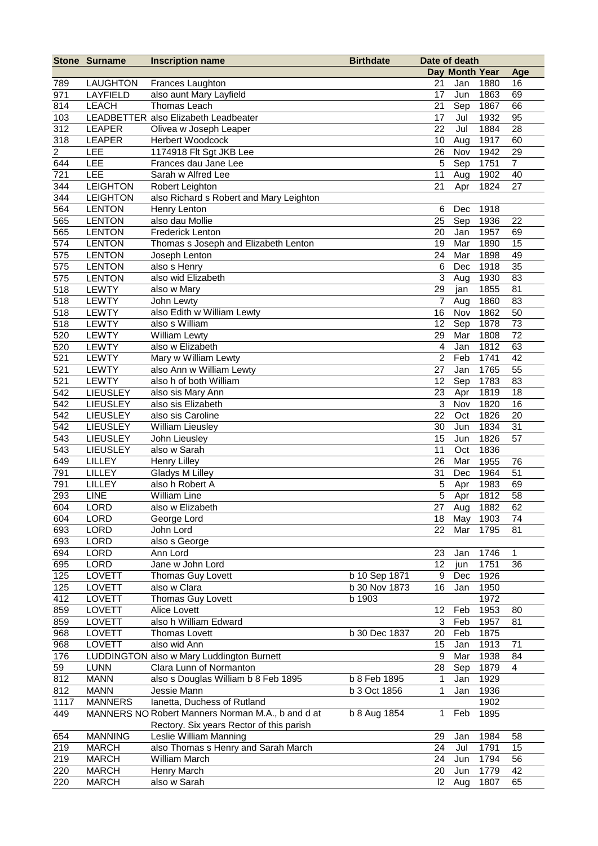|                  | <b>Stone Surname</b> | <b>Inscription name</b>                           | <b>Birthdate</b> | Date of death       |                    |              |                |
|------------------|----------------------|---------------------------------------------------|------------------|---------------------|--------------------|--------------|----------------|
|                  |                      |                                                   |                  |                     | Day Month Year     |              | Age            |
| 789              | <b>LAUGHTON</b>      | Frances Laughton                                  |                  | 21                  | Jan                | 1880         | 16             |
| 971              | LAYFIELD             | also aunt Mary Layfield                           |                  | 17                  | Jun                | 1863         | 69             |
| 814              | <b>LEACH</b>         | Thomas Leach                                      |                  | 21                  | Sep                | 1867         | 66             |
| 103              |                      | LEADBETTER also Elizabeth Leadbeater              |                  | 17                  | Jul                | 1932         | 95             |
| 312              | <b>LEAPER</b>        | Olivea w Joseph Leaper                            |                  | 22                  | Jul                | 1884         | 28             |
| 318              | <b>LEAPER</b>        | Herbert Woodcock                                  |                  | 10                  | Aug                | 1917         | 60             |
| $\overline{2}$   | LEE                  | 1174918 Flt Sgt JKB Lee                           |                  | 26                  | Nov                | 1942         | 29             |
| 644              | LEE                  | Frances dau Jane Lee                              |                  | 5                   | Sep                | 1751         | $\overline{7}$ |
| 721              | LEE                  | Sarah w Alfred Lee                                |                  | 11                  | Aug                | 1902         | 40             |
| 344              | <b>LEIGHTON</b>      | Robert Leighton                                   |                  | 21                  | Apr                | 1824         | 27             |
| 344              | <b>LEIGHTON</b>      | also Richard s Robert and Mary Leighton           |                  |                     |                    |              |                |
| 564              | <b>LENTON</b>        | Henry Lenton                                      |                  | 6                   | Dec                | 1918         |                |
| 565              | <b>LENTON</b>        | also dau Mollie                                   |                  | 25                  | Sep                | 1936         | 22             |
| 565              | <b>LENTON</b>        | <b>Frederick Lenton</b>                           |                  | 20                  | Jan                | 1957         | 69             |
| 574              | <b>LENTON</b>        | Thomas s Joseph and Elizabeth Lenton              |                  | 19                  | Mar                | 1890         | 15             |
| 575              | <b>LENTON</b>        | Joseph Lenton                                     |                  | 24                  | Mar                | 1898         | 49             |
| 575              | <b>LENTON</b>        | also s Henry                                      |                  | 6                   | Dec                | 1918         | 35             |
| 575              | <b>LENTON</b>        | also wid Elizabeth                                |                  | $\mathbf{3}$        | Aug                | 1930         | 83             |
| 518              | <b>LEWTY</b>         | also w Mary                                       |                  | 29                  | jan                | 1855         | 81             |
| 518              | LEWTY                | John Lewty                                        |                  | $\overline{7}$      | Aug                | 1860         | 83             |
| 518              | LEWTY                | also Edith w William Lewty                        |                  | 16                  | Nov                | 1862         | 50             |
| 518              | <b>LEWTY</b>         | also s William                                    |                  | 12                  | Sep                | 1878         | 73             |
| 520              | LEWTY                | <b>William Lewty</b>                              |                  | 29                  | Mar                | 1808         | 72             |
| 520              | LEWTY                | also w Elizabeth                                  |                  | 4                   | Jan                | 1812         | 63             |
| 521              | LEWTY                | Mary w William Lewty                              |                  | $\overline{c}$      | Feb                | 1741         | 42             |
| 521              | LEWTY                | also Ann w William Lewty                          |                  | 27                  | Jan                | 1765         | 55             |
| 521              | <b>LEWTY</b>         | also h of both William                            |                  | 12                  | Sep                | 1783         | 83             |
| 542              | <b>LIEUSLEY</b>      | also sis Mary Ann                                 |                  | 23                  | Apr                | 1819         | 18             |
| 542              | <b>LIEUSLEY</b>      | also sis Elizabeth                                |                  | $\mathbf{3}$        | Nov                | 1820         | 16             |
| 542              | LIEUSLEY             | also sis Caroline                                 |                  | 22                  | Oct                | 1826         | 20             |
| 542              | <b>LIEUSLEY</b>      | <b>William Lieusley</b>                           |                  | 30                  | Jun                | 1834         | 31             |
| $\overline{543}$ | <b>LIEUSLEY</b>      | John Lieusley                                     |                  | 15                  | Jun                | 1826         | 57             |
| 543              | <b>LIEUSLEY</b>      | also w Sarah                                      |                  | 11                  | Oct                | 1836         |                |
| 649              | LILLEY               | <b>Henry Lilley</b>                               |                  | 26                  | Mar                | 1955         | 76             |
| 791              | LILLEY               | Gladys M Lilley                                   |                  | 31                  | Dec                | 1964         | 51             |
| 791<br>293       | LILLEY<br>LINE       | also h Robert A<br><b>William Line</b>            |                  | 5<br>$\overline{5}$ | Apr                | 1983<br>1812 | 69<br>58       |
|                  |                      | also w Elizabeth                                  |                  |                     | Apr<br>27 Aug 1882 |              | 62             |
| 604              | LORD                 |                                                   |                  |                     |                    |              | 74             |
| 604<br>693       | LORD                 | George Lord                                       |                  | 18<br>22            | May<br>Mar         | 1903<br>1795 | 81             |
| 693              | LORD<br>LORD         | John Lord<br>also s George                        |                  |                     |                    |              |                |
| 694              | LORD                 | Ann Lord                                          |                  | 23                  | Jan                | 1746         | 1              |
| 695              | LORD                 | Jane w John Lord                                  |                  | 12                  | jun                | 1751         | 36             |
| 125              | LOVETT               | Thomas Guy Lovett                                 | b 10 Sep 1871    | 9                   | Dec                | 1926         |                |
| 125              | LOVETT               | also w Clara                                      | b 30 Nov 1873    | 16                  | Jan                | 1950         |                |
| 412              | LOVETT               | Thomas Guy Lovett                                 | b 1903           |                     |                    | 1972         |                |
| 859              | LOVETT               | Alice Lovett                                      |                  | 12                  | Feb                | 1953         | 80             |
| 859              | LOVETT               | also h William Edward                             |                  | 3                   | Feb                | 1957         | 81             |
| 968              | LOVETT               | <b>Thomas Lovett</b>                              | b 30 Dec 1837    | 20                  | Feb                | 1875         |                |
| 968              | LOVETT               | also wid Ann                                      |                  | 15                  | Jan                | 1913         | 71             |
| 176              |                      | LUDDINGTON also w Mary Luddington Burnett         |                  | 9                   | Mar                | 1938         | 84             |
| 59               | <b>LUNN</b>          | Clara Lunn of Normanton                           |                  | 28                  | Sep                | 1879         | 4              |
| 812              | <b>MANN</b>          | also s Douglas William b 8 Feb 1895               | b 8 Feb 1895     | 1                   | Jan                | 1929         |                |
| 812              | <b>MANN</b>          | Jessie Mann                                       | b 3 Oct 1856     | 1                   | Jan                | 1936         |                |
| 1117             | <b>MANNERS</b>       | lanetta, Duchess of Rutland                       |                  |                     |                    | 1902         |                |
| 449              |                      | MANNERS NO Robert Manners Norman M.A., b and d at | b 8 Aug 1854     | 1                   | Feb                | 1895         |                |
|                  |                      | Rectory. Six years Rector of this parish          |                  |                     |                    |              |                |
| 654              | <b>MANNING</b>       | Leslie William Manning                            |                  | 29                  | Jan                | 1984         | 58             |
| 219              | <b>MARCH</b>         | also Thomas s Henry and Sarah March               |                  | 24                  | Jul                | 1791         | 15             |
| 219              | <b>MARCH</b>         | William March                                     |                  | 24                  | Jun                | 1794         | 56             |
| 220              | <b>MARCH</b>         | Henry March                                       |                  | 20                  | Jun                | 1779         | 42             |
| 220              | <b>MARCH</b>         | also w Sarah                                      |                  | $ 2\rangle$         | Aug                | 1807         | 65             |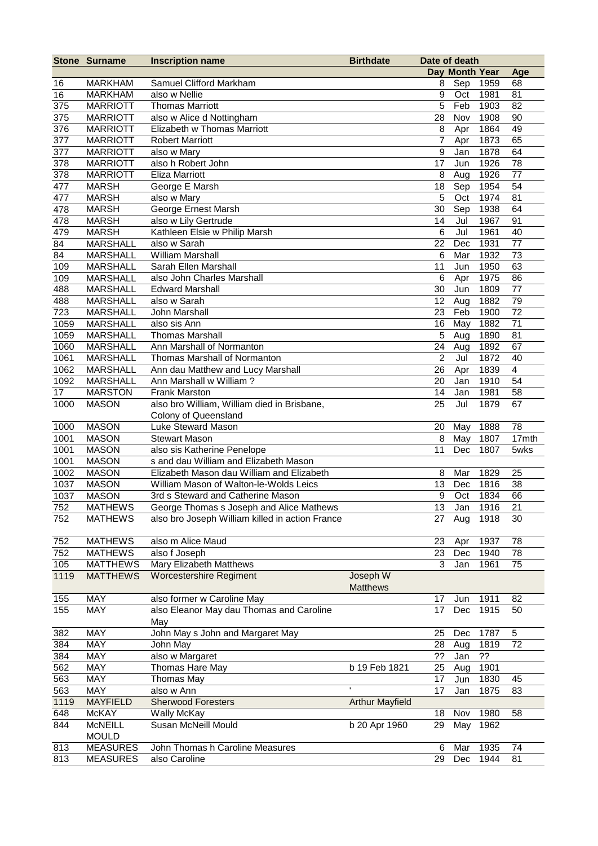|      | <b>Stone Surname</b>           | <b>Inscription name</b>                         | <b>Birthdate</b>       |                | Date of death  |      |                 |
|------|--------------------------------|-------------------------------------------------|------------------------|----------------|----------------|------|-----------------|
|      |                                |                                                 |                        |                | Day Month Year |      | Age             |
| 16   | <b>MARKHAM</b>                 | Samuel Clifford Markham                         |                        | 8              | Sep            | 1959 | 68              |
| 16   | <b>MARKHAM</b>                 | also w Nellie                                   |                        | 9              | Oct            | 1981 | 81              |
| 375  | <b>MARRIOTT</b>                | <b>Thomas Marriott</b>                          |                        | 5              | Feb            | 1903 | 82              |
| 375  | <b>MARRIOTT</b>                | also w Alice d Nottingham                       |                        | 28             | Nov            | 1908 | 90              |
| 376  | <b>MARRIOTT</b>                | Elizabeth w Thomas Marriott                     |                        | 8              | Apr            | 1864 | 49              |
| 377  | <b>MARRIOTT</b>                | <b>Robert Marriott</b>                          |                        | 7              | Apr            | 1873 | 65              |
| 377  | <b>MARRIOTT</b>                | also w Mary                                     |                        | 9              | Jan            | 1878 | 64              |
| 378  | <b>MARRIOTT</b>                | also h Robert John                              |                        | 17             | Jun            | 1926 | 78              |
| 378  | <b>MARRIOTT</b>                | <b>Eliza Marriott</b>                           |                        | 8              | Aug            | 1926 | 77              |
| 477  | <b>MARSH</b>                   | George E Marsh                                  |                        | 18             | Sep            | 1954 | 54              |
| 477  | <b>MARSH</b>                   | also w Mary                                     |                        | 5              | Oct            | 1974 | 81              |
| 478  | <b>MARSH</b>                   | George Ernest Marsh                             |                        | 30             | Sep            | 1938 | 64              |
| 478  | <b>MARSH</b>                   | also w Lily Gertrude                            |                        | 14             | Jul            | 1967 | 91              |
| 479  | <b>MARSH</b>                   | Kathleen Elsie w Philip Marsh                   |                        | 6              | Jul            | 1961 | 40              |
| 84   | <b>MARSHALL</b>                | also w Sarah                                    |                        | 22             | Dec            | 1931 | 77              |
| 84   | <b>MARSHALL</b>                | <b>William Marshall</b>                         |                        | 6              | Mar            | 1932 | 73              |
| 109  | <b>MARSHALL</b>                | Sarah Ellen Marshall                            |                        | 11             | Jun            | 1950 | 63              |
| 109  | <b>MARSHALL</b>                | also John Charles Marshall                      |                        | 6              | Apr            | 1975 | 86              |
| 488  | <b>MARSHALL</b>                | <b>Edward Marshall</b>                          |                        | 30             | Jun            | 1809 | $\overline{77}$ |
| 488  | <b>MARSHALL</b>                | also w Sarah                                    |                        | 12             | Aug            | 1882 | 79              |
| 723  | <b>MARSHALL</b>                | John Marshall                                   |                        | 23             | Feb            | 1900 | 72              |
| 1059 | <b>MARSHALL</b>                | also sis Ann                                    |                        | 16             | May            | 1882 | 71              |
| 1059 | <b>MARSHALL</b>                | <b>Thomas Marshall</b>                          |                        | 5              | Aug            | 1890 | 81              |
| 1060 | <b>MARSHALL</b>                | Ann Marshall of Normanton                       |                        | 24             | Aug            | 1892 | 67              |
| 1061 | <b>MARSHALL</b>                | Thomas Marshall of Normanton                    |                        | $\overline{2}$ | Jul            | 1872 | 40              |
| 1062 | <b>MARSHALL</b>                | Ann dau Matthew and Lucy Marshall               |                        | 26             | Apr            | 1839 | 4               |
| 1092 | <b>MARSHALL</b>                | Ann Marshall w William?                         |                        | 20             | Jan            | 1910 | 54              |
| 17   | <b>MARSTON</b>                 | <b>Frank Marston</b>                            |                        | 14             |                | 1981 | 58              |
|      |                                |                                                 |                        | 25             | Jan<br>Jul     |      | 67              |
| 1000 | <b>MASON</b>                   | also bro William, William died in Brisbane,     |                        |                |                | 1879 |                 |
|      |                                | Colony of Queensland                            |                        |                |                |      |                 |
| 1000 | <b>MASON</b>                   | Luke Steward Mason                              |                        | 20             | May            | 1888 | 78              |
| 1001 | <b>MASON</b>                   | <b>Stewart Mason</b>                            |                        | 8              | May            | 1807 | 17mth           |
| 1001 | <b>MASON</b>                   | also sis Katherine Penelope                     |                        | 11             | Dec            | 1807 | 5wks            |
| 1001 | <b>MASON</b>                   | s and dau William and Elizabeth Mason           |                        |                |                |      |                 |
| 1002 | <b>MASON</b>                   | Elizabeth Mason dau William and Elizabeth       |                        | 8              | Mar            | 1829 | 25              |
| 1037 | <b>MASON</b>                   | William Mason of Walton-le-Wolds Leics          |                        | 13             | Dec            | 1816 | 38              |
| 1037 | <b>MASON</b>                   | 3rd s Steward and Catherine Mason               |                        | 9              | Oct            | 1834 | 66              |
| 752  | <b>MATHEWS</b>                 | George Thomas s Joseph and Alice Mathews        |                        |                | 13 Jan 1916    |      | 21              |
| 752  | <b>MATHEWS</b>                 | also bro Joseph William killed in action France |                        | 27             | Aug            | 1918 | 30              |
| 752  | <b>MATHEWS</b>                 | also m Alice Maud                               |                        | 23             | Apr            | 1937 | 78              |
| 752  | <b>MATHEWS</b>                 | also f Joseph                                   |                        | 23             | Dec            | 1940 | 78              |
| 105  | <b>MATTHEWS</b>                | Mary Elizabeth Matthews                         |                        | 3              | Jan            | 1961 | 75              |
| 1119 | <b>MATTHEWS</b>                | <b>Worcestershire Regiment</b>                  | Joseph W               |                |                |      |                 |
|      |                                |                                                 | <b>Matthews</b>        |                |                |      |                 |
| 155  | MAY                            | also former w Caroline May                      |                        | 17             | Jun            | 1911 | 82              |
| 155  | MAY                            | also Eleanor May dau Thomas and Caroline        |                        | 17             | Dec            | 1915 | 50              |
|      | <b>MAY</b>                     | May                                             |                        |                |                |      |                 |
| 382  |                                | John May s John and Margaret May                |                        | 25             | Dec            | 1787 | 5               |
| 384  | MAY                            | John May                                        |                        | 28             | Aug            | 1819 | 72              |
| 384  | MAY                            | also w Margaret                                 |                        | ??             | Jan            | ??   |                 |
| 562  | MAY                            | Thomas Hare May                                 | b 19 Feb 1821          | 25             | Aug            | 1901 |                 |
| 563  | MAY                            | Thomas May                                      |                        | 17             | Jun            | 1830 | 45              |
| 563  | MAY                            | also w Ann                                      |                        | 17             | Jan            | 1875 | 83              |
| 1119 | <b>MAYFIELD</b>                | <b>Sherwood Foresters</b>                       | <b>Arthur Mayfield</b> |                |                |      |                 |
| 648  | <b>McKAY</b>                   | <b>Wally McKay</b>                              |                        | 18             | Nov            | 1980 | 58              |
| 844  | <b>McNEILL</b><br><b>MOULD</b> | Susan McNeill Mould                             | b 20 Apr 1960          | 29             | May            | 1962 |                 |
| 813  | <b>MEASURES</b>                | John Thomas h Caroline Measures                 |                        | 6              | Mar            | 1935 | 74              |
| 813  | <b>MEASURES</b>                | also Caroline                                   |                        | 29             | Dec            | 1944 | 81              |
|      |                                |                                                 |                        |                |                |      |                 |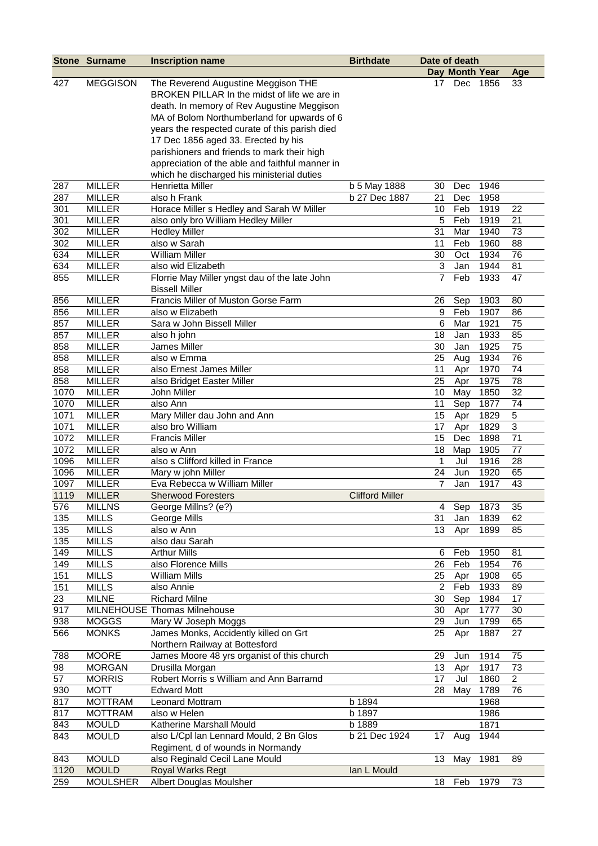|             | <b>Stone Surname</b> | <b>Inscription name</b>                                        | <b>Birthdate</b>       | Date of death  |                |      |                |
|-------------|----------------------|----------------------------------------------------------------|------------------------|----------------|----------------|------|----------------|
|             |                      |                                                                |                        |                | Day Month Year |      | Age            |
| 427         | <b>MEGGISON</b>      | The Reverend Augustine Meggison THE                            |                        | 17             | Dec            | 1856 | 33             |
|             |                      | BROKEN PILLAR In the midst of life we are in                   |                        |                |                |      |                |
|             |                      | death. In memory of Rev Augustine Meggison                     |                        |                |                |      |                |
|             |                      | MA of Bolom Northumberland for upwards of 6                    |                        |                |                |      |                |
|             |                      | years the respected curate of this parish died                 |                        |                |                |      |                |
|             |                      | 17 Dec 1856 aged 33. Erected by his                            |                        |                |                |      |                |
|             |                      | parishioners and friends to mark their high                    |                        |                |                |      |                |
|             |                      | appreciation of the able and faithful manner in                |                        |                |                |      |                |
|             |                      |                                                                |                        |                |                |      |                |
| 287         | <b>MILLER</b>        | which he discharged his ministerial duties<br>Henrietta Miller |                        | 30             | Dec            | 1946 |                |
|             |                      |                                                                | b 5 May 1888           |                |                |      |                |
| 287         | <b>MILLER</b>        | also h Frank                                                   | b 27 Dec 1887          | 21             | Dec            | 1958 |                |
| 301         | <b>MILLER</b>        | Horace Miller s Hedley and Sarah W Miller                      |                        | 10             | Feb            | 1919 | 22             |
| 301         | <b>MILLER</b>        | also only bro William Hedley Miller                            |                        | 5              | Feb            | 1919 | 21             |
| 302         | <b>MILLER</b>        | <b>Hedley Miller</b>                                           |                        | 31             | Mar            | 1940 | 73             |
| 302         | <b>MILLER</b>        | also w Sarah                                                   |                        | 11             | Feb            | 1960 | 88             |
| 634         | <b>MILLER</b>        | <b>William Miller</b>                                          |                        | 30             | Oct            | 1934 | 76             |
| 634         | <b>MILLER</b>        | also wid Elizabeth                                             |                        | $\mathsf 3$    | Jan            | 1944 | 81             |
| 855         | <b>MILLER</b>        | Florrie May Miller yngst dau of the late John                  |                        | $\overline{7}$ | Feb            | 1933 | 47             |
|             |                      | <b>Bissell Miller</b>                                          |                        |                |                |      |                |
| 856         | <b>MILLER</b>        | Francis Miller of Muston Gorse Farm                            |                        | 26             | Sep            | 1903 | 80             |
| 856         | <b>MILLER</b>        | also w Elizabeth                                               |                        | 9              | Feb            | 1907 | 86             |
| 857         | <b>MILLER</b>        | Sara w John Bissell Miller                                     |                        | 6              | Mar            | 1921 | 75             |
| 857         | <b>MILLER</b>        | also h john                                                    |                        | 18             | Jan            | 1933 | 85             |
| 858         | <b>MILLER</b>        | James Miller                                                   |                        | 30             | Jan            | 1925 | 75             |
| 858         | <b>MILLER</b>        | also w Emma                                                    |                        | 25             | Aug            | 1934 | 76             |
| 858         | <b>MILLER</b>        | also Ernest James Miller                                       |                        | 11             | Apr            | 1970 | 74             |
| 858         | <b>MILLER</b>        | also Bridget Easter Miller                                     |                        | 25             | Apr            | 1975 | 78             |
| 1070        | <b>MILLER</b>        | John Miller                                                    |                        | 10             | May            | 1850 | 32             |
| 1070        | <b>MILLER</b>        | also Ann                                                       |                        | 11             | Sep            | 1877 | 74             |
| 1071        | <b>MILLER</b>        | Mary Miller dau John and Ann                                   |                        | 15             | Apr            | 1829 | 5              |
| 1071        | <b>MILLER</b>        | also bro William                                               |                        | 17             | Apr            | 1829 | 3              |
| 1072        | <b>MILLER</b>        | <b>Francis Miller</b>                                          |                        | 15             | Dec            | 1898 | 71             |
| 1072        | <b>MILLER</b>        | also w Ann                                                     |                        | 18             | Map            | 1905 | 77             |
| 1096        | <b>MILLER</b>        | also s Clifford killed in France                               |                        | 1              | Jul            | 1916 | 28             |
| 1096        | <b>MILLER</b>        |                                                                |                        | 24             |                | 1920 |                |
| 1097        | <b>MILLER</b>        | Mary w john Miller<br>Eva Rebecca w William Miller             |                        | $\overline{7}$ | Jun            |      | 65<br>43       |
|             |                      | <b>Sherwood Foresters</b>                                      | <b>Clifford Miller</b> |                | Jan            | 1917 |                |
| 1119        | <b>MILLER</b>        |                                                                |                        |                |                |      |                |
| 576         | <b>MILLNS</b>        | George Millns? (e?)                                            |                        | 4              | Sep            | 1873 | 35             |
| 135         | <b>MILLS</b>         | George Mills                                                   |                        | 31             | Jan            | 1839 | 62             |
| 135         | <b>MILLS</b>         | also w Ann                                                     |                        | 13             | Apr            | 1899 | 85             |
| 135         | <b>MILLS</b>         | also dau Sarah                                                 |                        |                |                |      |                |
| 149         | <b>MILLS</b>         | <b>Arthur Mills</b>                                            |                        | 6              | Feb            | 1950 | 81             |
| 149         | <b>MILLS</b>         | also Florence Mills                                            |                        | 26             | Feb            | 1954 | 76             |
| 151         | <b>MILLS</b>         | <b>William Mills</b>                                           |                        | 25             | Apr            | 1908 | 65             |
| 151         | <b>MILLS</b>         | also Annie                                                     |                        | $\overline{2}$ | Feb            | 1933 | 89             |
| 23          | <b>MILNE</b>         | <b>Richard Milne</b>                                           |                        | 30             | Sep            | 1984 | 17             |
| 917         |                      | MILNEHOUSE Thomas Milnehouse                                   |                        | 30             | Apr            | 1777 | 30             |
| 938         | <b>MOGGS</b>         | Mary W Joseph Moggs                                            |                        | 29             | Jun            | 1799 | 65             |
| 566         | <b>MONKS</b>         | James Monks, Accidently killed on Grt                          |                        | 25             | Apr            | 1887 | 27             |
|             |                      | Northern Railway at Bottesford                                 |                        |                |                |      |                |
| 788         | <b>MOORE</b>         | James Moore 48 yrs organist of this church                     |                        | 29             | Jun            | 1914 | 75             |
| 98          | <b>MORGAN</b>        | Drusilla Morgan                                                |                        | 13             | Apr            | 1917 | 73             |
| 57          | <b>MORRIS</b>        | Robert Morris s William and Ann Barramd                        |                        | 17             | Jul            | 1860 | $\overline{2}$ |
| 930         | <b>MOTT</b>          | <b>Edward Mott</b>                                             |                        | 28             | May            | 1789 | 76             |
| 817         | <b>MOTTRAM</b>       | <b>Leonard Mottram</b>                                         | b 1894                 |                |                | 1968 |                |
| 817         | <b>MOTTRAM</b>       | also w Helen                                                   | b 1897                 |                |                | 1986 |                |
| 843         | <b>MOULD</b>         | Katherine Marshall Mould                                       | b 1889                 |                |                | 1871 |                |
| 843         | <b>MOULD</b>         | also L/Cpl lan Lennard Mould, 2 Bn Glos                        | b 21 Dec 1924          | 17             | Aug            | 1944 |                |
|             |                      | Regiment, d of wounds in Normandy                              |                        |                |                |      |                |
|             | <b>MOULD</b>         | also Reginald Cecil Lane Mould                                 |                        | 13             |                | 1981 | 89             |
| 843<br>1120 | <b>MOULD</b>         |                                                                | Ian L Mould            |                | May            |      |                |
|             |                      | Royal Warks Regt                                               |                        |                |                |      |                |
| 259         | <b>MOULSHER</b>      | Albert Douglas Moulsher                                        |                        | 18             | Feb            | 1979 | 73             |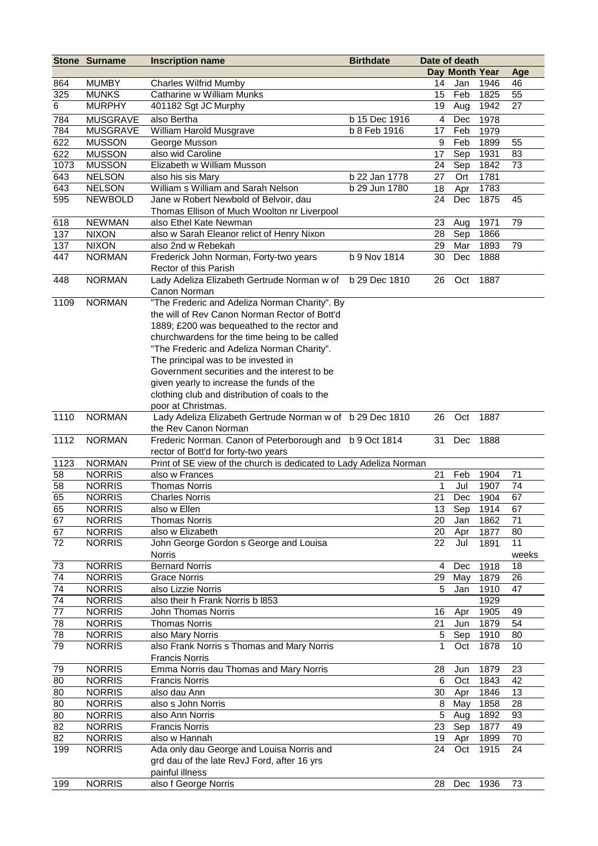|          | <b>Stone Surname</b> | <b>Inscription name</b>                                                              | <b>Birthdate</b> | Date of death    |                |      |       |
|----------|----------------------|--------------------------------------------------------------------------------------|------------------|------------------|----------------|------|-------|
|          |                      |                                                                                      |                  |                  | Day Month Year |      | Age   |
| 864      | <b>MUMBY</b>         | <b>Charles Wilfrid Mumby</b>                                                         |                  | 14               | Jan            | 1946 | 46    |
| 325      | <b>MUNKS</b>         | Catharine w William Munks                                                            |                  | 15               | Feb            | 1825 | 55    |
| 6        | <b>MURPHY</b>        | 401182 Sgt JC Murphy                                                                 |                  | 19               | Aug            | 1942 | 27    |
| 784      | <b>MUSGRAVE</b>      | also Bertha                                                                          | b 15 Dec 1916    | $\overline{4}$   | Dec            | 1978 |       |
| 784      | <b>MUSGRAVE</b>      | William Harold Musgrave                                                              | b 8 Feb 1916     | 17               | Feb            | 1979 |       |
| 622      | <b>MUSSON</b>        | George Musson                                                                        |                  | $\boldsymbol{9}$ | Feb            | 1899 | 55    |
| 622      | <b>MUSSON</b>        | also wid Caroline                                                                    |                  | 17               | Sep            | 1931 | 83    |
| 1073     | <b>MUSSON</b>        | Elizabeth w William Musson                                                           |                  | 24               | Sep            | 1842 | 73    |
| 643      | <b>NELSON</b>        | also his sis Mary                                                                    | b 22 Jan 1778    | 27               | Ort            | 1781 |       |
| 643      | <b>NELSON</b>        | William s William and Sarah Nelson                                                   | b 29 Jun 1780    | 18               | Apr            | 1783 |       |
| 595      | <b>NEWBOLD</b>       | Jane w Robert Newbold of Belvoir, dau                                                |                  | 24               | Dec            | 1875 | 45    |
|          |                      | Thomas Ellison of Much Woolton nr Liverpool                                          |                  |                  |                |      |       |
| 618      | <b>NEWMAN</b>        | also Ethel Kate Newman                                                               |                  | 23               | Aug            | 1971 | 79    |
| 137      | <b>NIXON</b>         | also w Sarah Eleanor relict of Henry Nixon                                           |                  | 28               | Sep            | 1866 |       |
| 137      | <b>NIXON</b>         | also 2nd w Rebekah                                                                   |                  | 29               | Mar            | 1893 | 79    |
| 447      | <b>NORMAN</b>        | Frederick John Norman, Forty-two years                                               | b 9 Nov 1814     | 30               | Dec            | 1888 |       |
|          |                      | Rector of this Parish                                                                |                  |                  |                |      |       |
| 448      | <b>NORMAN</b>        | Lady Adeliza Elizabeth Gertrude Norman w of b 29 Dec 1810                            |                  | 26               | Oct            | 1887 |       |
|          |                      | Canon Norman                                                                         |                  |                  |                |      |       |
| 1109     | <b>NORMAN</b>        | "The Frederic and Adeliza Norman Charity". By                                        |                  |                  |                |      |       |
|          |                      | the will of Rev Canon Norman Rector of Bott'd                                        |                  |                  |                |      |       |
|          |                      | 1889; £200 was bequeathed to the rector and                                          |                  |                  |                |      |       |
|          |                      | churchwardens for the time being to be called                                        |                  |                  |                |      |       |
|          |                      | "The Frederic and Adeliza Norman Charity".                                           |                  |                  |                |      |       |
|          |                      | The principal was to be invested in                                                  |                  |                  |                |      |       |
|          |                      | Government securities and the interest to be                                         |                  |                  |                |      |       |
|          |                      | given yearly to increase the funds of the                                            |                  |                  |                |      |       |
|          |                      | clothing club and distribution of coals to the                                       |                  |                  |                |      |       |
|          |                      | poor at Christmas.                                                                   |                  |                  |                |      |       |
| 1110     | <b>NORMAN</b>        | Lady Adeliza Elizabeth Gertrude Norman w of b 29 Dec 1810                            |                  | 26               | Oct            | 1887 |       |
|          |                      | the Rev Canon Norman                                                                 |                  |                  |                |      |       |
| 1112     | <b>NORMAN</b>        | Frederic Norman. Canon of Peterborough and b 9 Oct 1814                              |                  | 31               | Dec            | 1888 |       |
| 1123     | <b>NORMAN</b>        | rector of Bott'd for forty-two years                                                 |                  |                  |                |      |       |
| 58       | <b>NORRIS</b>        | Print of SE view of the church is dedicated to Lady Adeliza Norman<br>also w Frances |                  | 21               | Feb            | 1904 | 71    |
| 58       | <b>NORRIS</b>        | <b>Thomas Norris</b>                                                                 |                  | 1                | Jul            | 1907 | 74    |
| 65       | <b>NORRIS</b>        | <b>Charles Norris</b>                                                                |                  | 21               | Dec            | 1904 | 67    |
|          | <b>NORRIS</b>        | also w Ellen                                                                         |                  | 13               | Sep            | 1914 | 67    |
| 65<br>67 | <b>NORRIS</b>        | <b>Thomas Norris</b>                                                                 |                  | 20               | Jan            | 1862 | 71    |
| 67       | <b>NORRIS</b>        | also w Elizabeth                                                                     |                  | 20               | Apr            | 1877 | 80    |
| 72       | <b>NORRIS</b>        | John George Gordon s George and Louisa                                               |                  | 22               | Jul            | 1891 | 11    |
|          |                      | <b>Norris</b>                                                                        |                  |                  |                |      | weeks |
| 73       | <b>NORRIS</b>        | <b>Bernard Norris</b>                                                                |                  | 4                | Dec            | 1918 | 18    |
| 74       | <b>NORRIS</b>        | <b>Grace Norris</b>                                                                  |                  | 29               | May            | 1879 | 26    |
| 74       | <b>NORRIS</b>        | also Lizzie Norris                                                                   |                  | 5                | Jan            | 1910 | 47    |
| 74       | <b>NORRIS</b>        | also their h Frank Norris b I853                                                     |                  |                  |                | 1929 |       |
| 77       | <b>NORRIS</b>        | <b>John Thomas Norris</b>                                                            |                  | 16               | Apr            | 1905 | 49    |
| 78       | <b>NORRIS</b>        | <b>Thomas Norris</b>                                                                 |                  | 21               | Jun            | 1879 | 54    |
| 78       | <b>NORRIS</b>        | also Mary Norris                                                                     |                  | 5                | Sep            | 1910 | 80    |
| 79       | <b>NORRIS</b>        | also Frank Norris s Thomas and Mary Norris                                           |                  | 1                | Oct            | 1878 | 10    |
|          |                      | <b>Francis Norris</b>                                                                |                  |                  |                |      |       |
| 79       | <b>NORRIS</b>        | Emma Norris dau Thomas and Mary Norris                                               |                  | 28               | Jun            | 1879 | 23    |
| 80       | <b>NORRIS</b>        | <b>Francis Norris</b>                                                                |                  | 6                | Oct            | 1843 | 42    |
| 80       | <b>NORRIS</b>        | also dau Ann                                                                         |                  | 30               | Apr            | 1846 | 13    |
| 80       | <b>NORRIS</b>        | also s John Norris                                                                   |                  | 8                | May            | 1858 | 28    |
| 80       | <b>NORRIS</b>        | also Ann Norris                                                                      |                  | 5                | Aug            | 1892 | 93    |
| 82       | <b>NORRIS</b>        | <b>Francis Norris</b>                                                                |                  | 23               | Sep            | 1877 | 49    |
| 82       | <b>NORRIS</b>        | also w Hannah                                                                        |                  | 19               | Apr            | 1899 | 70    |
| 199      | <b>NORRIS</b>        | Ada only dau George and Louisa Norris and                                            |                  | 24               | Oct            | 1915 | 24    |
|          |                      | grd dau of the late RevJ Ford, after 16 yrs                                          |                  |                  |                |      |       |
|          |                      | painful illness                                                                      |                  |                  |                |      |       |
| 199      | <b>NORRIS</b>        | also f George Norris                                                                 |                  | 28               | Dec            | 1936 | 73    |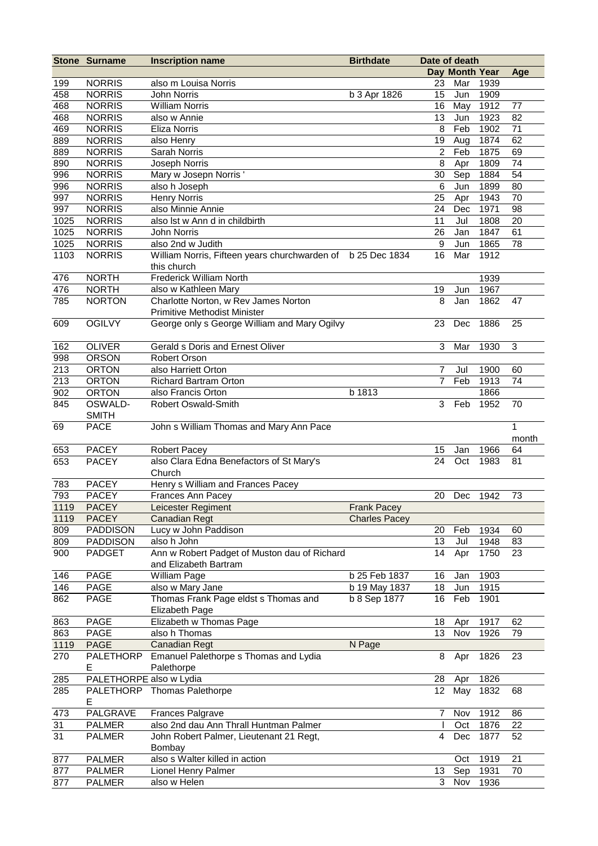|      | <b>Stone Surname</b>          | <b>Inscription name</b>                                                             | <b>Birthdate</b>     | Date of death   |                |              |              |
|------|-------------------------------|-------------------------------------------------------------------------------------|----------------------|-----------------|----------------|--------------|--------------|
|      |                               |                                                                                     |                      |                 | Day Month Year |              | Age          |
| 199  | <b>NORRIS</b>                 | also m Louisa Norris                                                                |                      | 23              | Mar            | 1939         |              |
| 458  | <b>NORRIS</b>                 | John Norris                                                                         | b 3 Apr 1826         | 15              | Jun            | 1909         |              |
| 468  | <b>NORRIS</b>                 | <b>William Norris</b>                                                               |                      | 16              | May            | 1912         | 77           |
| 468  | <b>NORRIS</b>                 | also w Annie                                                                        |                      | 13              | Jun            | 1923         | 82           |
| 469  | <b>NORRIS</b>                 | Eliza Norris                                                                        |                      | 8               | Feb            | 1902         | 71           |
| 889  | <b>NORRIS</b>                 | also Henry                                                                          |                      | 19              | Aug            | 1874         | 62           |
| 889  | <b>NORRIS</b>                 | Sarah Norris                                                                        |                      | $\overline{2}$  | Feb            | 1875         | 69           |
| 890  | <b>NORRIS</b>                 | Joseph Norris                                                                       |                      | 8               | Apr            | 1809         | 74           |
| 996  | <b>NORRIS</b>                 | Mary w Josepn Norris'                                                               |                      | 30              | Sep            | 1884         | 54           |
| 996  | <b>NORRIS</b>                 | also h Joseph                                                                       |                      | 6               | Jun            | 1899         | 80           |
| 997  | <b>NORRIS</b>                 | <b>Henry Norris</b>                                                                 |                      | 25              | Apr            | 1943         | 70           |
| 997  | <b>NORRIS</b>                 | also Minnie Annie                                                                   |                      | 24              | Dec            | 1971         | 98           |
| 1025 | <b>NORRIS</b>                 | also Ist w Ann d in childbirth                                                      |                      | 11              | Jul            | 1808         | 20           |
| 1025 | <b>NORRIS</b>                 | John Norris                                                                         |                      | 26              | Jan            | 1847         | 61           |
| 1025 | <b>NORRIS</b>                 | also 2nd w Judith                                                                   |                      | 9               | Jun            | 1865         | 78           |
| 1103 | <b>NORRIS</b>                 | William Norris, Fifteen years churchwarden of b 25 Dec 1834                         |                      | 16              | Mar            | 1912         |              |
|      | <b>NORTH</b>                  | this church<br>Frederick William North                                              |                      |                 |                |              |              |
| 476  |                               |                                                                                     |                      |                 |                | 1939<br>1967 |              |
| 476  | <b>NORTH</b><br><b>NORTON</b> | also w Kathleen Mary<br>Charlotte Norton, w Rev James Norton                        |                      | 19<br>8         | Jun<br>Jan     |              | 47           |
| 785  |                               |                                                                                     |                      |                 |                | 1862         |              |
|      | <b>OGILVY</b>                 | <b>Primitive Methodist Minister</b><br>George only s George William and Mary Ogilvy |                      | 23              |                | 1886         | 25           |
| 609  |                               |                                                                                     |                      |                 | Dec            |              |              |
| 162  | <b>OLIVER</b>                 | Gerald s Doris and Ernest Oliver                                                    |                      | 3               | Mar            | 1930         | 3            |
| 998  | <b>ORSON</b>                  | <b>Robert Orson</b>                                                                 |                      |                 |                |              |              |
| 213  | <b>ORTON</b>                  | also Harriett Orton                                                                 |                      | 7               | Jul            | 1900         | 60           |
| 213  | <b>ORTON</b>                  | <b>Richard Bartram Orton</b>                                                        |                      | $\overline{7}$  | Feb            | 1913         | 74           |
| 902  | <b>ORTON</b>                  | also Francis Orton                                                                  | b 1813               |                 |                | 1866         |              |
| 845  | OSWALD-                       | <b>Robert Oswald-Smith</b>                                                          |                      | 3               | Feb            | 1952         | 70           |
|      | <b>SMITH</b>                  |                                                                                     |                      |                 |                |              |              |
| 69   | <b>PACE</b>                   | John s William Thomas and Mary Ann Pace                                             |                      |                 |                |              | $\mathbf{1}$ |
|      |                               |                                                                                     |                      |                 |                |              | month        |
| 653  | <b>PACEY</b>                  | Robert Pacey                                                                        |                      | 15              | Jan            | 1966         | 64           |
| 653  | <b>PACEY</b>                  | also Clara Edna Benefactors of St Mary's                                            |                      | 24              | Oct            | 1983         | 81           |
|      |                               | Church                                                                              |                      |                 |                |              |              |
| 783  | <b>PACEY</b>                  | Henry s William and Frances Pacey                                                   |                      |                 |                |              |              |
| 793  | <b>PACEY</b>                  | Frances Ann Pacey                                                                   |                      | 20              | Dec            | 1942         | 73           |
| 1119 | <b>PACEY</b>                  | Leicester Regiment                                                                  | <b>Frank Pacey</b>   |                 |                |              |              |
| 1119 | <b>PACEY</b>                  | <b>Canadian Regt</b>                                                                | <b>Charles Pacey</b> |                 |                |              |              |
| 809  | <b>PADDISON</b>               | Lucy w John Paddison                                                                |                      | 20              | Feb            | 1934         | 60           |
| 809  | <b>PADDISON</b>               | also h John                                                                         |                      | 13              | Jul            | 1948         | 83           |
| 900  | <b>PADGET</b>                 | Ann w Robert Padget of Muston dau of Richard                                        |                      | 14              | Apr            | 1750         | 23           |
|      |                               | and Elizabeth Bartram                                                               |                      |                 |                |              |              |
| 146  | <b>PAGE</b>                   | William Page                                                                        | b 25 Feb 1837        | 16              | Jan            | 1903         |              |
| 146  | PAGE                          | also w Mary Jane                                                                    | b 19 May 1837        | 18              | Jun            | 1915         |              |
| 862  | <b>PAGE</b>                   | Thomas Frank Page eldst s Thomas and                                                | b 8 Sep 1877         | 16              | Feb            | 1901         |              |
|      |                               | Elizabeth Page                                                                      |                      |                 |                |              |              |
| 863  | <b>PAGE</b>                   | Elizabeth w Thomas Page                                                             |                      | 18              | Apr            | 1917         | 62           |
| 863  | <b>PAGE</b>                   | also h Thomas                                                                       |                      | 13              | Nov            | 1926         | 79           |
| 1119 | <b>PAGE</b>                   | <b>Canadian Regt</b>                                                                | N Page               |                 |                |              |              |
| 270  | PALETHORP                     | Emanuel Palethorpe s Thomas and Lydia                                               |                      | 8               | Apr            | 1826         | 23           |
|      | Ε                             | Palethorpe                                                                          |                      |                 |                |              |              |
| 285  | PALETHORPE also w Lydia       |                                                                                     |                      | 28              | Apr            | 1826         |              |
| 285  | PALETHORP                     | Thomas Palethorpe                                                                   |                      | 12 <sub>2</sub> | May            | 1832         | 68           |
|      | Е                             |                                                                                     |                      |                 |                |              |              |
| 473  | PALGRAVE                      | <b>Frances Palgrave</b>                                                             |                      | 7               | Nov            | 1912         | 86           |
| 31   | <b>PALMER</b>                 | also 2nd dau Ann Thrall Huntman Palmer                                              |                      |                 | Oct            | 1876         | 22           |
| 31   | <b>PALMER</b>                 | John Robert Palmer, Lieutenant 21 Regt,                                             |                      | 4               | Dec            | 1877         | 52           |
|      |                               | Bombay<br>also s Walter killed in action                                            |                      |                 |                |              | 21           |
| 877  | <b>PALMER</b>                 |                                                                                     |                      |                 | Oct            | 1919<br>1931 |              |
| 877  | <b>PALMER</b>                 | Lionel Henry Palmer                                                                 |                      | 13<br>3         | Sep            |              | 70           |
| 877  | <b>PALMER</b>                 | also w Helen                                                                        |                      |                 | Nov            | 1936         |              |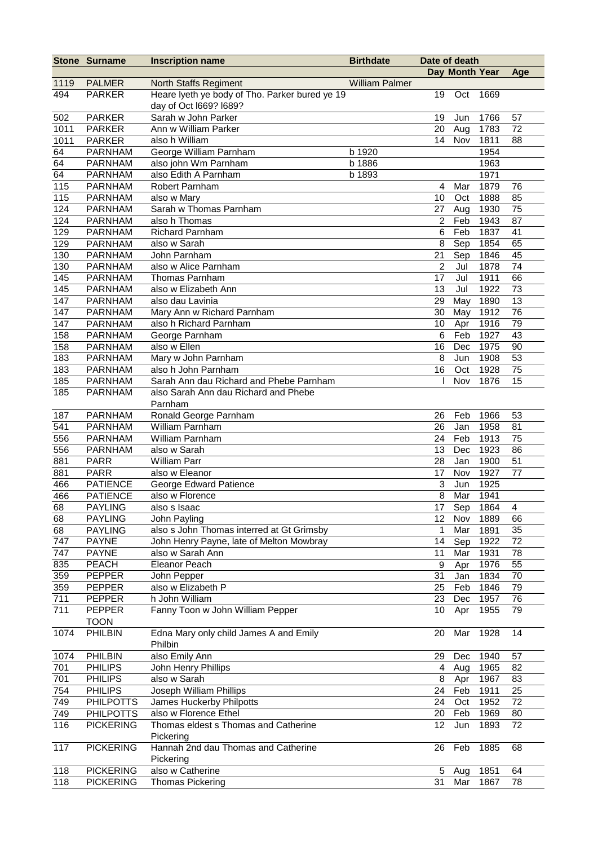|            | <b>Stone Surname</b>       | <b>Inscription name</b>                                                  | <b>Birthdate</b>      | Date of death    |                |              |     |
|------------|----------------------------|--------------------------------------------------------------------------|-----------------------|------------------|----------------|--------------|-----|
|            |                            |                                                                          |                       |                  | Day Month Year |              | Age |
| 1119       | <b>PALMER</b>              | North Staffs Regiment                                                    | <b>William Palmer</b> |                  |                |              |     |
| 494        | <b>PARKER</b>              | Heare lyeth ye body of Tho. Parker bured ye 19<br>day of Oct I669? I689? |                       | 19               | Oct            | 1669         |     |
| 502        | <b>PARKER</b>              | Sarah w John Parker                                                      |                       | 19               | Jun            | 1766         | 57  |
| 1011       | <b>PARKER</b>              | Ann w William Parker                                                     |                       | 20               | Aug            | 1783         | 72  |
| 1011       | <b>PARKER</b>              | also h William                                                           |                       | 14               | Nov            | 1811         | 88  |
| 64         | <b>PARNHAM</b>             | George William Parnham                                                   | b 1920                |                  |                | 1954         |     |
| 64         | PARNHAM                    | also john Wm Parnham                                                     | b 1886                |                  |                | 1963         |     |
| 64         | <b>PARNHAM</b>             | also Edith A Parnham                                                     | b 1893                |                  |                | 1971         |     |
| 115        | <b>PARNHAM</b>             | Robert Parnham                                                           |                       | 4                | Mar            | 1879         | 76  |
| 115        | <b>PARNHAM</b>             | also w Mary                                                              |                       | 10               | Oct            | 1888         | 85  |
| 124        | <b>PARNHAM</b>             | Sarah w Thomas Parnham                                                   |                       | 27               | Aug            | 1930         | 75  |
| 124        | <b>PARNHAM</b>             | also h Thomas                                                            |                       | $\overline{2}$   | Feb            | 1943         | 87  |
| 129        | <b>PARNHAM</b>             | Richard Parnham                                                          |                       | 6                | Feb            | 1837         | 41  |
| 129        | <b>PARNHAM</b>             | also w Sarah                                                             |                       | 8                | Sep            | 1854         | 65  |
| 130        | <b>PARNHAM</b>             | John Parnham                                                             |                       | 21               | Sep            | 1846         | 45  |
| 130        | <b>PARNHAM</b>             | also w Alice Parnham                                                     |                       | $\overline{2}$   | Jul            | 1878         | 74  |
| 145        | <b>PARNHAM</b>             | Thomas Parnham                                                           |                       | 17               | Jul            | 1911         | 66  |
| 145        | <b>PARNHAM</b>             | also w Elizabeth Ann                                                     |                       | 13               | Jul            | 1922         | 73  |
| 147        | <b>PARNHAM</b>             | also dau Lavinia                                                         |                       | 29               | May            | 1890         | 13  |
| 147        | <b>PARNHAM</b>             | Mary Ann w Richard Parnham                                               |                       | 30               | May            | 1912         | 76  |
| 147        | <b>PARNHAM</b>             | also h Richard Parnham                                                   |                       | 10               | Apr            | 1916         | 79  |
| 158        | <b>PARNHAM</b>             | George Parnham                                                           |                       | 6                | Feb            | 1927         | 43  |
| 158        | <b>PARNHAM</b>             | also w Ellen                                                             |                       | 16               | Dec            | 1975         | 90  |
| 183        | <b>PARNHAM</b>             | Mary w John Parnham                                                      |                       | 8                | Jun            | 1908         | 53  |
| 183        |                            | also h John Parnham                                                      |                       | 16               |                | 1928         |     |
|            | <b>PARNHAM</b>             | Sarah Ann dau Richard and Phebe Parnham                                  |                       |                  | Oct<br>Nov     |              | 75  |
| 185<br>185 | <b>PARNHAM</b>             |                                                                          |                       |                  |                | 1876         | 15  |
|            | <b>PARNHAM</b>             | also Sarah Ann dau Richard and Phebe                                     |                       |                  |                |              |     |
|            |                            | Parnham                                                                  |                       |                  |                |              |     |
| 187        | <b>PARNHAM</b>             | Ronald George Parnham                                                    |                       | 26               | Feb            | 1966         | 53  |
| 541        | <b>PARNHAM</b>             | William Parnham                                                          |                       | 26               | Jan            | 1958         | 81  |
| 556        | <b>PARNHAM</b>             | William Parnham<br>also w Sarah                                          |                       | 24<br>13         | Feb            | 1913<br>1923 | 75  |
| 556        | PARNHAM                    | <b>William Parr</b>                                                      |                       |                  | Dec            | 1900         | 86  |
| 881        | <b>PARR</b><br><b>PARR</b> |                                                                          |                       | 28               | Jan            |              | 51  |
| 881        |                            | also w Eleanor                                                           |                       | 17<br>$\sqrt{3}$ | Nov            | 1927         | 77  |
| 466        | <b>PATIENCE</b>            | George Edward Patience<br>also w Florence                                |                       | 8                | Jun<br>Mar     | 1925         |     |
| 466        | <b>PATIENCE</b>            |                                                                          |                       |                  |                | 1941         |     |
| 68         | <b>PAYLING</b>             | also s Isaac                                                             |                       |                  | 17 Sep 1864    |              | 4   |
| 68         | <b>PAYLING</b>             | John Payling                                                             |                       | 12               | Nov            | 1889         | 66  |
| 68         | <b>PAYLING</b>             | also s John Thomas interred at Gt Grimsby                                |                       | 1                | Mar            | 1891         | 35  |
| 747        | <b>PAYNE</b>               | John Henry Payne, late of Melton Mowbray                                 |                       | 14               | Sep            | 1922         | 72  |
| 747        | <b>PAYNE</b>               | also w Sarah Ann                                                         |                       | 11               | Mar            | 1931         | 78  |
| 835        | <b>PEACH</b>               | Eleanor Peach                                                            |                       | 9                | Apr            | 1976         | 55  |
| 359        | <b>PEPPER</b>              | John Pepper                                                              |                       | 31               | Jan            | 1834         | 70  |
| 359        | PEPPER                     | also w Elizabeth P                                                       |                       | 25               | Feb            | 1846         | 79  |
| 711        | PEPPER                     | h John William                                                           |                       | 23               | Dec            | 1957         | 76  |
| 711        | <b>PEPPER</b>              | Fanny Toon w John William Pepper                                         |                       | 10               | Apr            | 1955         | 79  |
|            | <b>TOON</b>                |                                                                          |                       |                  |                |              |     |
| 1074       | <b>PHILBIN</b>             | Edna Mary only child James A and Emily                                   |                       | 20               | Mar            | 1928         | 14  |
|            |                            | Philbin                                                                  |                       |                  |                |              |     |
| 1074       | <b>PHILBIN</b>             | also Emily Ann                                                           |                       | 29               | Dec            | 1940         | 57  |
| 701        | <b>PHILIPS</b>             | John Henry Phillips                                                      |                       | 4                | Aug            | 1965         | 82  |
| 701        | <b>PHILIPS</b>             | also w Sarah                                                             |                       | 8                | Apr            | 1967         | 83  |
| 754        | <b>PHILIPS</b>             | Joseph William Phillips                                                  |                       | 24               | Feb            | 1911         | 25  |
| 749        | <b>PHILPOTTS</b>           | James Huckerby Philpotts                                                 |                       | 24               | Oct            | 1952         | 72  |
| 749        | <b>PHILPOTTS</b>           | also w Florence Ethel                                                    |                       | 20               | Feb            | 1969         | 80  |
| 116        | <b>PICKERING</b>           | Thomas eldest s Thomas and Catherine                                     |                       | 12               | Jun            | 1893         | 72  |
|            |                            | Pickering                                                                |                       |                  |                |              |     |
| 117        | <b>PICKERING</b>           | Hannah 2nd dau Thomas and Catherine<br>Pickering                         |                       | 26               | Feb            | 1885         | 68  |
| 118        | <b>PICKERING</b>           | also w Catherine                                                         |                       | 5                | Aug            | 1851         | 64  |
| 118        | <b>PICKERING</b>           | <b>Thomas Pickering</b>                                                  |                       | 31               | Mar            | 1867         | 78  |
|            |                            |                                                                          |                       |                  |                |              |     |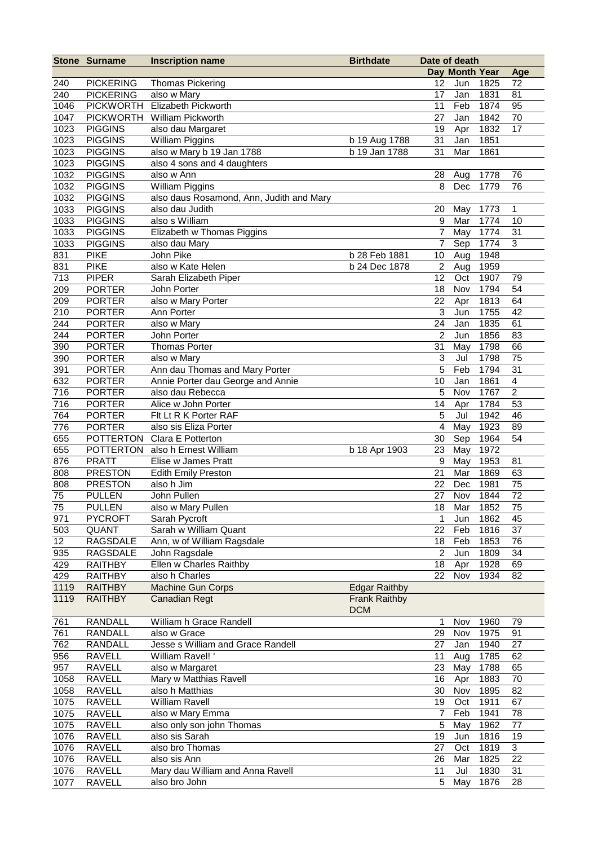|                  | <b>Stone Surname</b>             | <b>Inscription name</b>                           | <b>Birthdate</b>     | Date of death            |                    |              |                         |
|------------------|----------------------------------|---------------------------------------------------|----------------------|--------------------------|--------------------|--------------|-------------------------|
|                  |                                  |                                                   |                      |                          | Day Month Year     |              | Age                     |
| 240              | <b>PICKERING</b>                 | <b>Thomas Pickering</b>                           |                      | 12                       | Jun                | 1825         | 72                      |
| 240              | <b>PICKERING</b>                 | also w Mary                                       |                      | 17                       | Jan                | 1831         | 81                      |
| 1046             | <b>PICKWORTH</b>                 | <b>Elizabeth Pickworth</b>                        |                      | 11                       | Feb                | 1874         | 95                      |
| 1047             | <b>PICKWORTH</b>                 | William Pickworth                                 |                      | 27                       | Jan                | 1842         | 70                      |
| 1023             | <b>PIGGINS</b>                   | also dau Margaret                                 |                      | 19                       | Apr                | 1832         | 17                      |
| 1023             | <b>PIGGINS</b>                   | <b>William Piggins</b>                            | b 19 Aug 1788        | 31                       | Jan                | 1851         |                         |
| 1023             | <b>PIGGINS</b>                   | also w Mary b 19 Jan 1788                         | b 19 Jan 1788        | 31                       | Mar                | 1861         |                         |
| 1023             | <b>PIGGINS</b>                   | also 4 sons and 4 daughters                       |                      |                          |                    |              |                         |
| 1032             | <b>PIGGINS</b>                   | also w Ann                                        |                      | 28                       | Aug                | 1778         | 76                      |
| 1032             | <b>PIGGINS</b>                   | <b>William Piggins</b>                            |                      | 8                        | Dec                | 1779         | 76                      |
| 1032             | <b>PIGGINS</b>                   | also daus Rosamond, Ann, Judith and Mary          |                      |                          |                    |              |                         |
| 1033             | <b>PIGGINS</b>                   | also dau Judith                                   |                      | 20                       | May                | 1773         | $\mathbf{1}$            |
| 1033             | <b>PIGGINS</b>                   | also s William                                    |                      | 9                        | Mar                | 1774         | 10                      |
| 1033             | <b>PIGGINS</b>                   | Elizabeth w Thomas Piggins                        |                      | 7                        | May                | 1774         | 31                      |
| 1033             | <b>PIGGINS</b>                   | also dau Mary                                     |                      | 7                        | Sep                | 1774         | 3                       |
| 831              | <b>PIKE</b>                      | John Pike                                         | b 28 Feb 1881        | 10                       | Aug                | 1948         |                         |
| 831              | <b>PIKE</b>                      | also w Kate Helen                                 | b 24 Dec 1878        | $\boldsymbol{2}$         | Aug                | 1959         |                         |
| 713              | <b>PIPER</b>                     | Sarah Elizabeth Piper                             |                      | 12                       | Oct                | 1907         | 79                      |
| 209              | <b>PORTER</b>                    | John Porter                                       |                      | 18                       | Nov                | 1794         | 54                      |
| 209              | <b>PORTER</b>                    | also w Mary Porter                                |                      | 22                       | Apr                | 1813         | 64                      |
| 210              | <b>PORTER</b>                    | Ann Porter                                        |                      | 3                        | Jun                | 1755         | 42                      |
| 244              | <b>PORTER</b>                    | also w Mary                                       |                      | 24                       | Jan                | 1835         | 61                      |
| 244              | <b>PORTER</b>                    | John Porter                                       |                      | 2                        | Jun                | 1856         | 83                      |
| 390              | <b>PORTER</b>                    | <b>Thomas Porter</b>                              |                      | 31                       | May                | 1798         | 66                      |
| 390              | <b>PORTER</b>                    | also w Mary                                       |                      | 3                        | Jul                | 1798         | 75                      |
| 391              | <b>PORTER</b>                    | Ann dau Thomas and Mary Porter                    |                      | 5                        | Feb                | 1794         | 31                      |
| 632              | <b>PORTER</b>                    | Annie Porter dau George and Annie                 |                      | 10                       | Jan                | 1861         | $\overline{\mathbf{4}}$ |
| 716              | <b>PORTER</b>                    | also dau Rebecca                                  |                      | 5                        | Nov                | 1767         | $\overline{2}$          |
| 716              | <b>PORTER</b>                    | Alice w John Porter                               |                      | 14                       | Apr                | 1784         | 53                      |
| $76\overline{4}$ | <b>PORTER</b>                    | Flt Lt R K Porter RAF                             |                      | 5                        | Jul                | 1942         | 46                      |
| 776              | <b>PORTER</b>                    | also sis Eliza Porter                             |                      | $\overline{\mathcal{A}}$ | May                | 1923         | 89                      |
| 655              | <b>POTTERTON</b>                 | Clara E Potterton                                 |                      | 30                       | Sep                | 1964         | 54                      |
| 655              | <b>POTTERTON</b>                 | also h Ernest William                             | b 18 Apr 1903        | 23                       | May                | 1972         |                         |
| 876              | <b>PRATT</b>                     | Elise w James Pratt                               |                      | 9                        | May                | 1953         | 81                      |
| 808              | <b>PRESTON</b>                   | <b>Edith Emily Preston</b>                        |                      | 21                       | Mar                | 1869         | 63                      |
| 808              | <b>PRESTON</b>                   | also h Jim                                        |                      | 22                       | Dec                | 1981         | 75                      |
| 75               | <b>PULLEN</b>                    | John Pullen                                       |                      | 27                       | Nov<br>18 Mar 1852 | 1844         | 72                      |
| 75               | <b>PULLEN</b>                    | also w Mary Pullen                                |                      |                          |                    |              | 75                      |
| 971              | <b>PYCROFT</b>                   | Sarah Pycroft<br>Sarah w William Quant            |                      | 1                        | Jun                | 1862         | 45                      |
| 503<br>12        | QUANT<br>RAGSDALE                |                                                   |                      | 22                       | Feb                | 1816         | 37<br>76                |
| 935              | RAGSDALE                         | Ann, w of William Ragsdale                        |                      | 18<br>$\overline{2}$     | Feb                | 1853         | 34                      |
|                  |                                  | John Ragsdale                                     |                      |                          | Jun                | 1809         |                         |
| 429              | <b>RAITHBY</b>                   | Ellen w Charles Raithby<br>also h Charles         |                      | 18<br>22                 | Apr<br>Nov         | 1928<br>1934 | 69<br>82                |
| 429<br>1119      | <b>RAITHBY</b><br><b>RAITHBY</b> | Machine Gun Corps                                 | <b>Edgar Raithby</b> |                          |                    |              |                         |
| 1119             | <b>RAITHBY</b>                   | <b>Canadian Regt</b>                              | <b>Frank Raithby</b> |                          |                    |              |                         |
|                  |                                  |                                                   | <b>DCM</b>           |                          |                    |              |                         |
| 761              | RANDALL                          | William h Grace Randell                           |                      | 1                        | Nov                | 1960         |                         |
| 761              | <b>RANDALL</b>                   | also w Grace                                      |                      | 29                       | Nov                | 1975         | 79<br>91                |
| 762              | <b>RANDALL</b>                   | Jesse s William and Grace Randell                 |                      | 27                       | Jan                | 1940         | 27                      |
| 956              | <b>RAVELL</b>                    | William Ravel!'                                   |                      | 11                       | Aug                | 1785         | 62                      |
| 957              | <b>RAVELL</b>                    | also w Margaret                                   |                      | 23                       | May                | 1788         | 65                      |
| 1058             | <b>RAVELL</b>                    | Mary w Matthias Ravell                            |                      | 16                       | Apr                | 1883         | 70                      |
| 1058             | <b>RAVELL</b>                    | also h Matthias                                   |                      | 30                       | Nov                | 1895         | 82                      |
| 1075             | <b>RAVELL</b>                    | <b>William Ravell</b>                             |                      | 19                       | Oct                | 1911         | 67                      |
| 1075             | <b>RAVELL</b>                    | also w Mary Emma                                  |                      | $\overline{7}$           | Feb                | 1941         | 78                      |
|                  | <b>RAVELL</b>                    | also only son john Thomas                         |                      | 5                        | May                | 1962         | 77                      |
| 1075<br>1076     | <b>RAVELL</b>                    | also sis Sarah                                    |                      | 19                       | Jun                | 1816         | 19                      |
| 1076             | <b>RAVELL</b>                    | also bro Thomas                                   |                      | 27                       | Oct                | 1819         | 3                       |
| 1076             | <b>RAVELL</b>                    | also sis Ann                                      |                      | 26                       | Mar                | 1825         | 22                      |
| 1076             | <b>RAVELL</b>                    |                                                   |                      |                          | Jul                | 1830         | 31                      |
|                  |                                  | Mary dau William and Anna Ravell<br>also bro John |                      | 11<br>5                  |                    |              | 28                      |
| 1077             | <b>RAVELL</b>                    |                                                   |                      |                          | May                | 1876         |                         |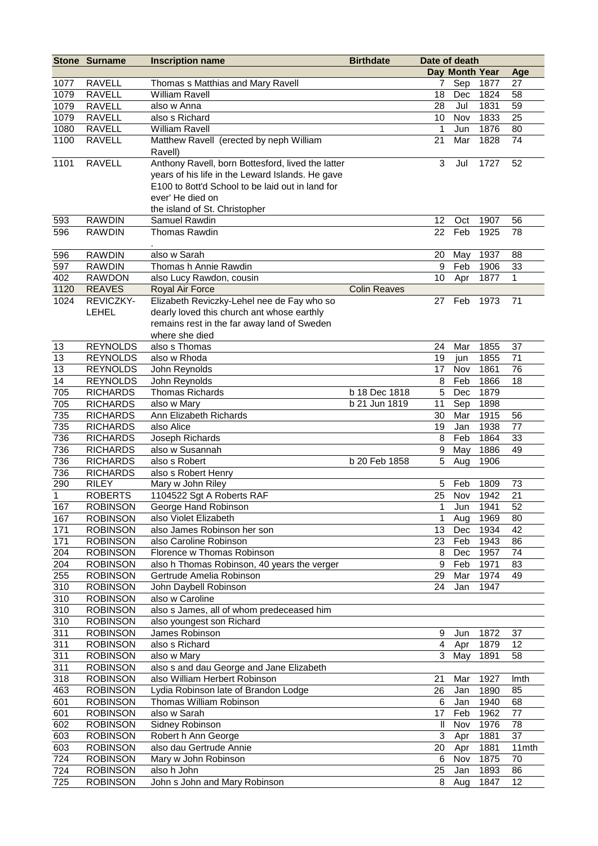|      | <b>Stone Surname</b> | <b>Inscription name</b>                           | <b>Birthdate</b>    |                         | Date of death  |      |       |
|------|----------------------|---------------------------------------------------|---------------------|-------------------------|----------------|------|-------|
|      |                      |                                                   |                     |                         | Day Month Year |      | Age   |
| 1077 | <b>RAVELL</b>        | Thomas s Matthias and Mary Ravell                 |                     | 7                       | Sep            | 1877 | 27    |
| 1079 | <b>RAVELL</b>        | <b>William Ravell</b>                             |                     | 18                      | Dec            | 1824 | 58    |
| 1079 | <b>RAVELL</b>        | also w Anna                                       |                     | 28                      | Jul            | 1831 | 59    |
| 1079 | <b>RAVELL</b>        | also s Richard                                    |                     | 10                      | Nov            | 1833 | 25    |
| 1080 | <b>RAVELL</b>        | <b>William Ravell</b>                             |                     | 1                       | Jun            | 1876 | 80    |
| 1100 | <b>RAVELL</b>        | Matthew Ravell (erected by neph William           |                     | 21                      | Mar            | 1828 | 74    |
|      |                      | Ravell)                                           |                     |                         |                |      |       |
| 1101 | <b>RAVELL</b>        | Anthony Ravell, born Bottesford, lived the latter |                     | $\mathsf 3$             | Jul            | 1727 | 52    |
|      |                      | years of his life in the Leward Islands. He gave  |                     |                         |                |      |       |
|      |                      | E100 to 8ott'd School to be laid out in land for  |                     |                         |                |      |       |
|      |                      | ever' He died on                                  |                     |                         |                |      |       |
|      |                      | the island of St. Christopher                     |                     |                         |                |      |       |
| 593  | <b>RAWDIN</b>        | Samuel Rawdin                                     |                     | 12                      | Oct            | 1907 | 56    |
| 596  | <b>RAWDIN</b>        | Thomas Rawdin                                     |                     | 22                      | Feb            | 1925 | 78    |
|      |                      |                                                   |                     |                         |                |      |       |
| 596  | <b>RAWDIN</b>        | also w Sarah                                      |                     | 20                      | May            | 1937 | 88    |
| 597  | <b>RAWDIN</b>        | Thomas h Annie Rawdin                             |                     | 9                       | Feb            | 1906 | 33    |
| 402  | <b>RAWDON</b>        | also Lucy Rawdon, cousin                          |                     | 10                      | Apr            | 1877 | 1     |
| 1120 | <b>REAVES</b>        | Royal Air Force                                   | <b>Colin Reaves</b> |                         |                |      |       |
| 1024 | REVICZKY-            | Elizabeth Reviczky-Lehel nee de Fay who so        |                     | 27                      | Feb            | 1973 | 71    |
|      | <b>LEHEL</b>         | dearly loved this church ant whose earthly        |                     |                         |                |      |       |
|      |                      | remains rest in the far away land of Sweden       |                     |                         |                |      |       |
|      |                      | where she died                                    |                     |                         |                |      |       |
| 13   | <b>REYNOLDS</b>      | also s Thomas                                     |                     | 24                      | Mar            | 1855 | 37    |
| 13   | <b>REYNOLDS</b>      | also w Rhoda                                      |                     | 19                      | jun            | 1855 | 71    |
| 13   | <b>REYNOLDS</b>      | John Reynolds                                     |                     | 17                      | Nov            | 1861 | 76    |
| 14   | <b>REYNOLDS</b>      | John Reynolds                                     |                     | 8                       | Feb            | 1866 | 18    |
| 705  | <b>RICHARDS</b>      | <b>Thomas Richards</b>                            | b 18 Dec 1818       | 5                       | Dec            | 1879 |       |
| 705  | <b>RICHARDS</b>      | also w Mary                                       | b 21 Jun 1819       | 11                      | Sep            | 1898 |       |
| 735  | <b>RICHARDS</b>      | Ann Elizabeth Richards                            |                     | 30                      | Mar            | 1915 | 56    |
| 735  | <b>RICHARDS</b>      | also Alice                                        |                     | 19                      | Jan            | 1938 | 77    |
| 736  | <b>RICHARDS</b>      | Joseph Richards                                   |                     | 8                       | Feb            | 1864 | 33    |
| 736  | <b>RICHARDS</b>      | also w Susannah                                   |                     | 9                       | May            | 1886 | 49    |
| 736  | <b>RICHARDS</b>      | also s Robert                                     | b 20 Feb 1858       | 5                       | Aug            | 1906 |       |
| 736  | <b>RICHARDS</b>      | also s Robert Henry                               |                     |                         |                |      |       |
| 290  | <b>RILEY</b>         | Mary w John Riley                                 |                     | 5                       | Feb            | 1809 | 73    |
| 1    | <b>ROBERTS</b>       | 1104522 Sgt A Roberts RAF                         |                     | 25                      | Nov            | 1942 | 21    |
| 167  | <b>ROBINSON</b>      | George Hand Robinson                              |                     |                         | Jun            | 1941 | 52    |
| 167  | <b>ROBINSON</b>      | also Violet Elizabeth                             |                     | 1                       | Aug            | 1969 | 80    |
| 171  | <b>ROBINSON</b>      | also James Robinson her son                       |                     | 13                      | Dec            | 1934 | 42    |
| 171  | <b>ROBINSON</b>      | also Caroline Robinson                            |                     | 23                      | Feb            | 1943 | 86    |
| 204  | <b>ROBINSON</b>      | Florence w Thomas Robinson                        |                     | 8                       | Dec            | 1957 | 74    |
| 204  | <b>ROBINSON</b>      | also h Thomas Robinson, 40 years the verger       |                     | $\boldsymbol{9}$        | Feb            | 1971 | 83    |
| 255  | <b>ROBINSON</b>      | Gertrude Amelia Robinson                          |                     | 29                      | Mar            | 1974 | 49    |
| 310  | <b>ROBINSON</b>      | John Daybell Robinson                             |                     | 24                      | Jan            | 1947 |       |
| 310  | <b>ROBINSON</b>      | also w Caroline                                   |                     |                         |                |      |       |
| 310  | <b>ROBINSON</b>      | also s James, all of whom predeceased him         |                     |                         |                |      |       |
| 310  | <b>ROBINSON</b>      | also youngest son Richard                         |                     |                         |                |      |       |
| 311  | <b>ROBINSON</b>      | James Robinson                                    |                     | 9                       | Jun            | 1872 | 37    |
| 311  | <b>ROBINSON</b>      | also s Richard                                    |                     | $\overline{\mathbf{4}}$ | Apr            | 1879 | 12    |
| 311  | <b>ROBINSON</b>      | also w Mary                                       |                     | 3                       | May            | 1891 | 58    |
| 311  | <b>ROBINSON</b>      | also s and dau George and Jane Elizabeth          |                     |                         |                |      |       |
| 318  | <b>ROBINSON</b>      | also William Herbert Robinson                     |                     | 21                      | Mar            | 1927 | Imth  |
| 463  | <b>ROBINSON</b>      | Lydia Robinson late of Brandon Lodge              |                     | 26                      | Jan            | 1890 | 85    |
| 601  | <b>ROBINSON</b>      | Thomas William Robinson                           |                     | 6                       | Jan            | 1940 | 68    |
| 601  | <b>ROBINSON</b>      | also w Sarah                                      |                     | 17                      | Feb            | 1962 | 77    |
| 602  | <b>ROBINSON</b>      | Sidney Robinson                                   |                     | Ш                       | Nov            | 1976 | 78    |
| 603  | <b>ROBINSON</b>      | Robert h Ann George                               |                     | 3                       | Apr            | 1881 | 37    |
| 603  | <b>ROBINSON</b>      | also dau Gertrude Annie                           |                     | 20                      | Apr            | 1881 | 11mth |
| 724  | <b>ROBINSON</b>      | Mary w John Robinson                              |                     | 6                       | Nov            | 1875 | 70    |
| 724  | <b>ROBINSON</b>      | also h John                                       |                     | 25                      | Jan            | 1893 | 86    |
| 725  | <b>ROBINSON</b>      | John s John and Mary Robinson                     |                     | 8                       | Aug            | 1847 | 12    |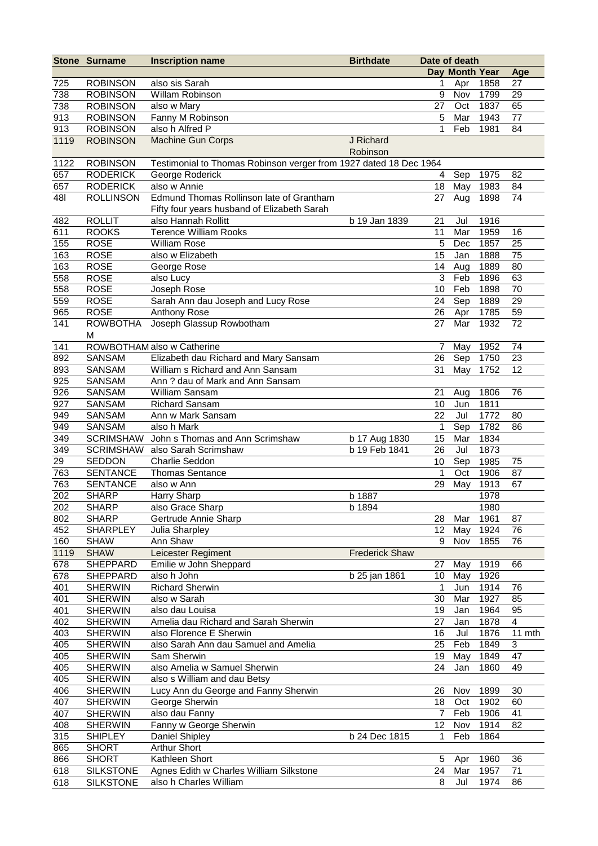|                   | <b>Stone Surname</b>                | <b>Inscription name</b>                                           | <b>Birthdate</b>      |                 | Date of death  |              |                         |
|-------------------|-------------------------------------|-------------------------------------------------------------------|-----------------------|-----------------|----------------|--------------|-------------------------|
|                   |                                     |                                                                   |                       |                 | Day Month Year |              | Age                     |
| 725               | <b>ROBINSON</b>                     | also sis Sarah                                                    |                       | 1               | Apr            | 1858         | 27                      |
| 738               | <b>ROBINSON</b>                     | Willam Robinson                                                   |                       | 9               | Nov            | 1799         | 29                      |
| 738               | <b>ROBINSON</b>                     | also w Mary                                                       |                       | 27              | Oct            | 1837         | 65                      |
| 913               | <b>ROBINSON</b>                     | Fanny M Robinson                                                  |                       | 5               | Mar            | 1943         | 77                      |
| 913               | <b>ROBINSON</b>                     | also h Alfred P                                                   |                       | 1               | Feb            | 1981         | 84                      |
| 1119              | <b>ROBINSON</b>                     | <b>Machine Gun Corps</b>                                          | J Richard             |                 |                |              |                         |
|                   |                                     |                                                                   | Robinson              |                 |                |              |                         |
| 1122<br>657       | <b>ROBINSON</b><br><b>RODERICK</b>  | Testimonial to Thomas Robinson verger from 1927 dated 18 Dec 1964 |                       |                 |                | 1975         |                         |
|                   |                                     | George Roderick<br>also w Annie                                   |                       | 4<br>18         | Sep<br>May     | 1983         | 82<br>84                |
| 657<br><b>481</b> | <b>RODERICK</b><br><b>ROLLINSON</b> | Edmund Thomas Rollinson late of Grantham                          |                       | 27              | Aug            | 1898         | 74                      |
|                   |                                     | Fifty four years husband of Elizabeth Sarah                       |                       |                 |                |              |                         |
| 482               | <b>ROLLIT</b>                       | also Hannah Rollitt                                               | b 19 Jan 1839         | 21              | Jul            | 1916         |                         |
| 611               | <b>ROOKS</b>                        | <b>Terence William Rooks</b>                                      |                       | 11              | Mar            | 1959         | 16                      |
| 155               | <b>ROSE</b>                         | <b>William Rose</b>                                               |                       | 5               | Dec            | 1857         | 25                      |
| 163               | <b>ROSE</b>                         | also w Elizabeth                                                  |                       | 15              | Jan            | 1888         | 75                      |
| 163               | <b>ROSE</b>                         | George Rose                                                       |                       | 14              | Aug            | 1889         | 80                      |
| 558               | <b>ROSE</b>                         | also Lucy                                                         |                       | 3               | Feb            | 1896         | 63                      |
| 558               | <b>ROSE</b>                         | Joseph Rose                                                       |                       | 10              | Feb            | 1898         | 70                      |
| 559               | <b>ROSE</b>                         | Sarah Ann dau Joseph and Lucy Rose                                |                       | 24              | Sep            | 1889         | 29                      |
| 965               | <b>ROSE</b>                         | Anthony Rose                                                      |                       | 26              | Apr            | 1785         | 59                      |
| 141               | <b>ROWBOTHA</b><br>м                | Joseph Glassup Rowbotham                                          |                       | 27              | Mar            | 1932         | 72                      |
| 141               |                                     | ROWBOTHAM also w Catherine                                        |                       | 7               | May            | 1952         | 74                      |
| 892               | SANSAM                              | Elizabeth dau Richard and Mary Sansam                             |                       | 26              | Sep            | 1750         | 23                      |
| 893               | SANSAM                              | William s Richard and Ann Sansam                                  |                       | 31              | May            | 1752         | 12                      |
| 925               | SANSAM                              | Ann ? dau of Mark and Ann Sansam                                  |                       |                 |                |              |                         |
| 926               | SANSAM                              | William Sansam                                                    |                       | 21              | Aug            | 1806         | 76                      |
| 927               | SANSAM                              | <b>Richard Sansam</b>                                             |                       | 10              | Jun            | 1811         |                         |
| 949               | SANSAM                              | Ann w Mark Sansam                                                 |                       | 22              | Jul            | 1772         | 80                      |
| 949               | SANSAM                              | also h Mark                                                       |                       | 1               | Sep            | 1782         | 86                      |
| 349               | <b>SCRIMSHAW</b>                    | John s Thomas and Ann Scrimshaw                                   | b 17 Aug 1830         | 15              | Mar            | 1834         |                         |
| 349               | <b>SCRIMSHAW</b>                    | also Sarah Scrimshaw                                              | b 19 Feb 1841         | 26              | Jul            | 1873         |                         |
| 29                | <b>SEDDON</b>                       | Charlie Seddon                                                    |                       | 10              | Sep            | 1985         | 75                      |
| 763               | <b>SENTANCE</b>                     | <b>Thomas Sentance</b>                                            |                       | 1               | Oct            | 1906         | 87                      |
| 763               | <b>SENTANCE</b>                     | also w Ann                                                        |                       | 29              | May            | 1913         | 67                      |
| 202               | <b>SHARP</b>                        | Harry Sharp                                                       | b 1887                |                 |                | 1978         |                         |
| 202               | <b>SHARP</b>                        | also Grace Sharp                                                  | b 1894                |                 |                | 1980         |                         |
| 802               | <b>SHARP</b>                        | Gertrude Annie Sharp                                              |                       | 28              | Mar            | 1961         | 87                      |
| 452               | SHARPLEY                            | Julia Sharpley                                                    |                       | 12 <sub>2</sub> | May            | 1924         | 76                      |
| 160               | <b>SHAW</b>                         | Ann Shaw                                                          |                       | 9               | Nov            | 1855         | 76                      |
| 1119              | <b>SHAW</b>                         | Leicester Regiment                                                | <b>Frederick Shaw</b> |                 |                |              |                         |
| 678               | <b>SHEPPARD</b>                     | Emilie w John Sheppard                                            |                       | 27              | May            | 1919         | 66                      |
| 678               | SHEPPARD                            | also h John                                                       | b 25 jan 1861         | 10              | May            | 1926         |                         |
| 401               | <b>SHERWIN</b>                      | <b>Richard Sherwin</b>                                            |                       | 1               | Jun            | 1914         | 76                      |
| 401               | <b>SHERWIN</b>                      | also w Sarah                                                      |                       | 30              | Mar            | 1927         | 85                      |
| 401               | <b>SHERWIN</b>                      | also dau Louisa                                                   |                       | 19              | Jan            | 1964         | 95                      |
| 402               | <b>SHERWIN</b>                      | Amelia dau Richard and Sarah Sherwin<br>also Florence E Sherwin   |                       | 27              | Jan            | 1878         | $\overline{\mathbf{4}}$ |
| 403<br>405        | <b>SHERWIN</b><br><b>SHERWIN</b>    | also Sarah Ann dau Samuel and Amelia                              |                       | 16<br>25        | Jul<br>Feb     | 1876<br>1849 | 11 mth<br>$\mathbf{3}$  |
|                   |                                     | Sam Sherwin                                                       |                       |                 |                | 1849         |                         |
| 405<br>405        | <b>SHERWIN</b><br><b>SHERWIN</b>    | also Amelia w Samuel Sherwin                                      |                       | 19<br>24        | May<br>Jan     | 1860         | 47<br>49                |
| 405               | <b>SHERWIN</b>                      | also s William and dau Betsy                                      |                       |                 |                |              |                         |
| 406               | <b>SHERWIN</b>                      | Lucy Ann du George and Fanny Sherwin                              |                       | 26              | Nov            | 1899         | 30                      |
| 407               | <b>SHERWIN</b>                      | George Sherwin                                                    |                       | 18              | Oct            | 1902         | 60                      |
| 407               | <b>SHERWIN</b>                      | also dau Fanny                                                    |                       | $\overline{7}$  | Feb            | 1906         | 41                      |
| 408               | <b>SHERWIN</b>                      | Fanny w George Sherwin                                            |                       | 12              | Nov            | 1914         | 82                      |
| 315               | <b>SHIPLEY</b>                      | Daniel Shipley                                                    | b 24 Dec 1815         | 1               | Feb            | 1864         |                         |
| 865               | <b>SHORT</b>                        | <b>Arthur Short</b>                                               |                       |                 |                |              |                         |
| 866               | <b>SHORT</b>                        | Kathleen Short                                                    |                       | 5               | Apr            | 1960         | 36                      |
| 618               | <b>SILKSTONE</b>                    | Agnes Edith w Charles William Silkstone                           |                       | 24              | Mar            | 1957         | 71                      |
| 618               | <b>SILKSTONE</b>                    | also h Charles William                                            |                       | 8               | Jul            | 1974         | 86                      |
|                   |                                     |                                                                   |                       |                 |                |              |                         |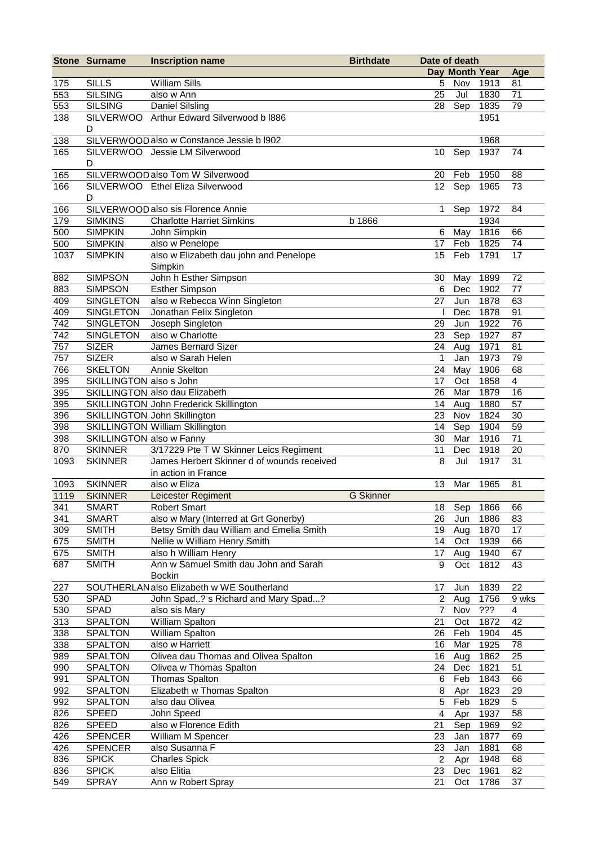|      | <b>Stone Surname</b>     | <b>Inscription name</b>                    | <b>Birthdate</b> | Date of death  |                |      |                         |
|------|--------------------------|--------------------------------------------|------------------|----------------|----------------|------|-------------------------|
|      |                          |                                            |                  |                | Day Month Year |      | Age                     |
| 175  | <b>SILLS</b>             | <b>William Sills</b>                       |                  | 5              | Nov            | 1913 | 81                      |
| 553  | <b>SILSING</b>           | also w Ann                                 |                  | 25             | Jul            | 1830 | 71                      |
| 553  | <b>SILSING</b>           | <b>Daniel Silsling</b>                     |                  | 28             | Sep            | 1835 | 79                      |
| 138  |                          | SILVERWOO Arthur Edward Silverwood b I886  |                  |                |                | 1951 |                         |
|      | D                        |                                            |                  |                |                |      |                         |
| 138  |                          | SILVERWOOD also w Constance Jessie b I902  |                  |                |                | 1968 |                         |
| 165  |                          | SILVERWOO Jessie LM Silverwood             |                  | 10             | Sep            | 1937 | 74                      |
|      | D                        |                                            |                  |                |                |      |                         |
| 165  |                          | SILVERWOOD also Tom W Silverwood           |                  | 20             | Feb            | 1950 | 88                      |
| 166  |                          | SILVERWOO Ethel Eliza Silverwood           |                  | 12             | Sep            | 1965 | 73                      |
|      | D                        |                                            |                  |                |                |      |                         |
|      |                          | SILVERWOOD also sis Florence Annie         |                  |                |                |      |                         |
| 166  |                          |                                            |                  | 1              | Sep            | 1972 | 84                      |
| 179  | <b>SIMKINS</b>           | <b>Charlotte Harriet Simkins</b>           | b 1866           |                |                | 1934 |                         |
| 500  | <b>SIMPKIN</b>           | John Simpkin                               |                  | 6              | May            | 1816 | 66                      |
| 500  | <b>SIMPKIN</b>           | also w Penelope                            |                  | 17             | Feb            | 1825 | 74                      |
| 1037 | <b>SIMPKIN</b>           | also w Elizabeth dau john and Penelope     |                  | 15             | Feb            | 1791 | 17                      |
|      |                          | Simpkin                                    |                  |                |                |      |                         |
| 882  | <b>SIMPSON</b>           | John h Esther Simpson                      |                  | 30             | May            | 1899 | 72                      |
| 883  | <b>SIMPSON</b>           | <b>Esther Simpson</b>                      |                  | $\,6$          | Dec            | 1902 | $\overline{77}$         |
| 409  | <b>SINGLETON</b>         | also w Rebecca Winn Singleton              |                  | 27             | Jun            | 1878 | 63                      |
| 409  | <b>SINGLETON</b>         | Jonathan Felix Singleton                   |                  |                | Dec            | 1878 | 91                      |
| 742  | <b>SINGLETON</b>         | Joseph Singleton                           |                  | 29             | Jun            | 1922 | 76                      |
| 742  | <b>SINGLETON</b>         | also w Charlotte                           |                  | 23             | Sep            | 1927 | 87                      |
| 757  | <b>SIZER</b>             | <b>James Bernard Sizer</b>                 |                  | 24             | Aug            | 1971 | 81                      |
| 757  | <b>SIZER</b>             | also w Sarah Helen                         |                  | 1              | Jan            | 1973 | 79                      |
| 766  | <b>SKELTON</b>           | Annie Skelton                              |                  | 24             | May            | 1906 | 68                      |
| 395  | SKILLINGTON also s John  |                                            |                  | 17             | Oct            | 1858 | $\overline{\mathbf{4}}$ |
| 395  |                          | SKILLINGTON also dau Elizabeth             |                  | 26             | Mar            | 1879 | 16                      |
| 395  |                          | SKILLINGTON John Frederick Skillington     |                  | 14             | Aug            | 1880 | 57                      |
| 396  |                          |                                            |                  | 23             | Nov            | 1824 | 30                      |
|      |                          | SKILLINGTON John Skillington               |                  |                |                |      |                         |
| 398  |                          | <b>SKILLINGTON William Skillington</b>     |                  | 14             | Sep            | 1904 | 59                      |
| 398  | SKILLINGTON also w Fanny |                                            |                  | 30             | Mar            | 1916 | 71                      |
| 870  | <b>SKINNER</b>           | 3/17229 Pte T W Skinner Leics Regiment     |                  | 11             | Dec            | 1918 | 20                      |
| 1093 | <b>SKINNER</b>           | James Herbert Skinner d of wounds received |                  | 8              | Jul            | 1917 | 31                      |
|      |                          | in action in France                        |                  |                |                |      |                         |
| 1093 | <b>SKINNER</b>           | also w Eliza                               |                  | 13             | Mar            | 1965 | 81                      |
| 1119 | <b>SKINNER</b>           | Leicester Regiment                         | <b>G</b> Skinner |                |                |      |                         |
| 341  | <b>SMART</b>             | <b>Robert Smart</b>                        |                  |                | 18 Sep 1866    |      | 66                      |
| 341  | <b>SMART</b>             | also w Mary (Interred at Grt Gonerby)      |                  | 26             | Jun            | 1886 | 83                      |
| 309  | <b>SMITH</b>             | Betsy Smith dau William and Emelia Smith   |                  | 19             | Aug            | 1870 | 17                      |
| 675  | <b>SMITH</b>             | Nellie w William Henry Smith               |                  | 14             | Oct            | 1939 | 66                      |
| 675  | <b>SMITH</b>             | also h William Henry                       |                  | 17             | Aug            | 1940 | 67                      |
| 687  | <b>SMITH</b>             | Ann w Samuel Smith dau John and Sarah      |                  | 9              | Oct            | 1812 | 43                      |
|      |                          | <b>Bockin</b>                              |                  |                |                |      |                         |
| 227  |                          | SOUTHERLAN also Elizabeth w WE Southerland |                  | 17             | Jun            | 1839 | 22                      |
| 530  | <b>SPAD</b>              | John Spad? s Richard and Mary Spad?        |                  | $\overline{c}$ | Aug            | 1756 | 9 wks                   |
| 530  | SPAD                     | also sis Mary                              |                  | $\overline{7}$ | Nov            | ???  | 4                       |
| 313  | SPALTON                  | William Spalton                            |                  | 21             | Oct            | 1872 | 42                      |
| 338  | <b>SPALTON</b>           | William Spalton                            |                  | 26             | Feb            | 1904 | 45                      |
|      |                          | also w Harriett                            |                  | 16             | Mar            | 1925 | 78                      |
| 338  | <b>SPALTON</b>           |                                            |                  |                |                |      |                         |
| 989  | <b>SPALTON</b>           | Olivea dau Thomas and Olivea Spalton       |                  | 16             | Aug            | 1862 | 25                      |
| 990  | <b>SPALTON</b>           | Olivea w Thomas Spalton                    |                  | 24             | Dec            | 1821 | 51                      |
| 991  | SPALTON                  | Thomas Spalton                             |                  | 6              | Feb            | 1843 | 66                      |
| 992  | SPALTON                  | Elizabeth w Thomas Spalton                 |                  | 8              | Apr            | 1823 | 29                      |
| 992  | <b>SPALTON</b>           | also dau Olivea                            |                  | 5              | Feb            | 1829 | 5                       |
| 826  | <b>SPEED</b>             | John Speed                                 |                  | 4              | Apr            | 1937 | 58                      |
| 826  | SPEED                    | also w Florence Edith                      |                  | 21             | Sep            | 1969 | 92                      |
| 426  | <b>SPENCER</b>           | William M Spencer                          |                  | 23             | Jan            | 1877 | 69                      |
| 426  | <b>SPENCER</b>           | also Susanna F                             |                  | 23             | Jan            | 1881 | 68                      |
| 836  | <b>SPICK</b>             | <b>Charles Spick</b>                       |                  | $\overline{2}$ | Apr            | 1948 | 68                      |
| 836  | <b>SPICK</b>             | also Elitia                                |                  | 23             | Dec            | 1961 | 82                      |
| 549  | <b>SPRAY</b>             | Ann w Robert Spray                         |                  | 21             | Oct            | 1786 | 37                      |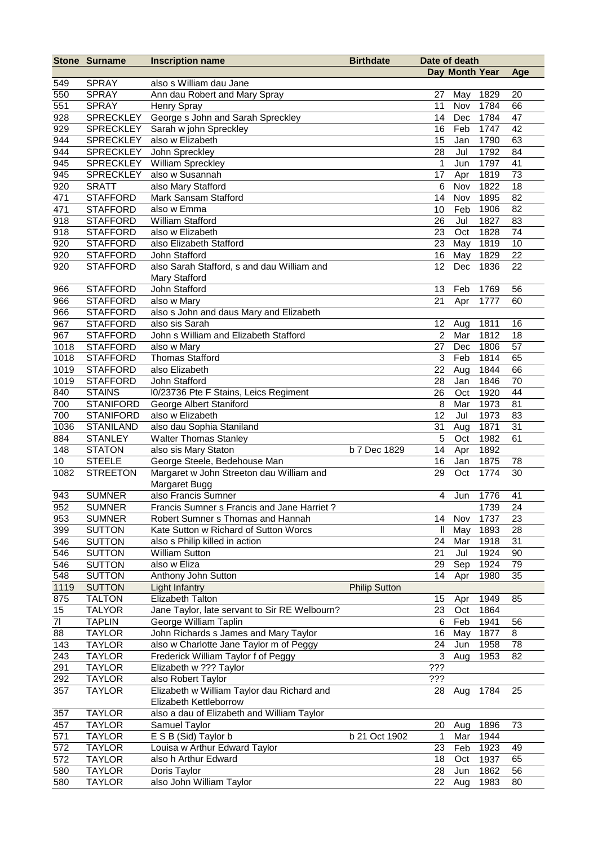|      | <b>Stone Surname</b>             | <b>Inscription name</b>                                              | <b>Birthdate</b>     | Date of death  |                |              |          |
|------|----------------------------------|----------------------------------------------------------------------|----------------------|----------------|----------------|--------------|----------|
|      |                                  |                                                                      |                      |                | Day Month Year |              | Age      |
| 549  | <b>SPRAY</b>                     | also s William dau Jane                                              |                      |                |                |              |          |
| 550  | <b>SPRAY</b>                     | Ann dau Robert and Mary Spray                                        |                      | 27             | May            | 1829         | 20       |
| 551  | <b>SPRAY</b>                     | <b>Henry Spray</b>                                                   |                      | 11             | Nov            | 1784         | 66       |
| 928  | SPRECKLEY                        | George s John and Sarah Spreckley                                    |                      | 14             | Dec            | 1784         | 47       |
| 929  | SPRECKLEY                        | Sarah w john Spreckley                                               |                      | 16             | Feb            | 1747         | 42       |
| 944  | <b>SPRECKLEY</b>                 | also w Elizabeth                                                     |                      | 15             | Jan            | 1790         | 63       |
| 944  | SPRECKLEY                        | John Spreckley                                                       |                      | 28             | Jul            | 1792         | 84       |
| 945  | SPRECKLEY                        | William Spreckley                                                    |                      | 1              | Jun            | 1797         | 41       |
| 945  | SPRECKLEY                        | also w Susannah                                                      |                      | 17             | Apr            | 1819         | 73       |
| 920  | <b>SRATT</b>                     | also Mary Stafford                                                   |                      | 6              | Nov            | 1822         | 18       |
| 471  | <b>STAFFORD</b>                  | Mark Sansam Stafford                                                 |                      | 14             | Nov            | 1895         | 82       |
| 471  | <b>STAFFORD</b>                  | also w Emma                                                          |                      | 10             | Feb            | 1906         | 82       |
| 918  | <b>STAFFORD</b>                  | <b>William Stafford</b>                                              |                      | 26             | Jul            | 1827         | 83       |
| 918  | <b>STAFFORD</b>                  | also w Elizabeth                                                     |                      | 23             | Oct            | 1828         | 74       |
| 920  | <b>STAFFORD</b>                  | also Elizabeth Stafford                                              |                      | 23             | May            | 1819         | 10       |
| 920  | <b>STAFFORD</b>                  | John Stafford                                                        |                      | 16             | May            | 1829         | 22       |
| 920  | <b>STAFFORD</b>                  | also Sarah Stafford, s and dau William and                           |                      | 12             | Dec            | 1836         | 22       |
|      |                                  | Mary Stafford                                                        |                      |                |                |              |          |
| 966  | <b>STAFFORD</b>                  | John Stafford                                                        |                      | 13             | Feb            | 1769         | 56       |
| 966  | <b>STAFFORD</b>                  | also w Mary                                                          |                      | 21             | Apr            | 1777         | 60       |
| 966  | <b>STAFFORD</b>                  | also s John and daus Mary and Elizabeth                              |                      |                |                |              |          |
| 967  | <b>STAFFORD</b>                  | also sis Sarah                                                       |                      | 12             | Aug            | 1811         | 16       |
| 967  | <b>STAFFORD</b>                  | John s William and Elizabeth Stafford                                |                      | $\overline{c}$ | Mar            | 1812         | 18       |
| 1018 | <b>STAFFORD</b>                  | also w Mary                                                          |                      | 27             | Dec            | 1806         | 57       |
| 1018 | <b>STAFFORD</b>                  | <b>Thomas Stafford</b>                                               |                      | 3              | Feb            | 1814         | 65       |
| 1019 | <b>STAFFORD</b>                  | also Elizabeth                                                       |                      | 22             | Aug            | 1844         | 66       |
| 1019 | <b>STAFFORD</b>                  | John Stafford                                                        |                      | 28             | Jan            | 1846         | 70       |
| 840  | <b>STAINS</b>                    | I0/23736 Pte F Stains, Leics Regiment                                |                      |                |                | 1920         | 44       |
| 700  | <b>STANIFORD</b>                 |                                                                      |                      | 26<br>8        | Oct<br>Mar     | 1973         | 81       |
| 700  |                                  | George Albert Staniford<br>also w Elizabeth                          |                      | 12             |                | 1973         | 83       |
| 1036 | <b>STANIFORD</b>                 |                                                                      |                      |                | Jul            |              |          |
|      | <b>STANILAND</b>                 | also dau Sophia Staniland                                            |                      | 31<br>5        | Aug<br>Oct     | 1871<br>1982 | 31<br>61 |
| 884  | <b>STANLEY</b>                   | <b>Walter Thomas Stanley</b>                                         |                      |                |                |              |          |
| 148  | <b>STATON</b>                    | also sis Mary Staton                                                 | b 7 Dec 1829         | 14             | Apr            | 1892         |          |
| $10$ | <b>STEELE</b><br><b>STREETON</b> | George Steele, Bedehouse Man                                         |                      | 16             | Jan            | 1875         | 78<br>30 |
| 1082 |                                  | Margaret w John Streeton dau William and                             |                      | 29             | Oct            | 1774         |          |
|      |                                  | Margaret Bugg                                                        |                      |                |                |              |          |
| 943  | <b>SUMNER</b>                    | also Francis Sumner                                                  |                      | 4              | Jun            | 1776         | 41       |
| 952  | <b>SUMNER</b>                    | Francis Sumner s Francis and Jane Harriet?                           |                      |                |                | 1739         | 24       |
| 953  | <b>SUMNER</b>                    | Robert Sumner s Thomas and Hannah                                    |                      | 14             | Nov            | 1737         | 23       |
| 399  | <b>SUTTON</b>                    | Kate Sutton w Richard of Sutton Worcs                                |                      | $\mathbf{I}$   | May            | 1893         | 28       |
| 546  | <b>SUTTON</b>                    | also s Philip killed in action                                       |                      | 24             | Mar            | 1918         | 31       |
| 546  | <b>SUTTON</b>                    | <b>William Sutton</b>                                                |                      | 21             | Jul            | 1924         | 90       |
| 546  | <b>SUTTON</b>                    | also w Eliza                                                         |                      | 29             | Sep            | 1924         | 79       |
| 548  | <b>SUTTON</b>                    | Anthony John Sutton                                                  |                      | 14             | Apr            | 1980         | 35       |
| 1119 | <b>SUTTON</b>                    | <b>Light Infantry</b>                                                | <b>Philip Sutton</b> |                |                |              |          |
| 875  | <b>TALTON</b>                    | <b>Elizabeth Talton</b>                                              |                      | 15             | Apr            | 1949         | 85       |
| 15   | <b>TALYOR</b>                    | Jane Taylor, late servant to Sir RE Welbourn?                        |                      | 23             | Oct            | 1864         |          |
| 71   | <b>TAPLIN</b>                    | George William Taplin                                                |                      | 6              | Feb            | 1941         | 56       |
| 88   | <b>TAYLOR</b>                    | John Richards s James and Mary Taylor                                |                      | 16             | May            | 1877         | 8        |
| 143  | <b>TAYLOR</b>                    | also w Charlotte Jane Taylor m of Peggy                              |                      | 24             | Jun            | 1958         | 78       |
| 243  | <b>TAYLOR</b>                    | Frederick William Taylor f of Peggy                                  |                      | 3              | Aug            | 1953         | 82       |
| 291  | <b>TAYLOR</b>                    | Elizabeth w ??? Taylor                                               |                      | ???            |                |              |          |
| 292  | <b>TAYLOR</b>                    | also Robert Taylor                                                   |                      | ???            |                |              |          |
| 357  | <b>TAYLOR</b>                    | Elizabeth w William Taylor dau Richard and<br>Elizabeth Kettleborrow |                      | 28             | Aug            | 1784         | 25       |
| 357  | <b>TAYLOR</b>                    | also a dau of Elizabeth and William Taylor                           |                      |                |                |              |          |
| 457  | <b>TAYLOR</b>                    | Samuel Taylor                                                        |                      | 20             | Aug            | 1896         | 73       |
| 571  | <b>TAYLOR</b>                    | E S B (Sid) Taylor b                                                 | b 21 Oct 1902        | $\mathbf{1}$   | Mar            | 1944         |          |
| 572  | <b>TAYLOR</b>                    | Louisa w Arthur Edward Taylor                                        |                      | 23             | Feb            | 1923         | 49       |
| 572  | <b>TAYLOR</b>                    | also h Arthur Edward                                                 |                      | 18             | Oct            | 1937         | 65       |
| 580  | <b>TAYLOR</b>                    | Doris Taylor                                                         |                      | 28             | Jun            | 1862         | 56       |
| 580  | <b>TAYLOR</b>                    | also John William Taylor                                             |                      | 22             | Aug            | 1983         | 80       |
|      |                                  |                                                                      |                      |                |                |              |          |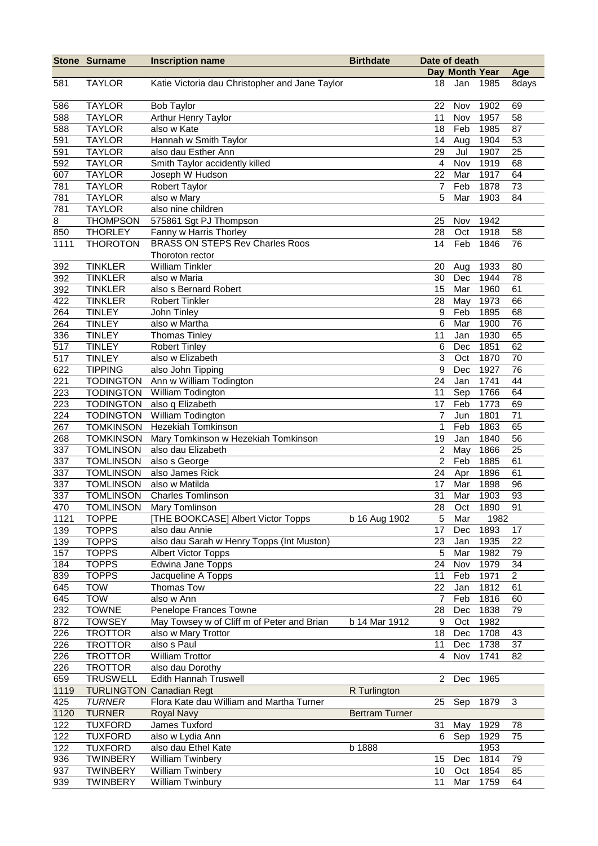|      | <b>Stone Surname</b> | <b>Inscription name</b>                        | <b>Birthdate</b>      | Date of death    |                |          |                |
|------|----------------------|------------------------------------------------|-----------------------|------------------|----------------|----------|----------------|
|      |                      |                                                |                       |                  | Day Month Year |          | Age            |
| 581  | <b>TAYLOR</b>        | Katie Victoria dau Christopher and Jane Taylor |                       | 18               | Jan            | 1985     | 8days          |
| 586  | <b>TAYLOR</b>        | <b>Bob Taylor</b>                              |                       | 22               | Nov            | 1902     | 69             |
| 588  | <b>TAYLOR</b>        | Arthur Henry Taylor                            |                       | 11               | Nov            | 1957     | 58             |
| 588  | <b>TAYLOR</b>        | also w Kate                                    |                       | 18               | Feb            | 1985     | 87             |
| 591  | <b>TAYLOR</b>        | Hannah w Smith Taylor                          |                       | 14               | Aug            | 1904     | 53             |
| 591  | <b>TAYLOR</b>        | also dau Esther Ann                            |                       | 29               | Jul            | 1907     | 25             |
| 592  | <b>TAYLOR</b>        | Smith Taylor accidently killed                 |                       | 4                | Nov            | 1919     | 68             |
| 607  | <b>TAYLOR</b>        | Joseph W Hudson                                |                       | 22               | Mar            | 1917     | 64             |
| 781  | <b>TAYLOR</b>        | Robert Taylor                                  |                       | 7                | Feb            | 1878     | 73             |
| 781  | <b>TAYLOR</b>        | also w Mary                                    |                       | 5                | Mar            | 1903     | 84             |
| 781  | <b>TAYLOR</b>        | also nine children                             |                       |                  |                |          |                |
| 8    | <b>THOMPSON</b>      | 575861 Sgt PJ Thompson                         |                       | 25               | Nov            | 1942     |                |
| 850  | <b>THORLEY</b>       | Fanny w Harris Thorley                         |                       | 28               | Oct            | 1918     | 58             |
| 1111 | <b>THOROTON</b>      | <b>BRASS ON STEPS Rev Charles Roos</b>         |                       | 14               | Feb            | 1846     | 76             |
|      |                      | Thoroton rector                                |                       |                  |                |          |                |
| 392  | <b>TINKLER</b>       | <b>William Tinkler</b>                         |                       | 20               | Aug            | 1933     | 80             |
| 392  | <b>TINKLER</b>       | also w Maria                                   |                       | 30               | Dec            | 1944     | 78             |
| 392  | <b>TINKLER</b>       | also s Bernard Robert                          |                       | 15               | Mar            | 1960     | 61             |
| 422  | <b>TINKLER</b>       | <b>Robert Tinkler</b>                          |                       | 28               | May            | 1973     | 66             |
| 264  | <b>TINLEY</b>        | John Tinley                                    |                       | $\boldsymbol{9}$ | Feb            | 1895     | 68             |
| 264  | <b>TINLEY</b>        | also w Martha                                  |                       | $6\phantom{1}6$  | Mar            | 1900     | 76             |
| 336  | <b>TINLEY</b>        | <b>Thomas Tinley</b>                           |                       | 11               | Jan            | 1930     | 65             |
| 517  | <b>TINLEY</b>        | <b>Robert Tinley</b>                           |                       | 6                | Dec            | 1851     | 62             |
| 517  | <b>TINLEY</b>        | also w Elizabeth                               |                       | 3                | Oct            | 1870     | 70             |
| 622  | <b>TIPPING</b>       | also John Tipping                              |                       | 9                | Dec            | 1927     | 76             |
| 221  | <b>TODINGTON</b>     | Ann w William Todington                        |                       | 24               | Jan            | 1741     | 44             |
| 223  | <b>TODINGTON</b>     | William Todington                              |                       | 11               | Sep            | 1766     | 64             |
| 223  | <b>TODINGTON</b>     | also q Elizabeth                               |                       | 17               | Feb            | 1773     | 69             |
| 224  | <b>TODINGTON</b>     | William Todington                              |                       | $\overline{7}$   | Jun            | 1801     | 71             |
| 267  | <b>TOMKINSON</b>     | <b>Hezekiah Tomkinson</b>                      |                       | 1                | Feb            | 1863     | 65             |
| 268  | <b>TOMKINSON</b>     | Mary Tomkinson w Hezekiah Tomkinson            |                       | 19               | Jan            | 1840     | 56             |
| 337  | <b>TOMLINSON</b>     | also dau Elizabeth                             |                       | $\overline{c}$   | May            | 1866     | 25             |
| 337  | <b>TOMLINSON</b>     | also s George                                  |                       | $\overline{2}$   | Feb            | 1885     | 61             |
| 337  | <b>TOMLINSON</b>     | also James Rick                                |                       | 24               | Apr            | 1896     | 61             |
| 337  | <b>TOMLINSON</b>     | also w Matilda                                 |                       | 17               | Mar            | 1898     | 96             |
| 337  | <b>TOMLINSON</b>     | <b>Charles Tomlinson</b>                       |                       | 31               | Mar            | 1903     | 93             |
| 470  |                      | TOMLINSON Mary Tomlinson                       |                       | 28               |                | Oct 1890 | 91             |
| 1121 | <b>TOPPE</b>         | [THE BOOKCASE] Albert Victor Topps             | b 16 Aug 1902         | $\overline{5}$   | Mar            | 1982     |                |
| 139  | <b>TOPPS</b>         | also dau Annie                                 |                       | 17               | Dec            | 1893     | 17             |
| 139  | <b>TOPPS</b>         | also dau Sarah w Henry Topps (Int Muston)      |                       | 23               | Jan            | 1935     | 22             |
| 157  | <b>TOPPS</b>         | <b>Albert Victor Topps</b>                     |                       | 5                | Mar            | 1982     | 79             |
| 184  | <b>TOPPS</b>         | Edwina Jane Topps                              |                       | 24               | Nov            | 1979     | 34             |
| 839  | <b>TOPPS</b>         | Jacqueline A Topps                             |                       | 11               | Feb            | 1971     | $\overline{c}$ |
| 645  | <b>TOW</b>           | Thomas Tow                                     |                       | 22               | Jan            | 1812     | 61             |
| 645  | <b>TOW</b>           | also w Ann                                     |                       | $\overline{7}$   | Feb            | 1816     | 60             |
| 232  | <b>TOWNE</b>         | Penelope Frances Towne                         |                       | 28               | Dec            | 1838     | 79             |
| 872  | <b>TOWSEY</b>        | May Towsey w of Cliff m of Peter and Brian     | b 14 Mar 1912         | 9                | Oct            | 1982     |                |
| 226  | <b>TROTTOR</b>       | also w Mary Trottor                            |                       | 18               | Dec            | 1708     | 43             |
| 226  | <b>TROTTOR</b>       | also s Paul                                    |                       | 11               | Dec            | 1738     | 37             |
| 226  | <b>TROTTOR</b>       | <b>William Trottor</b>                         |                       | $\overline{4}$   | Nov            | 1741     | 82             |
| 226  | <b>TROTTOR</b>       | also dau Dorothy                               |                       |                  |                |          |                |
| 659  | <b>TRUSWELL</b>      | <b>Edith Hannah Truswell</b>                   |                       | $\overline{2}$   | Dec            | 1965     |                |
| 1119 |                      | <b>TURLINGTON Canadian Regt</b>                | R Turlington          |                  |                |          |                |
| 425  | <b>TURNER</b>        | Flora Kate dau William and Martha Turner       |                       | 25               | Sep            | 1879     | 3              |
| 1120 | <b>TURNER</b>        | <b>Royal Navy</b>                              | <b>Bertram Turner</b> |                  |                |          |                |
| 122  | <b>TUXFORD</b>       | James Tuxford                                  |                       | 31               | May            | 1929     | 78             |
| 122  | <b>TUXFORD</b>       | also w Lydia Ann                               |                       | 6                | Sep            | 1929     | 75             |
| 122  | <b>TUXFORD</b>       | also dau Ethel Kate                            | b 1888                |                  |                | 1953     |                |
| 936  | <b>TWINBERY</b>      | William Twinbery                               |                       | 15               | Dec            | 1814     | 79             |
| 937  | <b>TWINBERY</b>      | <b>William Twinbery</b>                        |                       | 10               | Oct            | 1854     | 85             |
| 939  | <b>TWINBERY</b>      | William Twinbury                               |                       | 11               | Mar            | 1759     | 64             |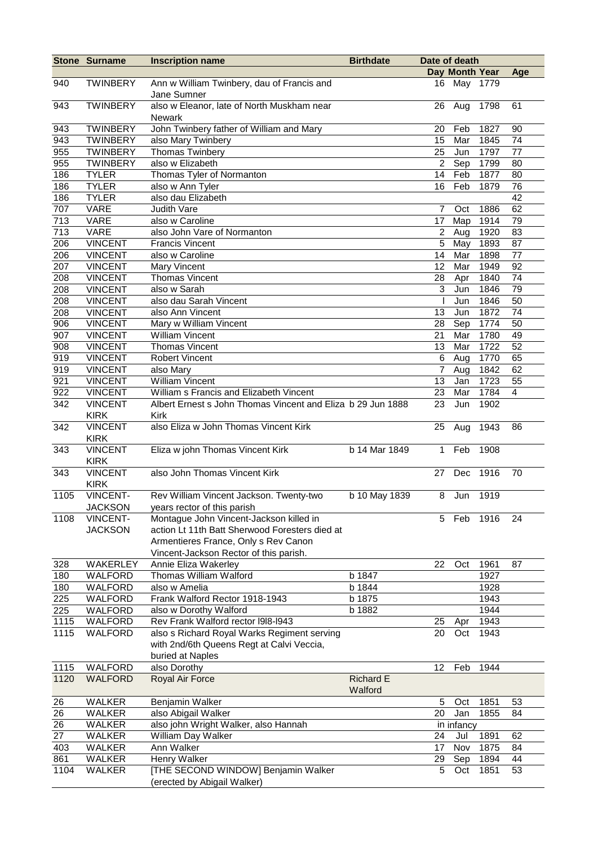|            | <b>Stone Surname</b>                         | <b>Inscription name</b>                                                                | <b>Birthdate</b>     |                | Date of death  |              |     |
|------------|----------------------------------------------|----------------------------------------------------------------------------------------|----------------------|----------------|----------------|--------------|-----|
|            |                                              |                                                                                        |                      |                | Day Month Year |              | Age |
| 940        | <b>TWINBERY</b>                              | Ann w William Twinbery, dau of Francis and<br>Jane Sumner                              |                      |                | 16 May 1779    |              |     |
| 943        | <b>TWINBERY</b>                              | also w Eleanor, late of North Muskham near<br>Newark                                   |                      | 26             | Aug            | 1798         | 61  |
| 943        | <b>TWINBERY</b>                              | John Twinbery father of William and Mary                                               |                      | 20             | Feb            | 1827         | 90  |
| 943        | <b>TWINBERY</b>                              | also Mary Twinbery                                                                     |                      | 15             | Mar            | 1845         | 74  |
| 955        | <b>TWINBERY</b>                              | <b>Thomas Twinbery</b>                                                                 |                      | 25             | Jun            | 1797         | 77  |
| 955        | <b>TWINBERY</b>                              | also w Elizabeth                                                                       |                      | $\overline{2}$ | Sep            | 1799         | 80  |
| 186        | <b>TYLER</b>                                 | Thomas Tyler of Normanton                                                              |                      | 14             | Feb            | 1877         | 80  |
| 186        | <b>TYLER</b>                                 | also w Ann Tyler                                                                       |                      | 16             | Feb            | 1879         | 76  |
| 186        | <b>TYLER</b>                                 | also dau Elizabeth                                                                     |                      |                |                |              | 42  |
| 707        | VARE                                         | Judith Vare                                                                            |                      | 7              | Oct            | 1886         | 62  |
| 713        | VARE                                         | also w Caroline                                                                        |                      | 17             | Map            | 1914         | 79  |
| 713        | <b>VARE</b>                                  | also John Vare of Normanton                                                            |                      | 2              | Aug            | 1920         | 83  |
| 206        | <b>VINCENT</b>                               | <b>Francis Vincent</b>                                                                 |                      | 5              | May            | 1893         | 87  |
| 206        | <b>VINCENT</b>                               | also w Caroline                                                                        |                      | 14             | Mar            | 1898         | 77  |
| 207        | <b>VINCENT</b>                               | Mary Vincent                                                                           |                      | 12             | Mar            | 1949         | 92  |
| 208        | <b>VINCENT</b>                               | Thomas Vincent                                                                         |                      | 28             | Apr            | 1840         | 74  |
| 208        | <b>VINCENT</b>                               | also w Sarah                                                                           |                      | 3              | Jun            | 1846         | 79  |
| 208        | <b>VINCENT</b>                               | also dau Sarah Vincent                                                                 |                      |                | Jun            | 1846         | 50  |
| 208        | <b>VINCENT</b>                               | also Ann Vincent                                                                       |                      | 13             | Jun            | 1872         | 74  |
| 906        | <b>VINCENT</b>                               | Mary w William Vincent                                                                 |                      | 28             | Sep            | 1774         | 50  |
| 907        | <b>VINCENT</b>                               | <b>William Vincent</b>                                                                 |                      | 21             | Mar            | 1780         | 49  |
| 908        | <b>VINCENT</b>                               | <b>Thomas Vincent</b>                                                                  |                      | 13             | Mar            | 1722         | 52  |
| 919        | <b>VINCENT</b>                               | <b>Robert Vincent</b>                                                                  |                      | 6              | Aug            | 1770         | 65  |
| 919        | <b>VINCENT</b>                               | also Mary                                                                              |                      | 7              | Aug            | 1842         | 62  |
| 921        | <b>VINCENT</b>                               | <b>William Vincent</b>                                                                 |                      | 13             | Jan            | 1723         | 55  |
| 922        | <b>VINCENT</b>                               | William s Francis and Elizabeth Vincent                                                |                      | 23             | Mar            | 1784         | 4   |
| 342        | <b>VINCENT</b>                               | Albert Ernest s John Thomas Vincent and Eliza b 29 Jun 1888<br><b>Kirk</b>             |                      | 23             | Jun            | 1902         |     |
| 342        | <b>KIRK</b><br><b>VINCENT</b>                | also Eliza w John Thomas Vincent Kirk                                                  |                      | 25             | Aug            | 1943         | 86  |
| 343        | <b>KIRK</b><br><b>VINCENT</b><br><b>KIRK</b> | Eliza w john Thomas Vincent Kirk                                                       | b 14 Mar 1849        | $\mathbf{1}$   | Feb            | 1908         |     |
| 343        | <b>VINCENT</b>                               | also John Thomas Vincent Kirk                                                          |                      | 27             | Dec            | 1916         | 70  |
| 1105       | <b>KIRK</b><br><b>VINCENT-</b>               | Rev William Vincent Jackson. Twenty-two                                                | b 10 May 1839        | 8              | Jun            | 1919         |     |
| 1108       | <b>JACKSON</b><br><b>VINCENT-</b>            | years rector of this parish<br>Montague John Vincent-Jackson killed in                 |                      | 5              | Feb            | 1916         | 24  |
|            | <b>JACKSON</b>                               | action Lt 11th Batt Sherwood Foresters died at<br>Armentieres France, Only s Rev Canon |                      |                |                |              |     |
|            |                                              | Vincent-Jackson Rector of this parish.                                                 |                      |                |                |              |     |
| 328        | WAKERLEY                                     | Annie Eliza Wakerley<br>Thomas William Walford                                         |                      | 22             | Oct            | 1961         | 87  |
| 180        | WALFORD<br>WALFORD                           | also w Amelia                                                                          | b 1847<br>b 1844     |                |                | 1927<br>1928 |     |
| 180<br>225 | WALFORD                                      | Frank Walford Rector 1918-1943                                                         | b 1875               |                |                | 1943         |     |
| 225        | WALFORD                                      | also w Dorothy Walford                                                                 | b 1882               |                |                | 1944         |     |
| 1115       | WALFORD                                      | Rev Frank Walford rector I9I8-I943                                                     |                      | 25             | Apr            | 1943         |     |
| 1115       | WALFORD                                      | also s Richard Royal Warks Regiment serving                                            |                      | 20             | Oct            | 1943         |     |
|            |                                              | with 2nd/6th Queens Regt at Calvi Veccia,<br>buried at Naples                          |                      |                |                |              |     |
| 1115       | WALFORD                                      | also Dorothy                                                                           |                      | 12             | Feb            | 1944         |     |
| 1120       | <b>WALFORD</b>                               | Royal Air Force                                                                        | Richard E<br>Walford |                |                |              |     |
| 26         | WALKER                                       | Benjamin Walker                                                                        |                      | 5              | Oct            | 1851         | 53  |
| 26         | <b>WALKER</b>                                | also Abigail Walker                                                                    |                      | 20             | Jan            | 1855         | 84  |
| 26         | <b>WALKER</b>                                | also john Wright Walker, also Hannah                                                   |                      |                | in infancy     |              |     |
| 27         | <b>WALKER</b>                                | William Day Walker                                                                     |                      | 24             | Jul            | 1891         | 62  |
| 403        | <b>WALKER</b>                                | Ann Walker                                                                             |                      | 17             | Nov            | 1875         | 84  |
| 861        | WALKER                                       | Henry Walker                                                                           |                      | 29             | Sep            | 1894         | 44  |
| 1104       | WALKER                                       | [THE SECOND WINDOW] Benjamin Walker<br>(erected by Abigail Walker)                     |                      | 5              | Oct            | 1851         | 53  |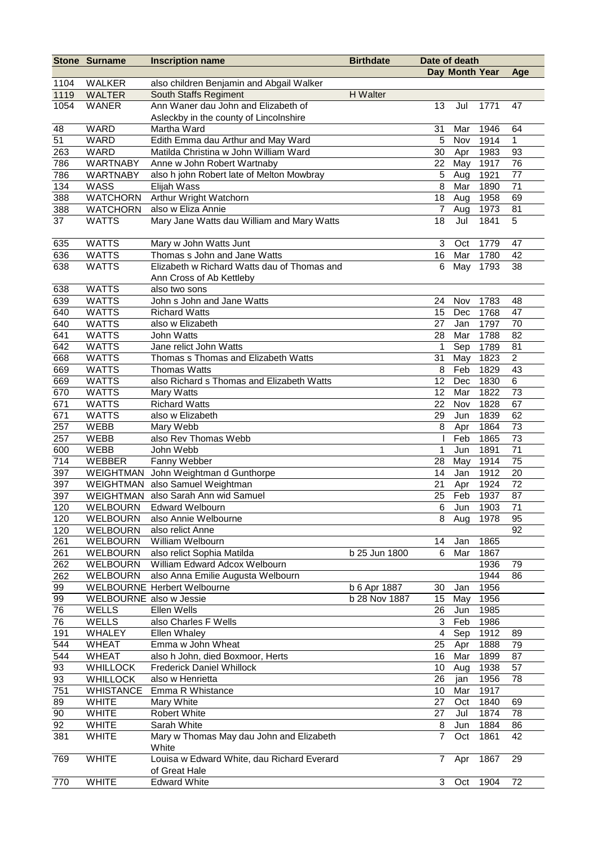|      | <b>Stone Surname</b>    | <b>Inscription name</b>                             | <b>Birthdate</b> | Date of death  |                |      |                |
|------|-------------------------|-----------------------------------------------------|------------------|----------------|----------------|------|----------------|
|      |                         |                                                     |                  |                | Day Month Year |      | Age            |
| 1104 | WALKER                  | also children Benjamin and Abgail Walker            |                  |                |                |      |                |
| 1119 | <b>WALTER</b>           | South Staffs Regiment                               | H Walter         |                |                |      |                |
| 1054 | <b>WANER</b>            | Ann Waner dau John and Elizabeth of                 |                  | 13             | Jul            | 1771 | 47             |
|      |                         | Asleckby in the county of Lincolnshire              |                  |                |                |      |                |
| 48   | <b>WARD</b>             | Martha Ward                                         |                  | 31             | Mar            | 1946 | 64             |
| 51   | WARD                    | Edith Emma dau Arthur and May Ward                  |                  | 5              | Nov            | 1914 | 1              |
| 263  | WARD                    | Matilda Christina w John William Ward               |                  | 30             | Apr            | 1983 | 93             |
| 786  | <b>WARTNABY</b>         | Anne w John Robert Wartnaby                         |                  | 22             | May            | 1917 | 76             |
| 786  | <b>WARTNABY</b>         | also h john Robert late of Melton Mowbray           |                  | 5              | Aug            | 1921 | 77             |
| 134  | WASS                    | Elijah Wass                                         |                  | 8              | Mar            | 1890 | 71             |
| 388  | <b>WATCHORN</b>         | Arthur Wright Watchorn                              |                  | 18             | Aug            | 1958 | 69             |
| 388  | <b>WATCHORN</b>         | also w Eliza Annie                                  |                  | $\overline{7}$ | Aug            | 1973 | 81             |
| 37   | <b>WATTS</b>            | Mary Jane Watts dau William and Mary Watts          |                  | 18             | Jul            | 1841 | 5              |
| 635  | <b>WATTS</b>            | Mary w John Watts Junt                              |                  | 3              | Oct            | 1779 | 47             |
| 636  | <b>WATTS</b>            | Thomas s John and Jane Watts                        |                  | 16             | Mar            | 1780 | 42             |
| 638  | <b>WATTS</b>            | Elizabeth w Richard Watts dau of Thomas and         |                  | 6              | May            | 1793 | 38             |
|      |                         | Ann Cross of Ab Kettleby                            |                  |                |                |      |                |
| 638  | <b>WATTS</b>            | also two sons                                       |                  |                |                |      |                |
| 639  | <b>WATTS</b>            | John s John and Jane Watts                          |                  | 24             | Nov            | 1783 | 48             |
| 640  | <b>WATTS</b>            | <b>Richard Watts</b>                                |                  | 15             | Dec            | 1768 | 47             |
| 640  | <b>WATTS</b>            | also w Elizabeth                                    |                  | 27             | Jan            | 1797 | 70             |
| 641  | <b>WATTS</b>            | John Watts                                          |                  | 28             | Mar            | 1788 | 82             |
| 642  | <b>WATTS</b>            | Jane relict John Watts                              |                  | 1              | Sep            | 1789 | 81             |
| 668  | <b>WATTS</b>            | Thomas s Thomas and Elizabeth Watts                 |                  | 31             | May            | 1823 | $\overline{2}$ |
| 669  | <b>WATTS</b>            | <b>Thomas Watts</b>                                 |                  | 8              | Feb            | 1829 | 43             |
| 669  | <b>WATTS</b>            | also Richard s Thomas and Elizabeth Watts           |                  | 12             | Dec            | 1830 | 6              |
| 670  | <b>WATTS</b>            | Mary Watts                                          |                  | 12             | Mar            | 1822 | 73             |
| 671  | <b>WATTS</b>            | <b>Richard Watts</b>                                |                  | 22             | Nov            | 1828 | 67             |
| 671  | <b>WATTS</b>            | also w Elizabeth                                    |                  | 29             | Jun            | 1839 | 62             |
| 257  | <b>WEBB</b>             | Mary Webb                                           |                  | 8              | Apr            | 1864 | 73             |
| 257  | WEBB                    | also Rev Thomas Webb                                |                  |                | Feb            | 1865 | 73             |
| 600  | WEBB                    | John Webb                                           |                  | $\mathbf{1}$   | Jun            | 1891 | 71             |
| 714  | <b>WEBBER</b>           | Fanny Webber                                        |                  | 28             | May            | 1914 | 75             |
| 397  |                         | WEIGHTMAN John Weightman d Gunthorpe                |                  | 14             | Jan            | 1912 | 20             |
| 397  |                         | WEIGHTMAN also Samuel Weightman                     |                  | 21             | Apr            | 1924 | 72             |
| 397  |                         | WEIGHTMAN also Sarah Ann wid Samuel                 |                  | 25             | Feb            | 1937 | 87             |
| 120  | WELBOURN                | Edward Welbourn                                     |                  | $\,6\,$        | Jun            | 1903 | 71             |
| 120  | <b>WELBOURN</b>         | also Annie Welbourne                                |                  | 8              | Aug            | 1978 | 95             |
| 120  | <b>WELBOURN</b>         | also relict Anne                                    |                  |                |                |      | 92             |
| 261  | <b>WELBOURN</b>         | William Welbourn                                    |                  | 14             | Jan            | 1865 |                |
| 261  | WELBOURN                | also relict Sophia Matilda                          | b 25 Jun 1800    | $\,6\,$        | Mar            | 1867 |                |
| 262  | <b>WELBOURN</b>         | William Edward Adcox Welbourn                       |                  |                |                | 1936 | 79             |
| 262  | <b>WELBOURN</b>         | also Anna Emilie Augusta Welbourn                   |                  |                |                | 1944 | 86             |
| 99   |                         | <b>WELBOURNE Herbert Welbourne</b>                  | b 6 Apr 1887     | 30             | Jan            | 1956 |                |
| 99   | WELBOURNE also w Jessie |                                                     | b 28 Nov 1887    | 15             | May            | 1956 |                |
| 76   | WELLS                   | Ellen Wells                                         |                  | 26             | Jun            | 1985 |                |
| 76   | WELLS                   | also Charles F Wells                                |                  | 3              | Feb            | 1986 |                |
| 191  | <b>WHALEY</b>           | Ellen Whaley                                        |                  | 4              | Sep            | 1912 | 89             |
| 544  | <b>WHEAT</b>            | Emma w John Wheat                                   |                  | 25             | Apr            | 1888 | 79             |
| 544  | <b>WHEAT</b>            | also h John, died Boxmoor, Herts                    |                  | 16             | Mar            | 1899 | 87             |
| 93   | <b>WHILLOCK</b>         | <b>Frederick Daniel Whillock</b>                    |                  | 10             | Aug            | 1938 | 57             |
| 93   | <b>WHILLOCK</b>         | also w Henrietta                                    |                  | 26             | jan            | 1956 | 78             |
| 751  | <b>WHISTANCE</b>        | Emma R Whistance                                    |                  | 10             | Mar            | 1917 |                |
| 89   | <b>WHITE</b>            | Mary White                                          |                  | 27             | Oct            | 1840 | 69             |
| 90   | <b>WHITE</b>            | <b>Robert White</b>                                 |                  | 27             | Jul            | 1874 | 78             |
| 92   | <b>WHITE</b>            | Sarah White                                         |                  | 8              | Jun            | 1884 | 86             |
| 381  | <b>WHITE</b>            | Mary w Thomas May dau John and Elizabeth            |                  | $\overline{7}$ | Oct            | 1861 | 42             |
| 769  | <b>WHITE</b>            | White<br>Louisa w Edward White, dau Richard Everard |                  | 7              | Apr            | 1867 | 29             |
|      |                         | of Great Hale                                       |                  |                |                |      |                |
| 770  | <b>WHITE</b>            | <b>Edward White</b>                                 |                  | 3              | Oct            | 1904 | 72             |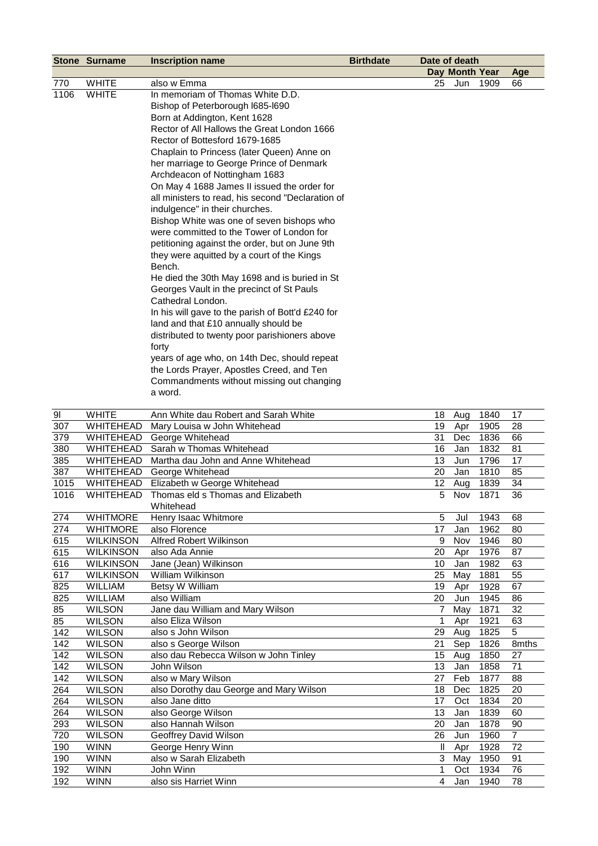|            | <b>Stone Surname</b>                 | <b>Inscription name</b>                                                                   | <b>Birthdate</b> | Date of death           |                |              |                |
|------------|--------------------------------------|-------------------------------------------------------------------------------------------|------------------|-------------------------|----------------|--------------|----------------|
|            |                                      |                                                                                           |                  |                         | Day Month Year |              | Age            |
| 770        | <b>WHITE</b>                         | also w Emma                                                                               |                  | 25                      | Jun            | 1909         | 66             |
| 1106       | <b>WHITE</b>                         | In memoriam of Thomas White D.D.                                                          |                  |                         |                |              |                |
|            |                                      | Bishop of Peterborough I685-I690                                                          |                  |                         |                |              |                |
|            |                                      | Born at Addington, Kent 1628                                                              |                  |                         |                |              |                |
|            |                                      | Rector of All Hallows the Great London 1666                                               |                  |                         |                |              |                |
|            |                                      | Rector of Bottesford 1679-1685                                                            |                  |                         |                |              |                |
|            |                                      | Chaplain to Princess (later Queen) Anne on                                                |                  |                         |                |              |                |
|            |                                      | her marriage to George Prince of Denmark                                                  |                  |                         |                |              |                |
|            |                                      | Archdeacon of Nottingham 1683                                                             |                  |                         |                |              |                |
|            |                                      | On May 4 1688 James II issued the order for                                               |                  |                         |                |              |                |
|            |                                      | all ministers to read, his second "Declaration of                                         |                  |                         |                |              |                |
|            |                                      | indulgence" in their churches.                                                            |                  |                         |                |              |                |
|            |                                      | Bishop White was one of seven bishops who                                                 |                  |                         |                |              |                |
|            |                                      | were committed to the Tower of London for                                                 |                  |                         |                |              |                |
|            |                                      | petitioning against the order, but on June 9th                                            |                  |                         |                |              |                |
|            |                                      | they were aquitted by a court of the Kings                                                |                  |                         |                |              |                |
|            |                                      | Bench.                                                                                    |                  |                         |                |              |                |
|            |                                      | He died the 30th May 1698 and is buried in St                                             |                  |                         |                |              |                |
|            |                                      | Georges Vault in the precinct of St Pauls                                                 |                  |                         |                |              |                |
|            |                                      | Cathedral London.                                                                         |                  |                         |                |              |                |
|            |                                      | In his will gave to the parish of Bott'd £240 for<br>land and that £10 annually should be |                  |                         |                |              |                |
|            |                                      | distributed to twenty poor parishioners above                                             |                  |                         |                |              |                |
|            |                                      | forty                                                                                     |                  |                         |                |              |                |
|            |                                      | years of age who, on 14th Dec, should repeat                                              |                  |                         |                |              |                |
|            |                                      | the Lords Prayer, Apostles Creed, and Ten                                                 |                  |                         |                |              |                |
|            |                                      | Commandments without missing out changing                                                 |                  |                         |                |              |                |
|            |                                      | a word.                                                                                   |                  |                         |                |              |                |
|            |                                      |                                                                                           |                  |                         |                |              |                |
| 91         | <b>WHITE</b>                         | Ann White dau Robert and Sarah White                                                      |                  | 18                      | Aug            | 1840         | 17             |
| 307        | WHITEHEAD                            | Mary Louisa w John Whitehead                                                              |                  | 19                      | Apr            | 1905         | 28             |
| 379        | WHITEHEAD                            | George Whitehead                                                                          |                  | 31                      | Dec            | 1836         | 66             |
| 380        | WHITEHEAD                            | Sarah w Thomas Whitehead                                                                  |                  | 16                      | Jan            | 1832         | 81             |
| 385        | WHITEHEAD                            | Martha dau John and Anne Whitehead                                                        |                  | 13                      | Jun            | 1796         | 17             |
| 387        | WHITEHEAD                            | George Whitehead                                                                          |                  | 20                      | Jan            | 1810         | 85             |
| 1015       | WHITEHEAD                            | Elizabeth w George Whitehead                                                              |                  | 12                      | Aug            | 1839         | 34             |
| 1016       | <b>WHITEHEAD</b>                     | Thomas eld s Thomas and Elizabeth                                                         |                  | 5                       | Nov            | 1871         | 36             |
|            |                                      | Whitehead                                                                                 |                  |                         |                |              |                |
| 274        | <b>WHITMORE</b>                      | Henry Isaac Whitmore                                                                      |                  | 5                       | Jul            | 1943         | 68             |
| 274        | <b>WHITMORE</b>                      | also Florence                                                                             |                  | 17                      | Jan            | 1962         | 80             |
| 615        | <b>WILKINSON</b>                     | Alfred Robert Wilkinson                                                                   |                  | $\boldsymbol{9}$        | Nov            | 1946         | 80             |
| 615        | <b>WILKINSON</b>                     | also Ada Annie                                                                            |                  | 20<br>10                | Apr            | 1976         | 87             |
| 616<br>617 | <b>WILKINSON</b><br><b>WILKINSON</b> | Jane (Jean) Wilkinson<br>William Wilkinson                                                |                  | 25                      | Jan<br>May     | 1982<br>1881 | 63<br>55       |
| 825        | WILLIAM                              | Betsy W William                                                                           |                  | 19                      | Apr            | 1928         | 67             |
| 825        | WILLIAM                              | also William                                                                              |                  | 20                      | Jun            | 1945         | 86             |
| 85         | <b>WILSON</b>                        | Jane dau William and Mary Wilson                                                          |                  | $\overline{7}$          | May            | 1871         | 32             |
| 85         | <b>WILSON</b>                        | also Eliza Wilson                                                                         |                  | $\mathbf{1}$            | Apr            | 1921         | 63             |
| 142        | <b>WILSON</b>                        | also s John Wilson                                                                        |                  | 29                      | Aug            | 1825         | 5              |
| 142        | <b>WILSON</b>                        | also s George Wilson                                                                      |                  | 21                      | Sep            | 1826         | 8mths          |
| 142        | <b>WILSON</b>                        | also dau Rebecca Wilson w John Tinley                                                     |                  | 15                      | Aug            | 1850         | 27             |
| 142        | <b>WILSON</b>                        | John Wilson                                                                               |                  | 13                      | Jan            | 1858         | 71             |
| 142        | <b>WILSON</b>                        | also w Mary Wilson                                                                        |                  | 27                      | Feb            | 1877         | 88             |
| 264        | <b>WILSON</b>                        | also Dorothy dau George and Mary Wilson                                                   |                  | 18                      | Dec            | 1825         | 20             |
| 264        | <b>WILSON</b>                        | also Jane ditto                                                                           |                  | 17                      | Oct            | 1834         | 20             |
| 264        | <b>WILSON</b>                        | also George Wilson                                                                        |                  | 13                      | Jan            | 1839         | 60             |
| 293        | <b>WILSON</b>                        | also Hannah Wilson                                                                        |                  | 20                      | Jan            | 1878         | 90             |
| 720        | <b>WILSON</b>                        | Geoffrey David Wilson                                                                     |                  | 26                      | Jun            | 1960         | $\overline{7}$ |
| 190        | <b>WINN</b>                          | George Henry Winn                                                                         |                  | Ш                       | Apr            | 1928         | 72             |
| 190        | <b>WINN</b>                          | also w Sarah Elizabeth                                                                    |                  | 3                       | May            | 1950         | 91             |
| 192        | <b>WINN</b>                          | John Winn                                                                                 |                  | 1                       | Oct            | 1934         | 76             |
| 192        | <b>WINN</b>                          | also sis Harriet Winn                                                                     |                  | $\overline{\mathbf{4}}$ | Jan            | 1940         | 78             |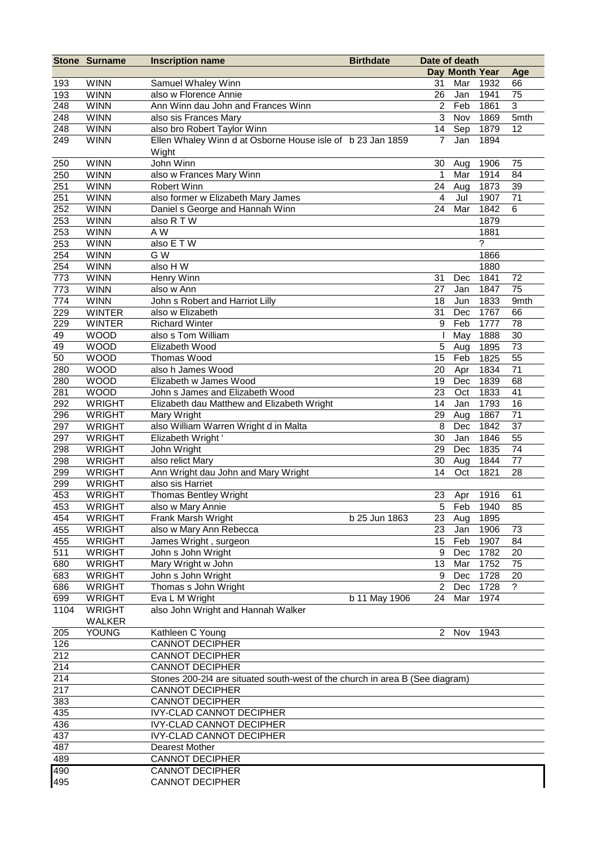|            | <b>Stone Surname</b>           | <b>Inscription name</b>                                                                                | <b>Birthdate</b> | Date of death       |                   |              |                                |
|------------|--------------------------------|--------------------------------------------------------------------------------------------------------|------------------|---------------------|-------------------|--------------|--------------------------------|
|            |                                |                                                                                                        |                  |                     | Day Month Year    |              | Age                            |
| 193        | <b>WINN</b>                    | Samuel Whaley Winn                                                                                     |                  | 31                  | Mar               | 1932         | 66                             |
| 193        | <b>WINN</b>                    | also w Florence Annie                                                                                  |                  | 26                  | Jan               | 1941         | 75                             |
| 248        | <b>WINN</b>                    | Ann Winn dau John and Frances Winn                                                                     |                  | $\overline{2}$      | Feb               | 1861         | 3                              |
| 248        | <b>WINN</b>                    | also sis Frances Mary                                                                                  |                  | 3                   | Nov               | 1869         | 5mth                           |
| 248        | <b>WINN</b>                    | also bro Robert Taylor Winn                                                                            |                  | 14                  | Sep               | 1879         | 12                             |
| 249        | <b>WINN</b>                    | Ellen Whaley Winn d at Osborne House isle of b 23 Jan 1859                                             |                  | 7                   | Jan               | 1894         |                                |
|            |                                | Wight                                                                                                  |                  |                     |                   |              |                                |
| 250        | <b>WINN</b>                    | John Winn                                                                                              |                  | 30                  | Aug               | 1906         | 75                             |
| 250        | <b>WINN</b>                    | also w Frances Mary Winn                                                                               |                  | 1                   | Mar               | 1914         | 84                             |
| 251        | <b>WINN</b>                    | <b>Robert Winn</b>                                                                                     |                  | 24                  | Aug               | 1873         | 39                             |
| 251        | <b>WINN</b>                    | also former w Elizabeth Mary James                                                                     |                  | 4                   | Jul               | 1907         | 71                             |
| 252        | <b>WINN</b>                    | Daniel s George and Hannah Winn                                                                        |                  | 24                  | Mar               | 1842         | 6                              |
| 253        | <b>WINN</b>                    | also R T W                                                                                             |                  |                     |                   | 1879         |                                |
| 253        | <b>WINN</b>                    | A W                                                                                                    |                  |                     |                   | 1881         |                                |
| 253        | <b>WINN</b>                    | also E T W                                                                                             |                  |                     |                   | ?            |                                |
| 254        | <b>WINN</b>                    | G W                                                                                                    |                  |                     |                   | 1866         |                                |
| 254        | <b>WINN</b>                    | also H W                                                                                               |                  |                     |                   | 1880         |                                |
| 773        | <b>WINN</b>                    | Henry Winn                                                                                             |                  | 31                  | Dec               | 1841         | 72                             |
| 773        | <b>WINN</b>                    | also w Ann                                                                                             |                  | 27                  | Jan               | 1847         | 75                             |
| 774        | <b>WINN</b>                    | John s Robert and Harriot Lilly                                                                        |                  | 18                  | Jun               | 1833         | 9mth                           |
| 229        | <b>WINTER</b>                  | also w Elizabeth                                                                                       |                  | 31                  | Dec               | 1767         | 66                             |
| 229        | <b>WINTER</b>                  | <b>Richard Winter</b>                                                                                  |                  | 9                   | Feb               | 1777         | 78                             |
| 49         | <b>WOOD</b>                    | also s Tom William                                                                                     |                  |                     | May               | 1888         | 30                             |
| 49         | <b>WOOD</b>                    | Elizabeth Wood                                                                                         |                  | 5                   | Aug               | 1895         | 73                             |
| 50         | <b>WOOD</b>                    | Thomas Wood                                                                                            |                  | 15                  | Feb               | 1825         | 55                             |
| 280        | <b>WOOD</b>                    | also h James Wood                                                                                      |                  | 20                  | Apr               | 1834         | 71                             |
| 280        | <b>WOOD</b>                    | Elizabeth w James Wood                                                                                 |                  | 19                  | Dec               | 1839         | 68                             |
| 281        | <b>WOOD</b>                    | John s James and Elizabeth Wood                                                                        |                  | 23                  | Oct               | 1833         | 41                             |
| 292        | <b>WRIGHT</b>                  | Elizabeth dau Matthew and Elizabeth Wright                                                             |                  | 14                  | Jan               | 1793         | 16                             |
| 296        | <b>WRIGHT</b>                  | Mary Wright                                                                                            |                  | 29                  | Aug               | 1867         | 71                             |
| 297        | <b>WRIGHT</b>                  | also William Warren Wright d in Malta                                                                  |                  | 8                   | Dec               | 1842         | 37                             |
| 297        | <b>WRIGHT</b><br><b>WRIGHT</b> | Elizabeth Wright '                                                                                     |                  | 30                  | Jan               | 1846         | 55                             |
| 298        |                                | John Wright                                                                                            |                  | 29                  | Dec               | 1835         | 74                             |
| 298        | <b>WRIGHT</b>                  | also relict Mary                                                                                       |                  | 30<br>14            | Aug               | 1844         | 77                             |
| 299<br>299 | <b>WRIGHT</b><br><b>WRIGHT</b> | Ann Wright dau John and Mary Wright<br>also sis Harriet                                                |                  |                     | Oct               | 1821         | 28                             |
| 453        | <b>WRIGHT</b>                  |                                                                                                        |                  |                     |                   |              |                                |
|            |                                | Thomas Bentley Wright                                                                                  |                  | 23                  | Apr<br>5 Feb 1940 | 1916         | 61<br>85                       |
| 453        | <b>WRIGHT</b>                  | also w Mary Annie                                                                                      | b 25 Jun 1863    |                     |                   |              |                                |
| 454        | <b>WRIGHT</b><br><b>WRIGHT</b> | Frank Marsh Wright<br>also w Mary Ann Rebecca                                                          |                  | 23<br>23            | Aug               | 1895<br>1906 | 73                             |
| 455        |                                |                                                                                                        |                  | 15                  | Jan<br>Feb        | 1907         | 84                             |
| 455<br>511 | <b>WRIGHT</b>                  | James Wright, surgeon<br>John s John Wright                                                            |                  | 9                   |                   |              |                                |
|            | <b>WRIGHT</b>                  | Mary Wright w John                                                                                     |                  | 13                  | Dec<br>Mar        | 1782<br>1752 | 20<br>75                       |
| 680        | <b>WRIGHT</b><br><b>WRIGHT</b> |                                                                                                        |                  |                     |                   | 1728         |                                |
| 683<br>686 | <b>WRIGHT</b>                  | John s John Wright<br>Thomas s John Wright                                                             |                  | 9<br>$\overline{c}$ | Dec<br>Dec        | 1728         | 20<br>$\overline{\mathcal{C}}$ |
| 699        |                                | Eva L M Wright                                                                                         | b 11 May 1906    | 24                  | Mar               | 1974         |                                |
| 1104       | <b>WRIGHT</b><br><b>WRIGHT</b> | also John Wright and Hannah Walker                                                                     |                  |                     |                   |              |                                |
|            | WALKER                         |                                                                                                        |                  |                     |                   |              |                                |
|            | <b>YOUNG</b>                   |                                                                                                        |                  | $\overline{2}$      | Nov               | 1943         |                                |
| 205<br>126 |                                | Kathleen C Young<br><b>CANNOT DECIPHER</b>                                                             |                  |                     |                   |              |                                |
| 212        |                                |                                                                                                        |                  |                     |                   |              |                                |
| 214        |                                | <b>CANNOT DECIPHER</b><br><b>CANNOT DECIPHER</b>                                                       |                  |                     |                   |              |                                |
|            |                                |                                                                                                        |                  |                     |                   |              |                                |
| 214<br>217 |                                | Stones 200-2l4 are situated south-west of the church in area B (See diagram)<br><b>CANNOT DECIPHER</b> |                  |                     |                   |              |                                |
| 383        |                                | <b>CANNOT DECIPHER</b>                                                                                 |                  |                     |                   |              |                                |
|            |                                |                                                                                                        |                  |                     |                   |              |                                |
| 435        |                                | <b>IVY-CLAD CANNOT DECIPHER</b>                                                                        |                  |                     |                   |              |                                |
| 436        |                                | <b>IVY-CLAD CANNOT DECIPHER</b>                                                                        |                  |                     |                   |              |                                |
| 437        |                                | <b>IVY-CLAD CANNOT DECIPHER</b>                                                                        |                  |                     |                   |              |                                |
| 487        |                                | Dearest Mother                                                                                         |                  |                     |                   |              |                                |
| 489        |                                | <b>CANNOT DECIPHER</b>                                                                                 |                  |                     |                   |              |                                |
| 490        |                                | <b>CANNOT DECIPHER</b>                                                                                 |                  |                     |                   |              |                                |
| 495        |                                | <b>CANNOT DECIPHER</b>                                                                                 |                  |                     |                   |              |                                |